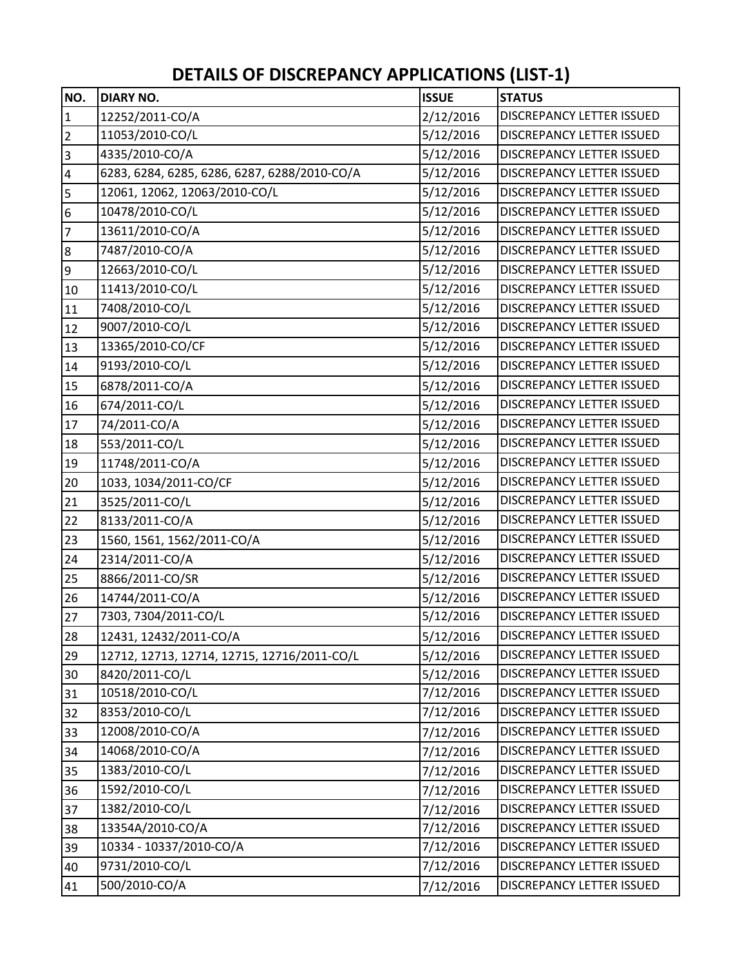## **DETAILS OF DISCREPANCY APPLICATIONS (LIST‐1)**

| NO.             | <b>DIARY NO.</b>                             | <b>ISSUE</b> | <b>STATUS</b>                    |
|-----------------|----------------------------------------------|--------------|----------------------------------|
| $\vert$ 1       | 12252/2011-CO/A                              | 2/12/2016    | DISCREPANCY LETTER ISSUED        |
| $\overline{2}$  | 11053/2010-CO/L                              | 5/12/2016    | <b>DISCREPANCY LETTER ISSUED</b> |
| $\overline{3}$  | 4335/2010-CO/A                               | 5/12/2016    | DISCREPANCY LETTER ISSUED        |
| $\overline{4}$  | 6283, 6284, 6285, 6286, 6287, 6288/2010-CO/A | 5/12/2016    | DISCREPANCY LETTER ISSUED        |
| $\overline{5}$  | 12061, 12062, 12063/2010-CO/L                | 5/12/2016    | DISCREPANCY LETTER ISSUED        |
| $6\phantom{.}6$ | 10478/2010-CO/L                              | 5/12/2016    | DISCREPANCY LETTER ISSUED        |
| $\overline{7}$  | 13611/2010-CO/A                              | 5/12/2016    | DISCREPANCY LETTER ISSUED        |
| $\overline{8}$  | 7487/2010-CO/A                               | 5/12/2016    | DISCREPANCY LETTER ISSUED        |
| 9               | 12663/2010-CO/L                              | 5/12/2016    | DISCREPANCY LETTER ISSUED        |
| 10              | 11413/2010-CO/L                              | 5/12/2016    | DISCREPANCY LETTER ISSUED        |
| 11              | 7408/2010-CO/L                               | 5/12/2016    | DISCREPANCY LETTER ISSUED        |
| 12              | 9007/2010-CO/L                               | 5/12/2016    | DISCREPANCY LETTER ISSUED        |
| 13              | 13365/2010-CO/CF                             | 5/12/2016    | DISCREPANCY LETTER ISSUED        |
| 14              | 9193/2010-CO/L                               | 5/12/2016    | DISCREPANCY LETTER ISSUED        |
| 15              | 6878/2011-CO/A                               | 5/12/2016    | DISCREPANCY LETTER ISSUED        |
| 16              | 674/2011-CO/L                                | 5/12/2016    | DISCREPANCY LETTER ISSUED        |
| 17              | 74/2011-CO/A                                 | 5/12/2016    | DISCREPANCY LETTER ISSUED        |
| 18              | 553/2011-CO/L                                | 5/12/2016    | DISCREPANCY LETTER ISSUED        |
| 19              | 11748/2011-CO/A                              | 5/12/2016    | DISCREPANCY LETTER ISSUED        |
| 20              | 1033, 1034/2011-CO/CF                        | 5/12/2016    | DISCREPANCY LETTER ISSUED        |
| 21              | 3525/2011-CO/L                               | 5/12/2016    | DISCREPANCY LETTER ISSUED        |
| 22              | 8133/2011-CO/A                               | 5/12/2016    | DISCREPANCY LETTER ISSUED        |
| 23              | 1560, 1561, 1562/2011-CO/A                   | 5/12/2016    | DISCREPANCY LETTER ISSUED        |
| 24              | 2314/2011-CO/A                               | 5/12/2016    | DISCREPANCY LETTER ISSUED        |
| 25              | 8866/2011-CO/SR                              | 5/12/2016    | DISCREPANCY LETTER ISSUED        |
| 26              | 14744/2011-CO/A                              | 5/12/2016    | DISCREPANCY LETTER ISSUED        |
| 27              | 7303, 7304/2011-CO/L                         | 5/12/2016    | DISCREPANCY LETTER ISSUED        |
| 28              | 12431, 12432/2011-CO/A                       | 5/12/2016    | <b>DISCREPANCY LETTER ISSUED</b> |
| 29              | 12712, 12713, 12714, 12715, 12716/2011-CO/L  | 5/12/2016    | DISCREPANCY LETTER ISSUED        |
| 30              | 8420/2011-CO/L                               | 5/12/2016    | DISCREPANCY LETTER ISSUED        |
| 31              | 10518/2010-CO/L                              | 7/12/2016    | DISCREPANCY LETTER ISSUED        |
| 32              | 8353/2010-CO/L                               | 7/12/2016    | DISCREPANCY LETTER ISSUED        |
| 33              | 12008/2010-CO/A                              | 7/12/2016    | DISCREPANCY LETTER ISSUED        |
| 34              | 14068/2010-CO/A                              | 7/12/2016    | DISCREPANCY LETTER ISSUED        |
| 35              | 1383/2010-CO/L                               | 7/12/2016    | DISCREPANCY LETTER ISSUED        |
| 36              | 1592/2010-CO/L                               | 7/12/2016    | DISCREPANCY LETTER ISSUED        |
| 37              | 1382/2010-CO/L                               | 7/12/2016    | DISCREPANCY LETTER ISSUED        |
| 38              | 13354A/2010-CO/A                             | 7/12/2016    | DISCREPANCY LETTER ISSUED        |
| 39              | 10334 - 10337/2010-CO/A                      | 7/12/2016    | DISCREPANCY LETTER ISSUED        |
| 40              | 9731/2010-CO/L                               | 7/12/2016    | DISCREPANCY LETTER ISSUED        |
| 41              | 500/2010-CO/A                                | 7/12/2016    | DISCREPANCY LETTER ISSUED        |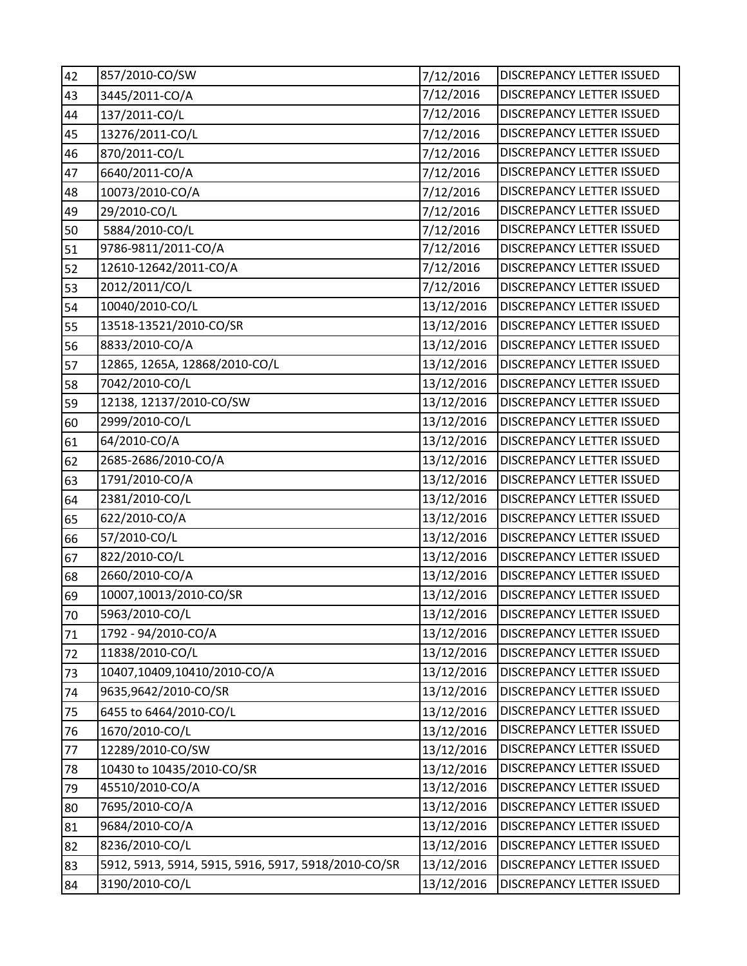| 42 | 857/2010-CO/SW                                      | 7/12/2016  | <b>DISCREPANCY LETTER ISSUED</b> |
|----|-----------------------------------------------------|------------|----------------------------------|
| 43 | 3445/2011-CO/A                                      | 7/12/2016  | DISCREPANCY LETTER ISSUED        |
| 44 | 137/2011-CO/L                                       | 7/12/2016  | DISCREPANCY LETTER ISSUED        |
| 45 | 13276/2011-CO/L                                     | 7/12/2016  | DISCREPANCY LETTER ISSUED        |
| 46 | 870/2011-CO/L                                       | 7/12/2016  | DISCREPANCY LETTER ISSUED        |
| 47 | 6640/2011-CO/A                                      | 7/12/2016  | DISCREPANCY LETTER ISSUED        |
| 48 | 10073/2010-CO/A                                     | 7/12/2016  | <b>DISCREPANCY LETTER ISSUED</b> |
| 49 | 29/2010-CO/L                                        | 7/12/2016  | <b>DISCREPANCY LETTER ISSUED</b> |
| 50 | 5884/2010-CO/L                                      | 7/12/2016  | DISCREPANCY LETTER ISSUED        |
| 51 | 9786-9811/2011-CO/A                                 | 7/12/2016  | DISCREPANCY LETTER ISSUED        |
| 52 | 12610-12642/2011-CO/A                               | 7/12/2016  | DISCREPANCY LETTER ISSUED        |
| 53 | 2012/2011/CO/L                                      | 7/12/2016  | <b>DISCREPANCY LETTER ISSUED</b> |
| 54 | 10040/2010-CO/L                                     | 13/12/2016 | DISCREPANCY LETTER ISSUED        |
| 55 | 13518-13521/2010-CO/SR                              | 13/12/2016 | DISCREPANCY LETTER ISSUED        |
| 56 | 8833/2010-CO/A                                      | 13/12/2016 | DISCREPANCY LETTER ISSUED        |
| 57 | 12865, 1265A, 12868/2010-CO/L                       | 13/12/2016 | DISCREPANCY LETTER ISSUED        |
| 58 | 7042/2010-CO/L                                      | 13/12/2016 | DISCREPANCY LETTER ISSUED        |
| 59 | 12138, 12137/2010-CO/SW                             | 13/12/2016 | DISCREPANCY LETTER ISSUED        |
| 60 | 2999/2010-CO/L                                      | 13/12/2016 | DISCREPANCY LETTER ISSUED        |
| 61 | 64/2010-CO/A                                        | 13/12/2016 | DISCREPANCY LETTER ISSUED        |
| 62 | 2685-2686/2010-CO/A                                 | 13/12/2016 | DISCREPANCY LETTER ISSUED        |
| 63 | 1791/2010-CO/A                                      | 13/12/2016 | DISCREPANCY LETTER ISSUED        |
| 64 | 2381/2010-CO/L                                      | 13/12/2016 | DISCREPANCY LETTER ISSUED        |
| 65 | 622/2010-CO/A                                       | 13/12/2016 | DISCREPANCY LETTER ISSUED        |
| 66 | 57/2010-CO/L                                        | 13/12/2016 | DISCREPANCY LETTER ISSUED        |
| 67 | 822/2010-CO/L                                       | 13/12/2016 | <b>DISCREPANCY LETTER ISSUED</b> |
| 68 | 2660/2010-CO/A                                      | 13/12/2016 | <b>DISCREPANCY LETTER ISSUED</b> |
| 69 | 10007,10013/2010-CO/SR                              | 13/12/2016 | DISCREPANCY LETTER ISSUED        |
| 70 | 5963/2010-CO/L                                      | 13/12/2016 | <b>DISCREPANCY LETTER ISSUED</b> |
| 71 | 1792 - 94/2010-CO/A                                 | 13/12/2016 | <b>DISCREPANCY LETTER ISSUED</b> |
| 72 | 11838/2010-CO/L                                     | 13/12/2016 | DISCREPANCY LETTER ISSUED        |
| 73 | 10407,10409,10410/2010-CO/A                         | 13/12/2016 | DISCREPANCY LETTER ISSUED        |
| 74 | 9635,9642/2010-CO/SR                                | 13/12/2016 | DISCREPANCY LETTER ISSUED        |
| 75 | 6455 to 6464/2010-CO/L                              | 13/12/2016 | DISCREPANCY LETTER ISSUED        |
| 76 | 1670/2010-CO/L                                      | 13/12/2016 | DISCREPANCY LETTER ISSUED        |
| 77 | 12289/2010-CO/SW                                    | 13/12/2016 | DISCREPANCY LETTER ISSUED        |
| 78 | 10430 to 10435/2010-CO/SR                           | 13/12/2016 | DISCREPANCY LETTER ISSUED        |
| 79 | 45510/2010-CO/A                                     | 13/12/2016 | DISCREPANCY LETTER ISSUED        |
| 80 | 7695/2010-CO/A                                      | 13/12/2016 | DISCREPANCY LETTER ISSUED        |
| 81 | 9684/2010-CO/A                                      | 13/12/2016 | DISCREPANCY LETTER ISSUED        |
| 82 | 8236/2010-CO/L                                      | 13/12/2016 | DISCREPANCY LETTER ISSUED        |
| 83 | 5912, 5913, 5914, 5915, 5916, 5917, 5918/2010-CO/SR | 13/12/2016 | <b>DISCREPANCY LETTER ISSUED</b> |
| 84 | 3190/2010-CO/L                                      | 13/12/2016 | DISCREPANCY LETTER ISSUED        |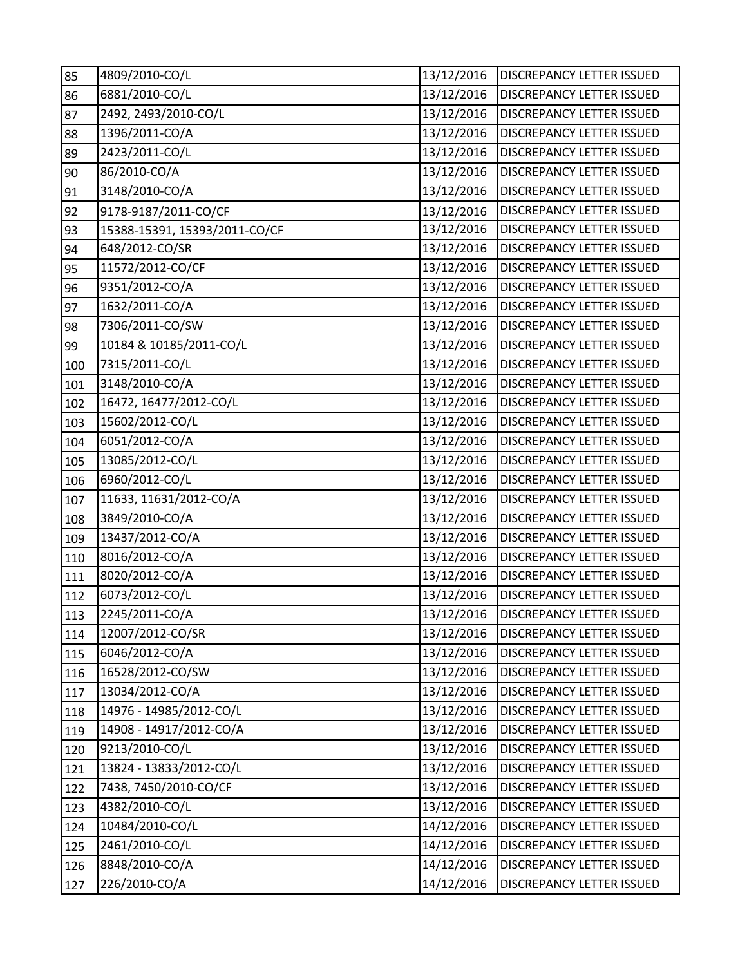| 85  | 4809/2010-CO/L                | 13/12/2016 | <b>DISCREPANCY LETTER ISSUED</b> |
|-----|-------------------------------|------------|----------------------------------|
| 86  | 6881/2010-CO/L                | 13/12/2016 | DISCREPANCY LETTER ISSUED        |
| 87  | 2492, 2493/2010-CO/L          | 13/12/2016 | DISCREPANCY LETTER ISSUED        |
| 88  | 1396/2011-CO/A                | 13/12/2016 | DISCREPANCY LETTER ISSUED        |
| 89  | 2423/2011-CO/L                | 13/12/2016 | DISCREPANCY LETTER ISSUED        |
| 90  | 86/2010-CO/A                  | 13/12/2016 | DISCREPANCY LETTER ISSUED        |
| 91  | 3148/2010-CO/A                | 13/12/2016 | DISCREPANCY LETTER ISSUED        |
| 92  | 9178-9187/2011-CO/CF          | 13/12/2016 | DISCREPANCY LETTER ISSUED        |
| 93  | 15388-15391, 15393/2011-CO/CF | 13/12/2016 | DISCREPANCY LETTER ISSUED        |
| 94  | 648/2012-CO/SR                | 13/12/2016 | DISCREPANCY LETTER ISSUED        |
| 95  | 11572/2012-CO/CF              | 13/12/2016 | DISCREPANCY LETTER ISSUED        |
| 96  | 9351/2012-CO/A                | 13/12/2016 | DISCREPANCY LETTER ISSUED        |
| 97  | 1632/2011-CO/A                | 13/12/2016 | DISCREPANCY LETTER ISSUED        |
| 98  | 7306/2011-CO/SW               | 13/12/2016 | DISCREPANCY LETTER ISSUED        |
| 99  | 10184 & 10185/2011-CO/L       | 13/12/2016 | DISCREPANCY LETTER ISSUED        |
| 100 | 7315/2011-CO/L                | 13/12/2016 | DISCREPANCY LETTER ISSUED        |
| 101 | 3148/2010-CO/A                | 13/12/2016 | DISCREPANCY LETTER ISSUED        |
| 102 | 16472, 16477/2012-CO/L        | 13/12/2016 | DISCREPANCY LETTER ISSUED        |
| 103 | 15602/2012-CO/L               | 13/12/2016 | DISCREPANCY LETTER ISSUED        |
| 104 | 6051/2012-CO/A                | 13/12/2016 | DISCREPANCY LETTER ISSUED        |
| 105 | 13085/2012-CO/L               | 13/12/2016 | DISCREPANCY LETTER ISSUED        |
| 106 | 6960/2012-CO/L                | 13/12/2016 | DISCREPANCY LETTER ISSUED        |
| 107 | 11633, 11631/2012-CO/A        | 13/12/2016 | DISCREPANCY LETTER ISSUED        |
| 108 | 3849/2010-CO/A                | 13/12/2016 | DISCREPANCY LETTER ISSUED        |
| 109 | 13437/2012-CO/A               | 13/12/2016 | DISCREPANCY LETTER ISSUED        |
| 110 | 8016/2012-CO/A                | 13/12/2016 | DISCREPANCY LETTER ISSUED        |
| 111 | 8020/2012-CO/A                | 13/12/2016 | DISCREPANCY LETTER ISSUED        |
| 112 | 6073/2012-CO/L                | 13/12/2016 | <b>DISCREPANCY LETTER ISSUED</b> |
| 113 | 2245/2011-CO/A                | 13/12/2016 | <b>DISCREPANCY LETTER ISSUED</b> |
| 114 | 12007/2012-CO/SR              | 13/12/2016 | <b>DISCREPANCY LETTER ISSUED</b> |
| 115 | 6046/2012-CO/A                | 13/12/2016 | DISCREPANCY LETTER ISSUED        |
| 116 | 16528/2012-CO/SW              | 13/12/2016 | DISCREPANCY LETTER ISSUED        |
| 117 | 13034/2012-CO/A               | 13/12/2016 | <b>DISCREPANCY LETTER ISSUED</b> |
| 118 | 14976 - 14985/2012-CO/L       | 13/12/2016 | DISCREPANCY LETTER ISSUED        |
| 119 | 14908 - 14917/2012-CO/A       | 13/12/2016 | DISCREPANCY LETTER ISSUED        |
| 120 | 9213/2010-CO/L                | 13/12/2016 | DISCREPANCY LETTER ISSUED        |
| 121 | 13824 - 13833/2012-CO/L       | 13/12/2016 | DISCREPANCY LETTER ISSUED        |
| 122 | 7438, 7450/2010-CO/CF         | 13/12/2016 | DISCREPANCY LETTER ISSUED        |
| 123 | 4382/2010-CO/L                | 13/12/2016 | DISCREPANCY LETTER ISSUED        |
| 124 | 10484/2010-CO/L               | 14/12/2016 | DISCREPANCY LETTER ISSUED        |
| 125 | 2461/2010-CO/L                | 14/12/2016 | DISCREPANCY LETTER ISSUED        |
| 126 | 8848/2010-CO/A                | 14/12/2016 | DISCREPANCY LETTER ISSUED        |
| 127 | 226/2010-CO/A                 | 14/12/2016 | DISCREPANCY LETTER ISSUED        |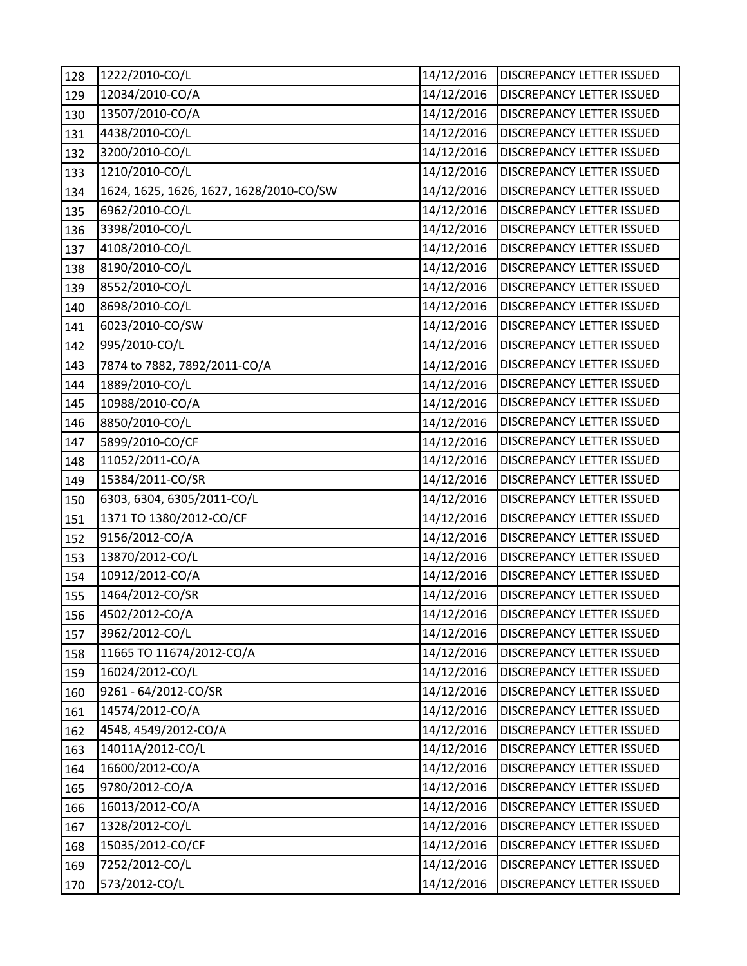| 128 | 1222/2010-CO/L                          | 14/12/2016 | <b>DISCREPANCY LETTER ISSUED</b> |
|-----|-----------------------------------------|------------|----------------------------------|
| 129 | 12034/2010-CO/A                         | 14/12/2016 | DISCREPANCY LETTER ISSUED        |
| 130 | 13507/2010-CO/A                         | 14/12/2016 | DISCREPANCY LETTER ISSUED        |
| 131 | 4438/2010-CO/L                          | 14/12/2016 | DISCREPANCY LETTER ISSUED        |
| 132 | 3200/2010-CO/L                          | 14/12/2016 | DISCREPANCY LETTER ISSUED        |
| 133 | 1210/2010-CO/L                          | 14/12/2016 | DISCREPANCY LETTER ISSUED        |
| 134 | 1624, 1625, 1626, 1627, 1628/2010-CO/SW | 14/12/2016 | DISCREPANCY LETTER ISSUED        |
| 135 | 6962/2010-CO/L                          | 14/12/2016 | DISCREPANCY LETTER ISSUED        |
| 136 | 3398/2010-CO/L                          | 14/12/2016 | DISCREPANCY LETTER ISSUED        |
| 137 | 4108/2010-CO/L                          | 14/12/2016 | DISCREPANCY LETTER ISSUED        |
| 138 | 8190/2010-CO/L                          | 14/12/2016 | DISCREPANCY LETTER ISSUED        |
| 139 | 8552/2010-CO/L                          | 14/12/2016 | DISCREPANCY LETTER ISSUED        |
| 140 | 8698/2010-CO/L                          | 14/12/2016 | DISCREPANCY LETTER ISSUED        |
| 141 | 6023/2010-CO/SW                         | 14/12/2016 | DISCREPANCY LETTER ISSUED        |
| 142 | 995/2010-CO/L                           | 14/12/2016 | DISCREPANCY LETTER ISSUED        |
| 143 | 7874 to 7882, 7892/2011-CO/A            | 14/12/2016 | DISCREPANCY LETTER ISSUED        |
| 144 | 1889/2010-CO/L                          | 14/12/2016 | DISCREPANCY LETTER ISSUED        |
| 145 | 10988/2010-CO/A                         | 14/12/2016 | DISCREPANCY LETTER ISSUED        |
| 146 | 8850/2010-CO/L                          | 14/12/2016 | DISCREPANCY LETTER ISSUED        |
| 147 | 5899/2010-CO/CF                         | 14/12/2016 | DISCREPANCY LETTER ISSUED        |
| 148 | 11052/2011-CO/A                         | 14/12/2016 | DISCREPANCY LETTER ISSUED        |
| 149 | 15384/2011-CO/SR                        | 14/12/2016 | DISCREPANCY LETTER ISSUED        |
| 150 | 6303, 6304, 6305/2011-CO/L              | 14/12/2016 | DISCREPANCY LETTER ISSUED        |
| 151 | 1371 TO 1380/2012-CO/CF                 | 14/12/2016 | DISCREPANCY LETTER ISSUED        |
| 152 | 9156/2012-CO/A                          | 14/12/2016 | DISCREPANCY LETTER ISSUED        |
| 153 | 13870/2012-CO/L                         | 14/12/2016 | DISCREPANCY LETTER ISSUED        |
| 154 | 10912/2012-CO/A                         | 14/12/2016 | DISCREPANCY LETTER ISSUED        |
| 155 | 1464/2012-CO/SR                         | 14/12/2016 | DISCREPANCY LETTER ISSUED        |
| 156 | 4502/2012-CO/A                          | 14/12/2016 | <b>DISCREPANCY LETTER ISSUED</b> |
| 157 | 3962/2012-CO/L                          | 14/12/2016 | DISCREPANCY LETTER ISSUED        |
| 158 | 11665 TO 11674/2012-CO/A                | 14/12/2016 | DISCREPANCY LETTER ISSUED        |
| 159 | 16024/2012-CO/L                         | 14/12/2016 | DISCREPANCY LETTER ISSUED        |
| 160 | 9261 - 64/2012-CO/SR                    | 14/12/2016 | DISCREPANCY LETTER ISSUED        |
| 161 | 14574/2012-CO/A                         | 14/12/2016 | DISCREPANCY LETTER ISSUED        |
| 162 | 4548, 4549/2012-CO/A                    | 14/12/2016 | DISCREPANCY LETTER ISSUED        |
| 163 | 14011A/2012-CO/L                        | 14/12/2016 | DISCREPANCY LETTER ISSUED        |
| 164 | 16600/2012-CO/A                         | 14/12/2016 | DISCREPANCY LETTER ISSUED        |
| 165 | 9780/2012-CO/A                          | 14/12/2016 | DISCREPANCY LETTER ISSUED        |
| 166 | 16013/2012-CO/A                         | 14/12/2016 | DISCREPANCY LETTER ISSUED        |
| 167 | 1328/2012-CO/L                          | 14/12/2016 | DISCREPANCY LETTER ISSUED        |
| 168 | 15035/2012-CO/CF                        | 14/12/2016 | DISCREPANCY LETTER ISSUED        |
| 169 | 7252/2012-CO/L                          | 14/12/2016 | DISCREPANCY LETTER ISSUED        |
| 170 | 573/2012-CO/L                           | 14/12/2016 | DISCREPANCY LETTER ISSUED        |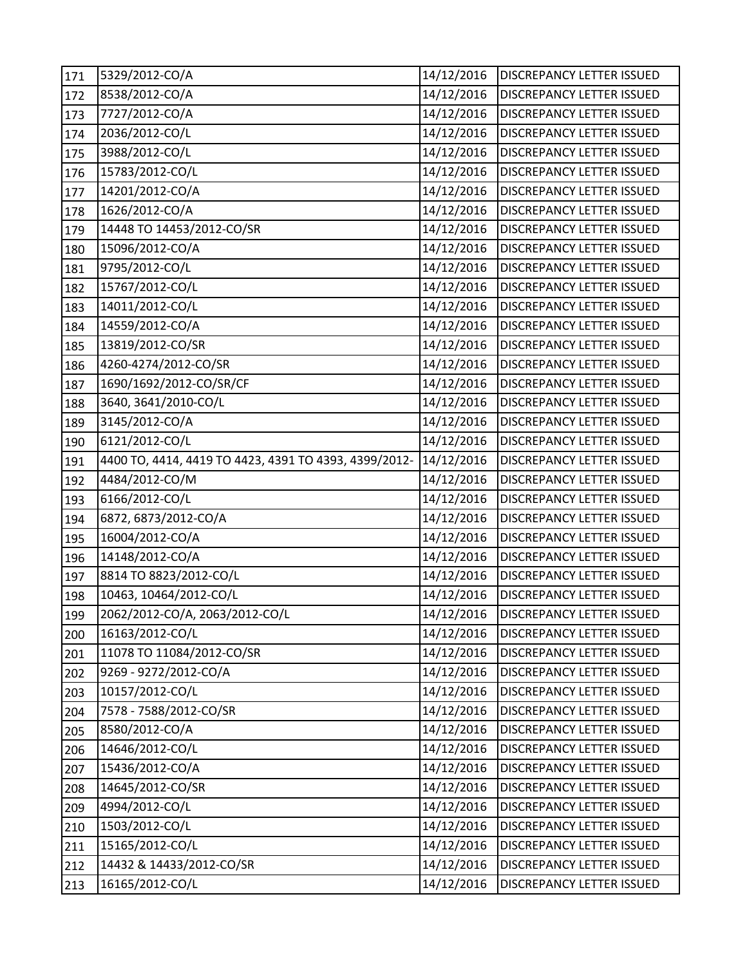| 171 | 5329/2012-CO/A                                        | 14/12/2016 | <b>DISCREPANCY LETTER ISSUED</b> |
|-----|-------------------------------------------------------|------------|----------------------------------|
| 172 | 8538/2012-CO/A                                        | 14/12/2016 | DISCREPANCY LETTER ISSUED        |
| 173 | 7727/2012-CO/A                                        | 14/12/2016 | DISCREPANCY LETTER ISSUED        |
| 174 | 2036/2012-CO/L                                        | 14/12/2016 | DISCREPANCY LETTER ISSUED        |
| 175 | 3988/2012-CO/L                                        | 14/12/2016 | DISCREPANCY LETTER ISSUED        |
| 176 | 15783/2012-CO/L                                       | 14/12/2016 | DISCREPANCY LETTER ISSUED        |
| 177 | 14201/2012-CO/A                                       | 14/12/2016 | DISCREPANCY LETTER ISSUED        |
| 178 | 1626/2012-CO/A                                        | 14/12/2016 | <b>DISCREPANCY LETTER ISSUED</b> |
| 179 | 14448 TO 14453/2012-CO/SR                             | 14/12/2016 | DISCREPANCY LETTER ISSUED        |
| 180 | 15096/2012-CO/A                                       | 14/12/2016 | DISCREPANCY LETTER ISSUED        |
| 181 | 9795/2012-CO/L                                        | 14/12/2016 | DISCREPANCY LETTER ISSUED        |
| 182 | 15767/2012-CO/L                                       | 14/12/2016 | DISCREPANCY LETTER ISSUED        |
| 183 | 14011/2012-CO/L                                       | 14/12/2016 | DISCREPANCY LETTER ISSUED        |
| 184 | 14559/2012-CO/A                                       | 14/12/2016 | DISCREPANCY LETTER ISSUED        |
| 185 | 13819/2012-CO/SR                                      | 14/12/2016 | DISCREPANCY LETTER ISSUED        |
| 186 | 4260-4274/2012-CO/SR                                  | 14/12/2016 | DISCREPANCY LETTER ISSUED        |
| 187 | 1690/1692/2012-CO/SR/CF                               | 14/12/2016 | DISCREPANCY LETTER ISSUED        |
| 188 | 3640, 3641/2010-CO/L                                  | 14/12/2016 | DISCREPANCY LETTER ISSUED        |
| 189 | 3145/2012-CO/A                                        | 14/12/2016 | <b>DISCREPANCY LETTER ISSUED</b> |
| 190 | 6121/2012-CO/L                                        | 14/12/2016 | DISCREPANCY LETTER ISSUED        |
| 191 | 4400 TO, 4414, 4419 TO 4423, 4391 TO 4393, 4399/2012- | 14/12/2016 | DISCREPANCY LETTER ISSUED        |
| 192 | 4484/2012-CO/M                                        | 14/12/2016 | DISCREPANCY LETTER ISSUED        |
| 193 | 6166/2012-CO/L                                        | 14/12/2016 | DISCREPANCY LETTER ISSUED        |
| 194 | 6872, 6873/2012-CO/A                                  | 14/12/2016 | DISCREPANCY LETTER ISSUED        |
| 195 | 16004/2012-CO/A                                       | 14/12/2016 | DISCREPANCY LETTER ISSUED        |
| 196 | 14148/2012-CO/A                                       | 14/12/2016 | DISCREPANCY LETTER ISSUED        |
| 197 | 8814 TO 8823/2012-CO/L                                | 14/12/2016 | DISCREPANCY LETTER ISSUED        |
| 198 | 10463, 10464/2012-CO/L                                | 14/12/2016 | DISCREPANCY LETTER ISSUED        |
| 199 | 2062/2012-CO/A, 2063/2012-CO/L                        | 14/12/2016 | <b>DISCREPANCY LETTER ISSUED</b> |
| 200 | 16163/2012-CO/L                                       | 14/12/2016 | DISCREPANCY LETTER ISSUED        |
| 201 | 11078 TO 11084/2012-CO/SR                             | 14/12/2016 | DISCREPANCY LETTER ISSUED        |
| 202 | 9269 - 9272/2012-CO/A                                 | 14/12/2016 | DISCREPANCY LETTER ISSUED        |
| 203 | 10157/2012-CO/L                                       | 14/12/2016 | DISCREPANCY LETTER ISSUED        |
| 204 | 7578 - 7588/2012-CO/SR                                | 14/12/2016 | DISCREPANCY LETTER ISSUED        |
| 205 | 8580/2012-CO/A                                        | 14/12/2016 | DISCREPANCY LETTER ISSUED        |
| 206 | 14646/2012-CO/L                                       | 14/12/2016 | DISCREPANCY LETTER ISSUED        |
| 207 | 15436/2012-CO/A                                       | 14/12/2016 | DISCREPANCY LETTER ISSUED        |
| 208 | 14645/2012-CO/SR                                      | 14/12/2016 | DISCREPANCY LETTER ISSUED        |
| 209 | 4994/2012-CO/L                                        | 14/12/2016 | DISCREPANCY LETTER ISSUED        |
| 210 | 1503/2012-CO/L                                        | 14/12/2016 | DISCREPANCY LETTER ISSUED        |
| 211 | 15165/2012-CO/L                                       | 14/12/2016 | DISCREPANCY LETTER ISSUED        |
| 212 | 14432 & 14433/2012-CO/SR                              | 14/12/2016 | DISCREPANCY LETTER ISSUED        |
| 213 | 16165/2012-CO/L                                       | 14/12/2016 | DISCREPANCY LETTER ISSUED        |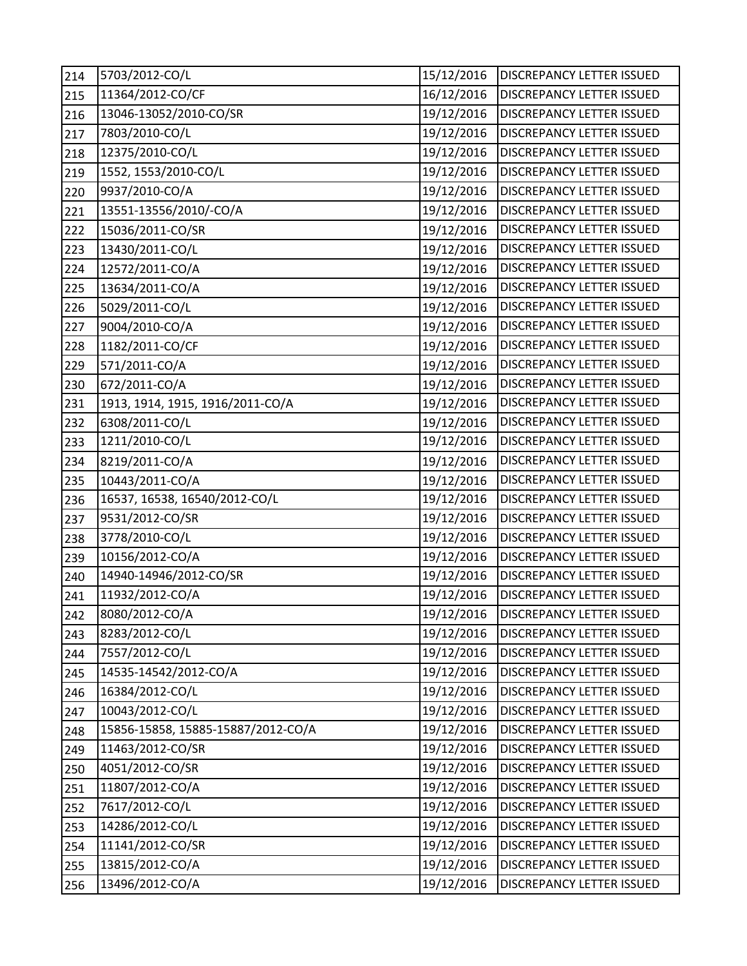| 214 | 5703/2012-CO/L                     | 15/12/2016 | <b>DISCREPANCY LETTER ISSUED</b> |
|-----|------------------------------------|------------|----------------------------------|
| 215 | 11364/2012-CO/CF                   | 16/12/2016 | DISCREPANCY LETTER ISSUED        |
| 216 | 13046-13052/2010-CO/SR             | 19/12/2016 | DISCREPANCY LETTER ISSUED        |
| 217 | 7803/2010-CO/L                     | 19/12/2016 | DISCREPANCY LETTER ISSUED        |
| 218 | 12375/2010-CO/L                    | 19/12/2016 | DISCREPANCY LETTER ISSUED        |
| 219 | 1552, 1553/2010-CO/L               | 19/12/2016 | DISCREPANCY LETTER ISSUED        |
| 220 | 9937/2010-CO/A                     | 19/12/2016 | DISCREPANCY LETTER ISSUED        |
| 221 | 13551-13556/2010/-CO/A             | 19/12/2016 | DISCREPANCY LETTER ISSUED        |
| 222 | 15036/2011-CO/SR                   | 19/12/2016 | DISCREPANCY LETTER ISSUED        |
| 223 | 13430/2011-CO/L                    | 19/12/2016 | DISCREPANCY LETTER ISSUED        |
| 224 | 12572/2011-CO/A                    | 19/12/2016 | DISCREPANCY LETTER ISSUED        |
| 225 | 13634/2011-CO/A                    | 19/12/2016 | DISCREPANCY LETTER ISSUED        |
| 226 | 5029/2011-CO/L                     | 19/12/2016 | DISCREPANCY LETTER ISSUED        |
| 227 | 9004/2010-CO/A                     | 19/12/2016 | DISCREPANCY LETTER ISSUED        |
| 228 | 1182/2011-CO/CF                    | 19/12/2016 | DISCREPANCY LETTER ISSUED        |
| 229 | 571/2011-CO/A                      | 19/12/2016 | DISCREPANCY LETTER ISSUED        |
| 230 | 672/2011-CO/A                      | 19/12/2016 | DISCREPANCY LETTER ISSUED        |
| 231 | 1913, 1914, 1915, 1916/2011-CO/A   | 19/12/2016 | DISCREPANCY LETTER ISSUED        |
| 232 | 6308/2011-CO/L                     | 19/12/2016 | <b>DISCREPANCY LETTER ISSUED</b> |
| 233 | 1211/2010-CO/L                     | 19/12/2016 | DISCREPANCY LETTER ISSUED        |
| 234 | 8219/2011-CO/A                     | 19/12/2016 | DISCREPANCY LETTER ISSUED        |
| 235 | 10443/2011-CO/A                    | 19/12/2016 | DISCREPANCY LETTER ISSUED        |
| 236 | 16537, 16538, 16540/2012-CO/L      | 19/12/2016 | DISCREPANCY LETTER ISSUED        |
| 237 | 9531/2012-CO/SR                    | 19/12/2016 | DISCREPANCY LETTER ISSUED        |
| 238 | 3778/2010-CO/L                     | 19/12/2016 | DISCREPANCY LETTER ISSUED        |
| 239 | 10156/2012-CO/A                    | 19/12/2016 | DISCREPANCY LETTER ISSUED        |
| 240 | 14940-14946/2012-CO/SR             | 19/12/2016 | DISCREPANCY LETTER ISSUED        |
| 241 | 11932/2012-CO/A                    | 19/12/2016 | <b>DISCREPANCY LETTER ISSUED</b> |
| 242 | 8080/2012-CO/A                     | 19/12/2016 | <b>DISCREPANCY LETTER ISSUED</b> |
| 243 | 8283/2012-CO/L                     | 19/12/2016 | DISCREPANCY LETTER ISSUED        |
| 244 | 7557/2012-CO/L                     | 19/12/2016 | DISCREPANCY LETTER ISSUED        |
| 245 | 14535-14542/2012-CO/A              | 19/12/2016 | DISCREPANCY LETTER ISSUED        |
| 246 | 16384/2012-CO/L                    | 19/12/2016 | DISCREPANCY LETTER ISSUED        |
| 247 | 10043/2012-CO/L                    | 19/12/2016 | DISCREPANCY LETTER ISSUED        |
| 248 | 15856-15858, 15885-15887/2012-CO/A | 19/12/2016 | DISCREPANCY LETTER ISSUED        |
| 249 | 11463/2012-CO/SR                   | 19/12/2016 | DISCREPANCY LETTER ISSUED        |
| 250 | 4051/2012-CO/SR                    | 19/12/2016 | DISCREPANCY LETTER ISSUED        |
| 251 | 11807/2012-CO/A                    | 19/12/2016 | DISCREPANCY LETTER ISSUED        |
| 252 | 7617/2012-CO/L                     | 19/12/2016 | DISCREPANCY LETTER ISSUED        |
| 253 | 14286/2012-CO/L                    | 19/12/2016 | DISCREPANCY LETTER ISSUED        |
| 254 | 11141/2012-CO/SR                   | 19/12/2016 | DISCREPANCY LETTER ISSUED        |
| 255 | 13815/2012-CO/A                    | 19/12/2016 | DISCREPANCY LETTER ISSUED        |
| 256 | 13496/2012-CO/A                    | 19/12/2016 | DISCREPANCY LETTER ISSUED        |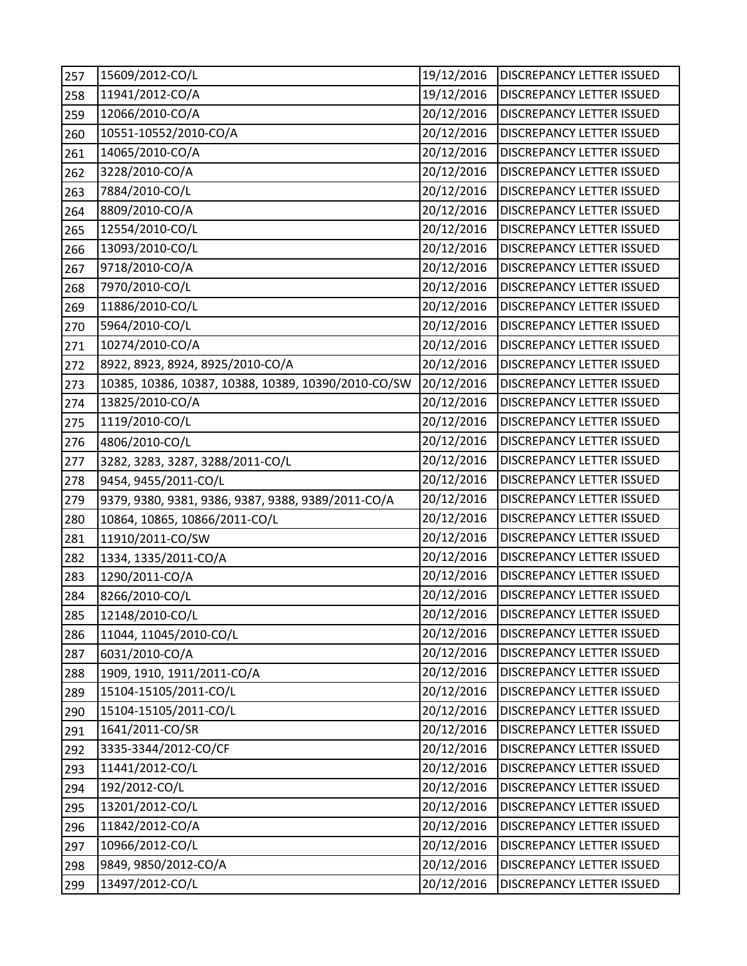| 257 | 15609/2012-CO/L                                     | 19/12/2016 | DISCREPANCY LETTER ISSUED        |
|-----|-----------------------------------------------------|------------|----------------------------------|
| 258 | 11941/2012-CO/A                                     | 19/12/2016 | DISCREPANCY LETTER ISSUED        |
| 259 | 12066/2010-CO/A                                     | 20/12/2016 | DISCREPANCY LETTER ISSUED        |
| 260 | 10551-10552/2010-CO/A                               | 20/12/2016 | DISCREPANCY LETTER ISSUED        |
| 261 | 14065/2010-CO/A                                     | 20/12/2016 | DISCREPANCY LETTER ISSUED        |
| 262 | 3228/2010-CO/A                                      | 20/12/2016 | DISCREPANCY LETTER ISSUED        |
| 263 | 7884/2010-CO/L                                      | 20/12/2016 | DISCREPANCY LETTER ISSUED        |
| 264 | 8809/2010-CO/A                                      | 20/12/2016 | DISCREPANCY LETTER ISSUED        |
| 265 | 12554/2010-CO/L                                     | 20/12/2016 | DISCREPANCY LETTER ISSUED        |
| 266 | 13093/2010-CO/L                                     | 20/12/2016 | DISCREPANCY LETTER ISSUED        |
| 267 | 9718/2010-CO/A                                      | 20/12/2016 | DISCREPANCY LETTER ISSUED        |
| 268 | 7970/2010-CO/L                                      | 20/12/2016 | DISCREPANCY LETTER ISSUED        |
| 269 | 11886/2010-CO/L                                     | 20/12/2016 | DISCREPANCY LETTER ISSUED        |
| 270 | 5964/2010-CO/L                                      | 20/12/2016 | <b>DISCREPANCY LETTER ISSUED</b> |
| 271 | 10274/2010-CO/A                                     | 20/12/2016 | DISCREPANCY LETTER ISSUED        |
| 272 | 8922, 8923, 8924, 8925/2010-CO/A                    | 20/12/2016 | DISCREPANCY LETTER ISSUED        |
| 273 | 10385, 10386, 10387, 10388, 10389, 10390/2010-CO/SW | 20/12/2016 | DISCREPANCY LETTER ISSUED        |
| 274 | 13825/2010-CO/A                                     | 20/12/2016 | <b>DISCREPANCY LETTER ISSUED</b> |
| 275 | 1119/2010-CO/L                                      | 20/12/2016 | DISCREPANCY LETTER ISSUED        |
| 276 | 4806/2010-CO/L                                      | 20/12/2016 | DISCREPANCY LETTER ISSUED        |
| 277 | 3282, 3283, 3287, 3288/2011-CO/L                    | 20/12/2016 | DISCREPANCY LETTER ISSUED        |
| 278 | 9454, 9455/2011-CO/L                                | 20/12/2016 | DISCREPANCY LETTER ISSUED        |
| 279 | 9379, 9380, 9381, 9386, 9387, 9388, 9389/2011-CO/A  | 20/12/2016 | DISCREPANCY LETTER ISSUED        |
| 280 | 10864, 10865, 10866/2011-CO/L                       | 20/12/2016 | DISCREPANCY LETTER ISSUED        |
| 281 | 11910/2011-CO/SW                                    | 20/12/2016 | DISCREPANCY LETTER ISSUED        |
| 282 | 1334, 1335/2011-CO/A                                | 20/12/2016 | DISCREPANCY LETTER ISSUED        |
| 283 | 1290/2011-CO/A                                      | 20/12/2016 | DISCREPANCY LETTER ISSUED        |
| 284 | 8266/2010-CO/L                                      | 20/12/2016 | <b>DISCREPANCY LETTER ISSUED</b> |
| 285 | 12148/2010-CO/L                                     | 20/12/2016 | <b>DISCREPANCY LETTER ISSUED</b> |
| 286 | 11044, 11045/2010-CO/L                              | 20/12/2016 | DISCREPANCY LETTER ISSUED        |
| 287 | 6031/2010-CO/A                                      | 20/12/2016 | DISCREPANCY LETTER ISSUED        |
| 288 | 1909, 1910, 1911/2011-CO/A                          | 20/12/2016 | DISCREPANCY LETTER ISSUED        |
| 289 | 15104-15105/2011-CO/L                               | 20/12/2016 | DISCREPANCY LETTER ISSUED        |
| 290 | 15104-15105/2011-CO/L                               | 20/12/2016 | DISCREPANCY LETTER ISSUED        |
| 291 | 1641/2011-CO/SR                                     | 20/12/2016 | DISCREPANCY LETTER ISSUED        |
| 292 | 3335-3344/2012-CO/CF                                | 20/12/2016 | DISCREPANCY LETTER ISSUED        |
| 293 | 11441/2012-CO/L                                     | 20/12/2016 | DISCREPANCY LETTER ISSUED        |
| 294 | 192/2012-CO/L                                       | 20/12/2016 | DISCREPANCY LETTER ISSUED        |
| 295 | 13201/2012-CO/L                                     | 20/12/2016 | DISCREPANCY LETTER ISSUED        |
| 296 | 11842/2012-CO/A                                     | 20/12/2016 | <b>DISCREPANCY LETTER ISSUED</b> |
| 297 | 10966/2012-CO/L                                     | 20/12/2016 | DISCREPANCY LETTER ISSUED        |
| 298 | 9849, 9850/2012-CO/A                                | 20/12/2016 | DISCREPANCY LETTER ISSUED        |
| 299 | 13497/2012-CO/L                                     | 20/12/2016 | DISCREPANCY LETTER ISSUED        |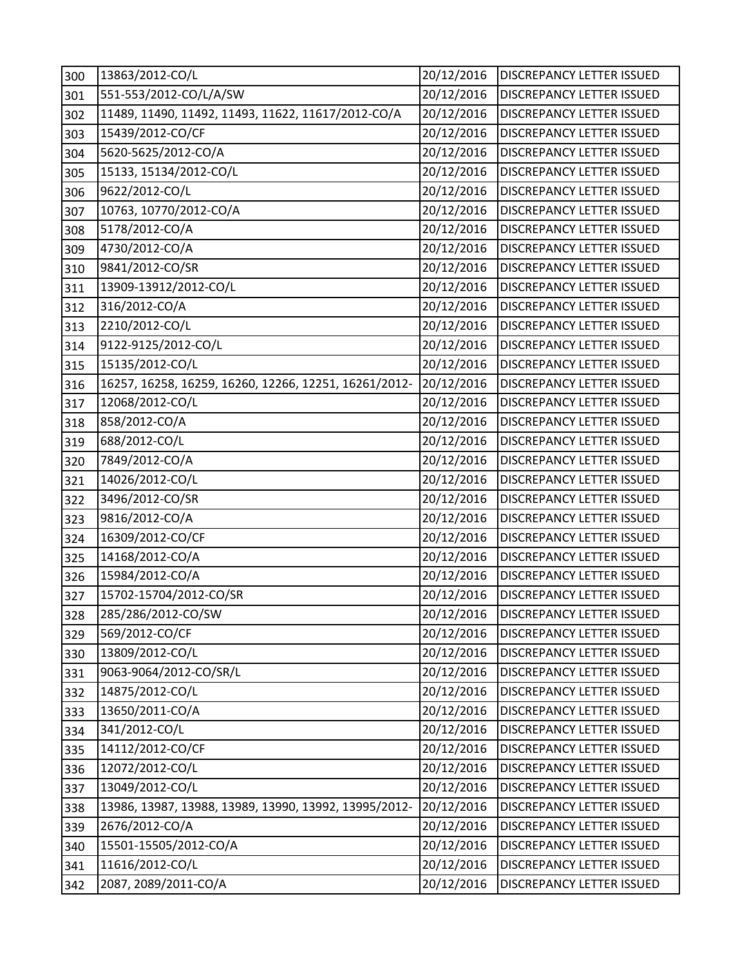| 300 | 13863/2012-CO/L                                       | 20/12/2016 | DISCREPANCY LETTER ISSUED        |
|-----|-------------------------------------------------------|------------|----------------------------------|
| 301 | 551-553/2012-CO/L/A/SW                                | 20/12/2016 | DISCREPANCY LETTER ISSUED        |
| 302 | 11489, 11490, 11492, 11493, 11622, 11617/2012-CO/A    | 20/12/2016 | DISCREPANCY LETTER ISSUED        |
| 303 | 15439/2012-CO/CF                                      | 20/12/2016 | DISCREPANCY LETTER ISSUED        |
| 304 | 5620-5625/2012-CO/A                                   | 20/12/2016 | DISCREPANCY LETTER ISSUED        |
| 305 | 15133, 15134/2012-CO/L                                | 20/12/2016 | DISCREPANCY LETTER ISSUED        |
| 306 | 9622/2012-CO/L                                        | 20/12/2016 | DISCREPANCY LETTER ISSUED        |
| 307 | 10763, 10770/2012-CO/A                                | 20/12/2016 | DISCREPANCY LETTER ISSUED        |
| 308 | 5178/2012-CO/A                                        | 20/12/2016 | DISCREPANCY LETTER ISSUED        |
| 309 | 4730/2012-CO/A                                        | 20/12/2016 | <b>DISCREPANCY LETTER ISSUED</b> |
| 310 | 9841/2012-CO/SR                                       | 20/12/2016 | <b>DISCREPANCY LETTER ISSUED</b> |
| 311 | 13909-13912/2012-CO/L                                 | 20/12/2016 | DISCREPANCY LETTER ISSUED        |
| 312 | 316/2012-CO/A                                         | 20/12/2016 | DISCREPANCY LETTER ISSUED        |
| 313 | 2210/2012-CO/L                                        | 20/12/2016 | DISCREPANCY LETTER ISSUED        |
| 314 | 9122-9125/2012-CO/L                                   | 20/12/2016 | DISCREPANCY LETTER ISSUED        |
| 315 | 15135/2012-CO/L                                       | 20/12/2016 | DISCREPANCY LETTER ISSUED        |
| 316 | 16257, 16258, 16259, 16260, 12266, 12251, 16261/2012- | 20/12/2016 | <b>DISCREPANCY LETTER ISSUED</b> |
| 317 | 12068/2012-CO/L                                       | 20/12/2016 | DISCREPANCY LETTER ISSUED        |
| 318 | 858/2012-CO/A                                         | 20/12/2016 | DISCREPANCY LETTER ISSUED        |
| 319 | 688/2012-CO/L                                         | 20/12/2016 | DISCREPANCY LETTER ISSUED        |
| 320 | 7849/2012-CO/A                                        | 20/12/2016 | <b>DISCREPANCY LETTER ISSUED</b> |
| 321 | 14026/2012-CO/L                                       | 20/12/2016 | DISCREPANCY LETTER ISSUED        |
| 322 | 3496/2012-CO/SR                                       | 20/12/2016 | DISCREPANCY LETTER ISSUED        |
| 323 | 9816/2012-CO/A                                        | 20/12/2016 | DISCREPANCY LETTER ISSUED        |
| 324 | 16309/2012-CO/CF                                      | 20/12/2016 | DISCREPANCY LETTER ISSUED        |
| 325 | 14168/2012-CO/A                                       | 20/12/2016 | DISCREPANCY LETTER ISSUED        |
| 326 | 15984/2012-CO/A                                       | 20/12/2016 | DISCREPANCY LETTER ISSUED        |
| 327 | 15702-15704/2012-CO/SR                                | 20/12/2016 | DISCREPANCY LETTER ISSUED        |
| 328 | 285/286/2012-CO/SW                                    | 20/12/2016 | <b>DISCREPANCY LETTER ISSUED</b> |
| 329 | 569/2012-CO/CF                                        | 20/12/2016 | DISCREPANCY LETTER ISSUED        |
| 330 | 13809/2012-CO/L                                       | 20/12/2016 | DISCREPANCY LETTER ISSUED        |
| 331 | 9063-9064/2012-CO/SR/L                                | 20/12/2016 | DISCREPANCY LETTER ISSUED        |
| 332 | 14875/2012-CO/L                                       | 20/12/2016 | <b>DISCREPANCY LETTER ISSUED</b> |
| 333 | 13650/2011-CO/A                                       | 20/12/2016 | DISCREPANCY LETTER ISSUED        |
| 334 | 341/2012-CO/L                                         | 20/12/2016 | DISCREPANCY LETTER ISSUED        |
| 335 | 14112/2012-CO/CF                                      | 20/12/2016 | DISCREPANCY LETTER ISSUED        |
| 336 | 12072/2012-CO/L                                       | 20/12/2016 | DISCREPANCY LETTER ISSUED        |
| 337 | 13049/2012-CO/L                                       | 20/12/2016 | DISCREPANCY LETTER ISSUED        |
| 338 | 13986, 13987, 13988, 13989, 13990, 13992, 13995/2012- | 20/12/2016 | DISCREPANCY LETTER ISSUED        |
| 339 | 2676/2012-CO/A                                        | 20/12/2016 | <b>DISCREPANCY LETTER ISSUED</b> |
| 340 | 15501-15505/2012-CO/A                                 | 20/12/2016 | DISCREPANCY LETTER ISSUED        |
| 341 | 11616/2012-CO/L                                       | 20/12/2016 | DISCREPANCY LETTER ISSUED        |
| 342 | 2087, 2089/2011-CO/A                                  | 20/12/2016 | DISCREPANCY LETTER ISSUED        |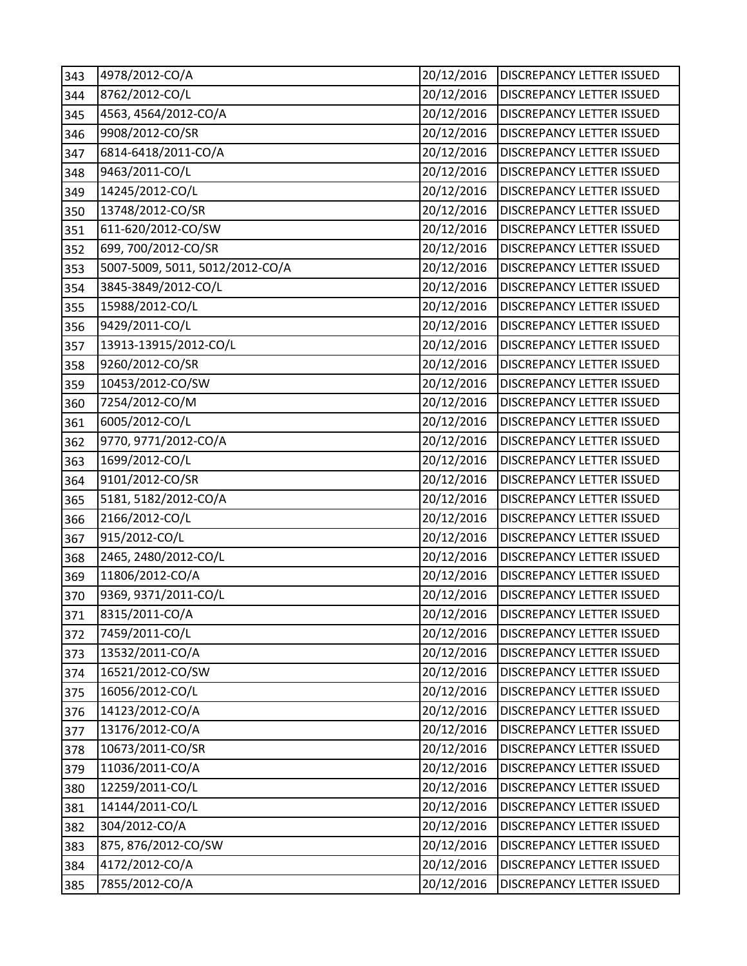| 343 | 4978/2012-CO/A                  | 20/12/2016 | <b>DISCREPANCY LETTER ISSUED</b> |
|-----|---------------------------------|------------|----------------------------------|
| 344 | 8762/2012-CO/L                  | 20/12/2016 | DISCREPANCY LETTER ISSUED        |
| 345 | 4563, 4564/2012-CO/A            | 20/12/2016 | DISCREPANCY LETTER ISSUED        |
| 346 | 9908/2012-CO/SR                 | 20/12/2016 | DISCREPANCY LETTER ISSUED        |
| 347 | 6814-6418/2011-CO/A             | 20/12/2016 | DISCREPANCY LETTER ISSUED        |
| 348 | 9463/2011-CO/L                  | 20/12/2016 | DISCREPANCY LETTER ISSUED        |
| 349 | 14245/2012-CO/L                 | 20/12/2016 | DISCREPANCY LETTER ISSUED        |
| 350 | 13748/2012-CO/SR                | 20/12/2016 | DISCREPANCY LETTER ISSUED        |
| 351 | 611-620/2012-CO/SW              | 20/12/2016 | DISCREPANCY LETTER ISSUED        |
| 352 | 699, 700/2012-CO/SR             | 20/12/2016 | DISCREPANCY LETTER ISSUED        |
| 353 | 5007-5009, 5011, 5012/2012-CO/A | 20/12/2016 | DISCREPANCY LETTER ISSUED        |
| 354 | 3845-3849/2012-CO/L             | 20/12/2016 | DISCREPANCY LETTER ISSUED        |
| 355 | 15988/2012-CO/L                 | 20/12/2016 | DISCREPANCY LETTER ISSUED        |
| 356 | 9429/2011-CO/L                  | 20/12/2016 | DISCREPANCY LETTER ISSUED        |
| 357 | 13913-13915/2012-CO/L           | 20/12/2016 | DISCREPANCY LETTER ISSUED        |
| 358 | 9260/2012-CO/SR                 | 20/12/2016 | DISCREPANCY LETTER ISSUED        |
| 359 | 10453/2012-CO/SW                | 20/12/2016 | DISCREPANCY LETTER ISSUED        |
| 360 | 7254/2012-CO/M                  | 20/12/2016 | DISCREPANCY LETTER ISSUED        |
| 361 | 6005/2012-CO/L                  | 20/12/2016 | <b>DISCREPANCY LETTER ISSUED</b> |
| 362 | 9770, 9771/2012-CO/A            | 20/12/2016 | DISCREPANCY LETTER ISSUED        |
| 363 | 1699/2012-CO/L                  | 20/12/2016 | DISCREPANCY LETTER ISSUED        |
| 364 | 9101/2012-CO/SR                 | 20/12/2016 | DISCREPANCY LETTER ISSUED        |
| 365 | 5181, 5182/2012-CO/A            | 20/12/2016 | DISCREPANCY LETTER ISSUED        |
| 366 | 2166/2012-CO/L                  | 20/12/2016 | DISCREPANCY LETTER ISSUED        |
| 367 | 915/2012-CO/L                   | 20/12/2016 | DISCREPANCY LETTER ISSUED        |
| 368 | 2465, 2480/2012-CO/L            | 20/12/2016 | DISCREPANCY LETTER ISSUED        |
| 369 | 11806/2012-CO/A                 | 20/12/2016 | DISCREPANCY LETTER ISSUED        |
| 370 | 9369, 9371/2011-CO/L            | 20/12/2016 | <b>DISCREPANCY LETTER ISSUED</b> |
| 371 | 8315/2011-CO/A                  | 20/12/2016 | <b>DISCREPANCY LETTER ISSUED</b> |
| 372 | 7459/2011-CO/L                  | 20/12/2016 | DISCREPANCY LETTER ISSUED        |
| 373 | 13532/2011-CO/A                 | 20/12/2016 | DISCREPANCY LETTER ISSUED        |
| 374 | 16521/2012-CO/SW                | 20/12/2016 | DISCREPANCY LETTER ISSUED        |
| 375 | 16056/2012-CO/L                 | 20/12/2016 | DISCREPANCY LETTER ISSUED        |
| 376 | 14123/2012-CO/A                 | 20/12/2016 | DISCREPANCY LETTER ISSUED        |
| 377 | 13176/2012-CO/A                 | 20/12/2016 | DISCREPANCY LETTER ISSUED        |
| 378 | 10673/2011-CO/SR                | 20/12/2016 | DISCREPANCY LETTER ISSUED        |
| 379 | 11036/2011-CO/A                 | 20/12/2016 | DISCREPANCY LETTER ISSUED        |
| 380 | 12259/2011-CO/L                 | 20/12/2016 | DISCREPANCY LETTER ISSUED        |
| 381 | 14144/2011-CO/L                 | 20/12/2016 | DISCREPANCY LETTER ISSUED        |
| 382 | 304/2012-CO/A                   | 20/12/2016 | DISCREPANCY LETTER ISSUED        |
| 383 | 875, 876/2012-CO/SW             | 20/12/2016 | DISCREPANCY LETTER ISSUED        |
| 384 | 4172/2012-CO/A                  | 20/12/2016 | DISCREPANCY LETTER ISSUED        |
| 385 | 7855/2012-CO/A                  | 20/12/2016 | DISCREPANCY LETTER ISSUED        |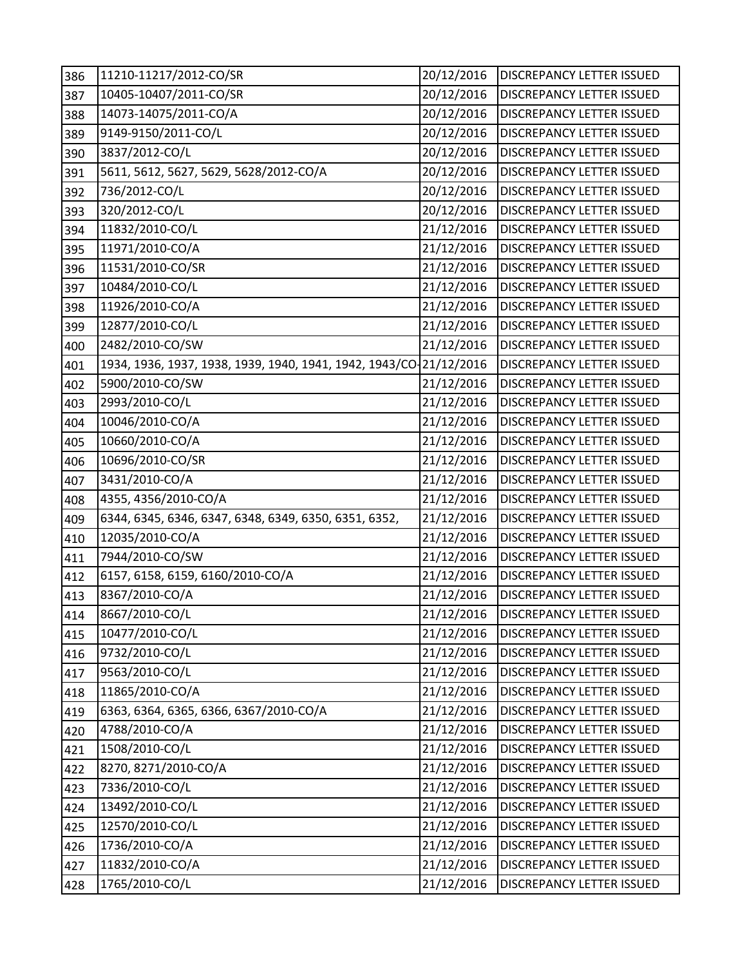| 386 | 11210-11217/2012-CO/SR                                             | 20/12/2016 | <b>DISCREPANCY LETTER ISSUED</b> |
|-----|--------------------------------------------------------------------|------------|----------------------------------|
| 387 | 10405-10407/2011-CO/SR                                             | 20/12/2016 | DISCREPANCY LETTER ISSUED        |
| 388 | 14073-14075/2011-CO/A                                              | 20/12/2016 | DISCREPANCY LETTER ISSUED        |
| 389 | 9149-9150/2011-CO/L                                                | 20/12/2016 | DISCREPANCY LETTER ISSUED        |
| 390 | 3837/2012-CO/L                                                     | 20/12/2016 | DISCREPANCY LETTER ISSUED        |
| 391 | 5611, 5612, 5627, 5629, 5628/2012-CO/A                             | 20/12/2016 | DISCREPANCY LETTER ISSUED        |
| 392 | 736/2012-CO/L                                                      | 20/12/2016 | DISCREPANCY LETTER ISSUED        |
| 393 | 320/2012-CO/L                                                      | 20/12/2016 | <b>DISCREPANCY LETTER ISSUED</b> |
| 394 | 11832/2010-CO/L                                                    | 21/12/2016 | DISCREPANCY LETTER ISSUED        |
| 395 | 11971/2010-CO/A                                                    | 21/12/2016 | DISCREPANCY LETTER ISSUED        |
| 396 | 11531/2010-CO/SR                                                   | 21/12/2016 | DISCREPANCY LETTER ISSUED        |
| 397 | 10484/2010-CO/L                                                    | 21/12/2016 | DISCREPANCY LETTER ISSUED        |
| 398 | 11926/2010-CO/A                                                    | 21/12/2016 | DISCREPANCY LETTER ISSUED        |
| 399 | 12877/2010-CO/L                                                    | 21/12/2016 | DISCREPANCY LETTER ISSUED        |
| 400 | 2482/2010-CO/SW                                                    | 21/12/2016 | DISCREPANCY LETTER ISSUED        |
| 401 | 1934, 1936, 1937, 1938, 1939, 1940, 1941, 1942, 1943/CO-21/12/2016 |            | DISCREPANCY LETTER ISSUED        |
| 402 | 5900/2010-CO/SW                                                    | 21/12/2016 | DISCREPANCY LETTER ISSUED        |
| 403 | 2993/2010-CO/L                                                     | 21/12/2016 | DISCREPANCY LETTER ISSUED        |
| 404 | 10046/2010-CO/A                                                    | 21/12/2016 | DISCREPANCY LETTER ISSUED        |
| 405 | 10660/2010-CO/A                                                    | 21/12/2016 | DISCREPANCY LETTER ISSUED        |
| 406 | 10696/2010-CO/SR                                                   | 21/12/2016 | DISCREPANCY LETTER ISSUED        |
| 407 | 3431/2010-CO/A                                                     | 21/12/2016 | DISCREPANCY LETTER ISSUED        |
| 408 | 4355, 4356/2010-CO/A                                               | 21/12/2016 | DISCREPANCY LETTER ISSUED        |
| 409 | 6344, 6345, 6346, 6347, 6348, 6349, 6350, 6351, 6352,              | 21/12/2016 | DISCREPANCY LETTER ISSUED        |
| 410 | 12035/2010-CO/A                                                    | 21/12/2016 | DISCREPANCY LETTER ISSUED        |
| 411 | 7944/2010-CO/SW                                                    | 21/12/2016 | DISCREPANCY LETTER ISSUED        |
| 412 | 6157, 6158, 6159, 6160/2010-CO/A                                   | 21/12/2016 | DISCREPANCY LETTER ISSUED        |
| 413 | 8367/2010-CO/A                                                     | 21/12/2016 | DISCREPANCY LETTER ISSUED        |
| 414 | 8667/2010-CO/L                                                     | 21/12/2016 | <b>DISCREPANCY LETTER ISSUED</b> |
| 415 | 10477/2010-CO/L                                                    | 21/12/2016 | DISCREPANCY LETTER ISSUED        |
| 416 | 9732/2010-CO/L                                                     | 21/12/2016 | <b>DISCREPANCY LETTER ISSUED</b> |
| 417 | 9563/2010-CO/L                                                     | 21/12/2016 | DISCREPANCY LETTER ISSUED        |
| 418 | 11865/2010-CO/A                                                    | 21/12/2016 | DISCREPANCY LETTER ISSUED        |
| 419 | 6363, 6364, 6365, 6366, 6367/2010-CO/A                             | 21/12/2016 | DISCREPANCY LETTER ISSUED        |
| 420 | 4788/2010-CO/A                                                     | 21/12/2016 | <b>DISCREPANCY LETTER ISSUED</b> |
| 421 | 1508/2010-CO/L                                                     | 21/12/2016 | DISCREPANCY LETTER ISSUED        |
| 422 | 8270, 8271/2010-CO/A                                               | 21/12/2016 | DISCREPANCY LETTER ISSUED        |
| 423 | 7336/2010-CO/L                                                     | 21/12/2016 | DISCREPANCY LETTER ISSUED        |
| 424 | 13492/2010-CO/L                                                    | 21/12/2016 | DISCREPANCY LETTER ISSUED        |
| 425 | 12570/2010-CO/L                                                    | 21/12/2016 | DISCREPANCY LETTER ISSUED        |
| 426 | 1736/2010-CO/A                                                     | 21/12/2016 | DISCREPANCY LETTER ISSUED        |
| 427 | 11832/2010-CO/A                                                    | 21/12/2016 | DISCREPANCY LETTER ISSUED        |
| 428 | 1765/2010-CO/L                                                     | 21/12/2016 | <b>DISCREPANCY LETTER ISSUED</b> |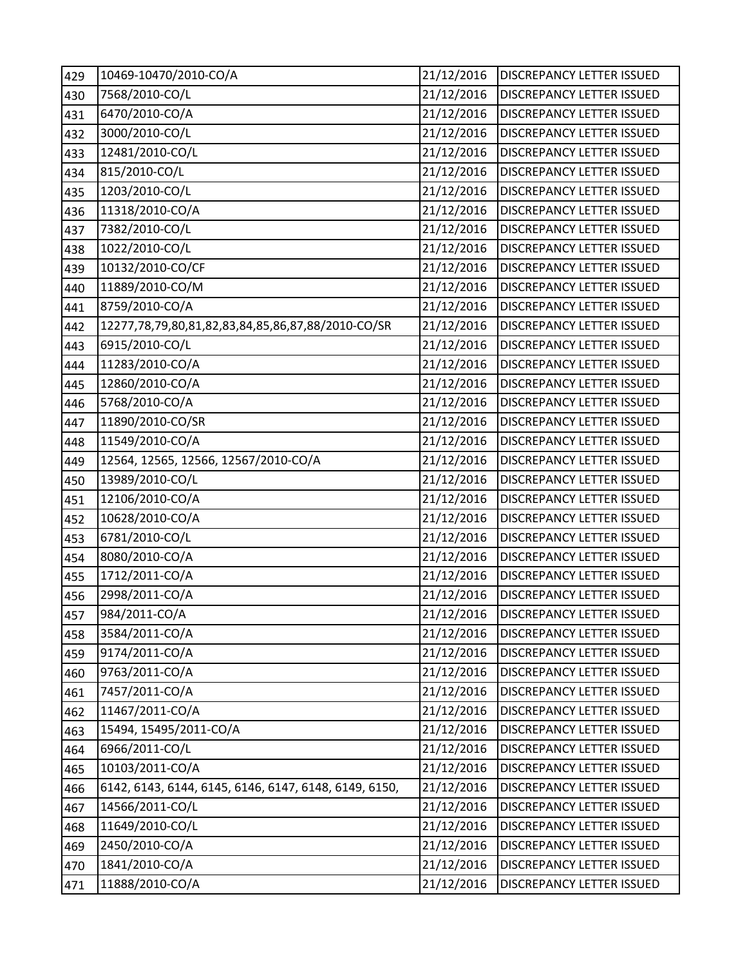| 429 | 10469-10470/2010-CO/A                                 | 21/12/2016 | <b>DISCREPANCY LETTER ISSUED</b> |
|-----|-------------------------------------------------------|------------|----------------------------------|
| 430 | 7568/2010-CO/L                                        | 21/12/2016 | DISCREPANCY LETTER ISSUED        |
| 431 | 6470/2010-CO/A                                        | 21/12/2016 | <b>DISCREPANCY LETTER ISSUED</b> |
| 432 | 3000/2010-CO/L                                        | 21/12/2016 | DISCREPANCY LETTER ISSUED        |
| 433 | 12481/2010-CO/L                                       | 21/12/2016 | DISCREPANCY LETTER ISSUED        |
| 434 | 815/2010-CO/L                                         | 21/12/2016 | DISCREPANCY LETTER ISSUED        |
| 435 | 1203/2010-CO/L                                        | 21/12/2016 | DISCREPANCY LETTER ISSUED        |
| 436 | 11318/2010-CO/A                                       | 21/12/2016 | <b>DISCREPANCY LETTER ISSUED</b> |
| 437 | 7382/2010-CO/L                                        | 21/12/2016 | DISCREPANCY LETTER ISSUED        |
| 438 | 1022/2010-CO/L                                        | 21/12/2016 | DISCREPANCY LETTER ISSUED        |
| 439 | 10132/2010-CO/CF                                      | 21/12/2016 | DISCREPANCY LETTER ISSUED        |
| 440 | 11889/2010-CO/M                                       | 21/12/2016 | DISCREPANCY LETTER ISSUED        |
| 441 | 8759/2010-CO/A                                        | 21/12/2016 | DISCREPANCY LETTER ISSUED        |
| 442 | 12277,78,79,80,81,82,83,84,85,86,87,88/2010-CO/SR     | 21/12/2016 | DISCREPANCY LETTER ISSUED        |
| 443 | 6915/2010-CO/L                                        | 21/12/2016 | DISCREPANCY LETTER ISSUED        |
| 444 | 11283/2010-CO/A                                       | 21/12/2016 | DISCREPANCY LETTER ISSUED        |
| 445 | 12860/2010-CO/A                                       | 21/12/2016 | DISCREPANCY LETTER ISSUED        |
| 446 | 5768/2010-CO/A                                        | 21/12/2016 | DISCREPANCY LETTER ISSUED        |
| 447 | 11890/2010-CO/SR                                      | 21/12/2016 | DISCREPANCY LETTER ISSUED        |
| 448 | 11549/2010-CO/A                                       | 21/12/2016 | DISCREPANCY LETTER ISSUED        |
| 449 | 12564, 12565, 12566, 12567/2010-CO/A                  | 21/12/2016 | DISCREPANCY LETTER ISSUED        |
| 450 | 13989/2010-CO/L                                       | 21/12/2016 | DISCREPANCY LETTER ISSUED        |
| 451 | 12106/2010-CO/A                                       | 21/12/2016 | DISCREPANCY LETTER ISSUED        |
| 452 | 10628/2010-CO/A                                       | 21/12/2016 | DISCREPANCY LETTER ISSUED        |
| 453 | 6781/2010-CO/L                                        | 21/12/2016 | DISCREPANCY LETTER ISSUED        |
| 454 | 8080/2010-CO/A                                        | 21/12/2016 | DISCREPANCY LETTER ISSUED        |
| 455 | 1712/2011-CO/A                                        | 21/12/2016 | DISCREPANCY LETTER ISSUED        |
| 456 | 2998/2011-CO/A                                        | 21/12/2016 | <b>DISCREPANCY LETTER ISSUED</b> |
| 457 | 984/2011-CO/A                                         | 21/12/2016 | <b>DISCREPANCY LETTER ISSUED</b> |
| 458 | 3584/2011-CO/A                                        | 21/12/2016 | DISCREPANCY LETTER ISSUED        |
| 459 | 9174/2011-CO/A                                        | 21/12/2016 | <b>DISCREPANCY LETTER ISSUED</b> |
| 460 | 9763/2011-CO/A                                        | 21/12/2016 | DISCREPANCY LETTER ISSUED        |
| 461 | 7457/2011-CO/A                                        | 21/12/2016 | DISCREPANCY LETTER ISSUED        |
| 462 | 11467/2011-CO/A                                       | 21/12/2016 | DISCREPANCY LETTER ISSUED        |
| 463 | 15494, 15495/2011-CO/A                                | 21/12/2016 | <b>DISCREPANCY LETTER ISSUED</b> |
| 464 | 6966/2011-CO/L                                        | 21/12/2016 | DISCREPANCY LETTER ISSUED        |
| 465 | 10103/2011-CO/A                                       | 21/12/2016 | DISCREPANCY LETTER ISSUED        |
| 466 | 6142, 6143, 6144, 6145, 6146, 6147, 6148, 6149, 6150, | 21/12/2016 | DISCREPANCY LETTER ISSUED        |
| 467 | 14566/2011-CO/L                                       | 21/12/2016 | DISCREPANCY LETTER ISSUED        |
| 468 | 11649/2010-CO/L                                       | 21/12/2016 | DISCREPANCY LETTER ISSUED        |
| 469 | 2450/2010-CO/A                                        | 21/12/2016 | DISCREPANCY LETTER ISSUED        |
| 470 | 1841/2010-CO/A                                        | 21/12/2016 | DISCREPANCY LETTER ISSUED        |
| 471 | 11888/2010-CO/A                                       | 21/12/2016 | DISCREPANCY LETTER ISSUED        |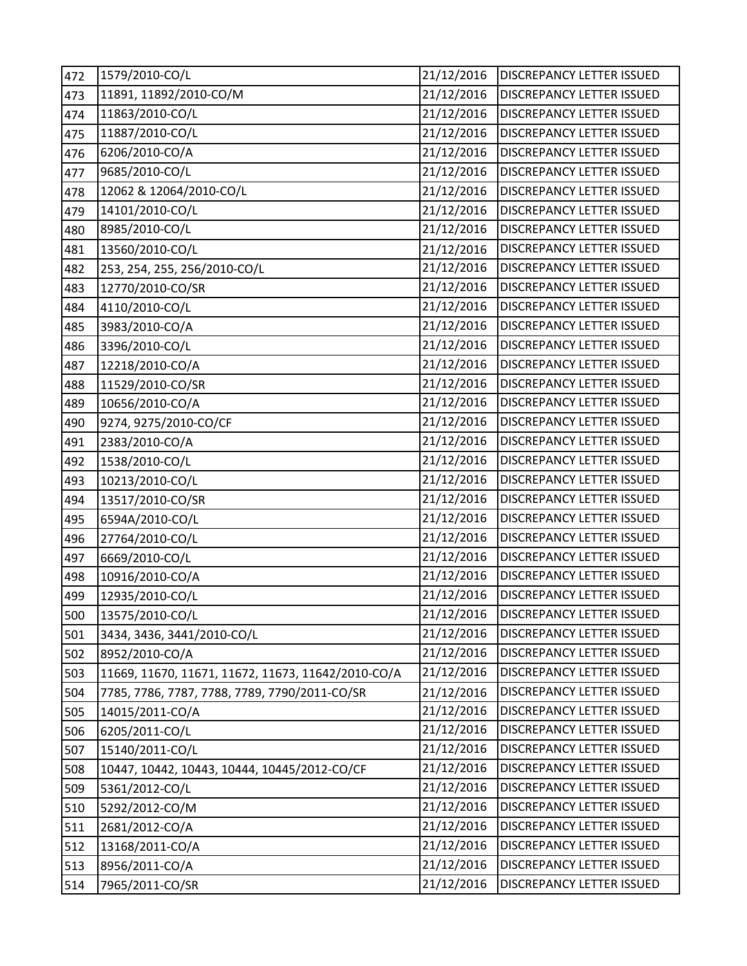| 472 | 1579/2010-CO/L                                     | 21/12/2016 | DISCREPANCY LETTER ISSUED        |
|-----|----------------------------------------------------|------------|----------------------------------|
| 473 | 11891, 11892/2010-CO/M                             | 21/12/2016 | DISCREPANCY LETTER ISSUED        |
| 474 | 11863/2010-CO/L                                    | 21/12/2016 | DISCREPANCY LETTER ISSUED        |
| 475 | 11887/2010-CO/L                                    | 21/12/2016 | DISCREPANCY LETTER ISSUED        |
| 476 | 6206/2010-CO/A                                     | 21/12/2016 | DISCREPANCY LETTER ISSUED        |
| 477 | 9685/2010-CO/L                                     | 21/12/2016 | DISCREPANCY LETTER ISSUED        |
| 478 | 12062 & 12064/2010-CO/L                            | 21/12/2016 | DISCREPANCY LETTER ISSUED        |
| 479 | 14101/2010-CO/L                                    | 21/12/2016 | DISCREPANCY LETTER ISSUED        |
| 480 | 8985/2010-CO/L                                     | 21/12/2016 | DISCREPANCY LETTER ISSUED        |
| 481 | 13560/2010-CO/L                                    | 21/12/2016 | DISCREPANCY LETTER ISSUED        |
| 482 | 253, 254, 255, 256/2010-CO/L                       | 21/12/2016 | DISCREPANCY LETTER ISSUED        |
| 483 | 12770/2010-CO/SR                                   | 21/12/2016 | DISCREPANCY LETTER ISSUED        |
| 484 | 4110/2010-CO/L                                     | 21/12/2016 | DISCREPANCY LETTER ISSUED        |
| 485 | 3983/2010-CO/A                                     | 21/12/2016 | DISCREPANCY LETTER ISSUED        |
| 486 | 3396/2010-CO/L                                     | 21/12/2016 | DISCREPANCY LETTER ISSUED        |
| 487 | 12218/2010-CO/A                                    | 21/12/2016 | <b>DISCREPANCY LETTER ISSUED</b> |
| 488 | 11529/2010-CO/SR                                   | 21/12/2016 | DISCREPANCY LETTER ISSUED        |
| 489 | 10656/2010-CO/A                                    | 21/12/2016 | <b>DISCREPANCY LETTER ISSUED</b> |
| 490 | 9274, 9275/2010-CO/CF                              | 21/12/2016 | DISCREPANCY LETTER ISSUED        |
| 491 | 2383/2010-CO/A                                     | 21/12/2016 | DISCREPANCY LETTER ISSUED        |
| 492 | 1538/2010-CO/L                                     | 21/12/2016 | <b>DISCREPANCY LETTER ISSUED</b> |
| 493 | 10213/2010-CO/L                                    | 21/12/2016 | <b>DISCREPANCY LETTER ISSUED</b> |
| 494 | 13517/2010-CO/SR                                   | 21/12/2016 | DISCREPANCY LETTER ISSUED        |
| 495 | 6594A/2010-CO/L                                    | 21/12/2016 | <b>DISCREPANCY LETTER ISSUED</b> |
| 496 | 27764/2010-CO/L                                    | 21/12/2016 | DISCREPANCY LETTER ISSUED        |
| 497 | 6669/2010-CO/L                                     | 21/12/2016 | DISCREPANCY LETTER ISSUED        |
| 498 | 10916/2010-CO/A                                    | 21/12/2016 | DISCREPANCY LETTER ISSUED        |
| 499 | 12935/2010-CO/L                                    | 21/12/2016 | DISCREPANCY LETTER ISSUED        |
| 500 | 13575/2010-CO/L                                    | 21/12/2016 | <b>DISCREPANCY LETTER ISSUED</b> |
| 501 | 3434, 3436, 3441/2010-CO/L                         | 21/12/2016 | DISCREPANCY LETTER ISSUED        |
| 502 | 8952/2010-CO/A                                     | 21/12/2016 | DISCREPANCY LETTER ISSUED        |
| 503 | 11669, 11670, 11671, 11672, 11673, 11642/2010-CO/A | 21/12/2016 | <b>DISCREPANCY LETTER ISSUED</b> |
| 504 | 7785, 7786, 7787, 7788, 7789, 7790/2011-CO/SR      | 21/12/2016 | DISCREPANCY LETTER ISSUED        |
| 505 | 14015/2011-CO/A                                    | 21/12/2016 | DISCREPANCY LETTER ISSUED        |
| 506 | 6205/2011-CO/L                                     | 21/12/2016 | DISCREPANCY LETTER ISSUED        |
| 507 | 15140/2011-CO/L                                    | 21/12/2016 | <b>DISCREPANCY LETTER ISSUED</b> |
| 508 | 10447, 10442, 10443, 10444, 10445/2012-CO/CF       | 21/12/2016 | DISCREPANCY LETTER ISSUED        |
| 509 | 5361/2012-CO/L                                     | 21/12/2016 | DISCREPANCY LETTER ISSUED        |
| 510 | 5292/2012-CO/M                                     | 21/12/2016 | DISCREPANCY LETTER ISSUED        |
| 511 | 2681/2012-CO/A                                     | 21/12/2016 | DISCREPANCY LETTER ISSUED        |
| 512 | 13168/2011-CO/A                                    | 21/12/2016 | DISCREPANCY LETTER ISSUED        |
| 513 | 8956/2011-CO/A                                     | 21/12/2016 | DISCREPANCY LETTER ISSUED        |
| 514 | 7965/2011-CO/SR                                    | 21/12/2016 | DISCREPANCY LETTER ISSUED        |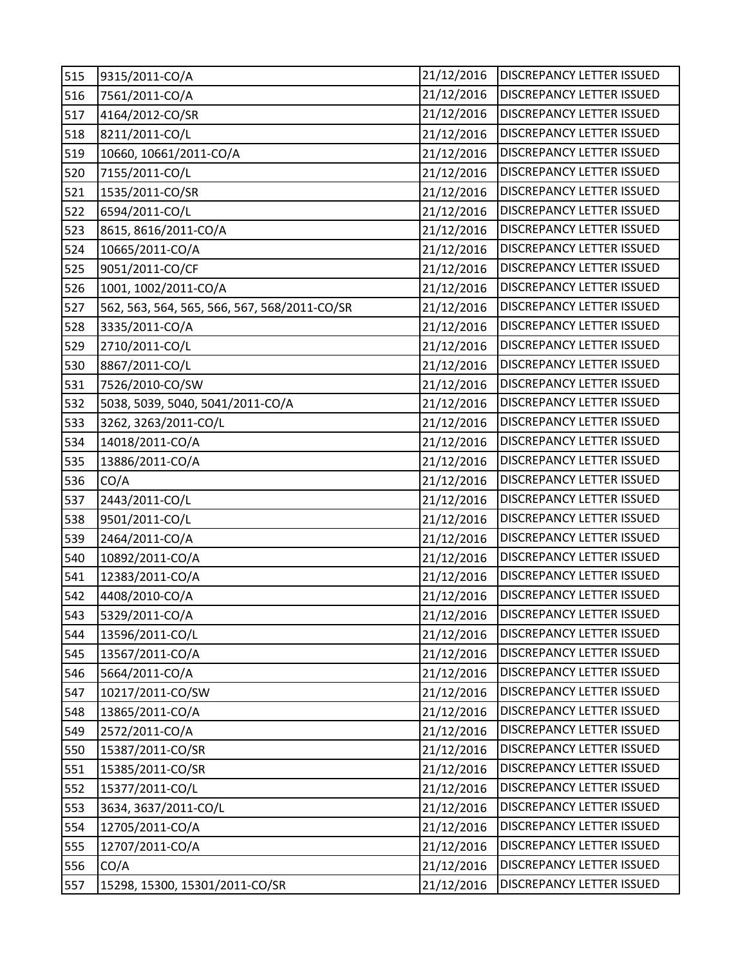| 515 | 9315/2011-CO/A                               | 21/12/2016 | <b>DISCREPANCY LETTER ISSUED</b> |
|-----|----------------------------------------------|------------|----------------------------------|
| 516 | 7561/2011-CO/A                               | 21/12/2016 | DISCREPANCY LETTER ISSUED        |
| 517 | 4164/2012-CO/SR                              | 21/12/2016 | DISCREPANCY LETTER ISSUED        |
| 518 | 8211/2011-CO/L                               | 21/12/2016 | DISCREPANCY LETTER ISSUED        |
| 519 | 10660, 10661/2011-CO/A                       | 21/12/2016 | DISCREPANCY LETTER ISSUED        |
| 520 | 7155/2011-CO/L                               | 21/12/2016 | DISCREPANCY LETTER ISSUED        |
| 521 | 1535/2011-CO/SR                              | 21/12/2016 | DISCREPANCY LETTER ISSUED        |
| 522 | 6594/2011-CO/L                               | 21/12/2016 | DISCREPANCY LETTER ISSUED        |
| 523 | 8615, 8616/2011-CO/A                         | 21/12/2016 | DISCREPANCY LETTER ISSUED        |
| 524 | 10665/2011-CO/A                              | 21/12/2016 | DISCREPANCY LETTER ISSUED        |
| 525 | 9051/2011-CO/CF                              | 21/12/2016 | DISCREPANCY LETTER ISSUED        |
| 526 | 1001, 1002/2011-CO/A                         | 21/12/2016 | DISCREPANCY LETTER ISSUED        |
| 527 | 562, 563, 564, 565, 566, 567, 568/2011-CO/SR | 21/12/2016 | DISCREPANCY LETTER ISSUED        |
| 528 | 3335/2011-CO/A                               | 21/12/2016 | DISCREPANCY LETTER ISSUED        |
| 529 | 2710/2011-CO/L                               | 21/12/2016 | DISCREPANCY LETTER ISSUED        |
| 530 | 8867/2011-CO/L                               | 21/12/2016 | DISCREPANCY LETTER ISSUED        |
| 531 | 7526/2010-CO/SW                              | 21/12/2016 | DISCREPANCY LETTER ISSUED        |
| 532 | 5038, 5039, 5040, 5041/2011-CO/A             | 21/12/2016 | DISCREPANCY LETTER ISSUED        |
| 533 | 3262, 3263/2011-CO/L                         | 21/12/2016 | <b>DISCREPANCY LETTER ISSUED</b> |
| 534 | 14018/2011-CO/A                              | 21/12/2016 | DISCREPANCY LETTER ISSUED        |
| 535 | 13886/2011-CO/A                              | 21/12/2016 | DISCREPANCY LETTER ISSUED        |
| 536 | CO/A                                         | 21/12/2016 | DISCREPANCY LETTER ISSUED        |
| 537 | 2443/2011-CO/L                               | 21/12/2016 | DISCREPANCY LETTER ISSUED        |
| 538 | 9501/2011-CO/L                               | 21/12/2016 | DISCREPANCY LETTER ISSUED        |
| 539 | 2464/2011-CO/A                               | 21/12/2016 | DISCREPANCY LETTER ISSUED        |
| 540 | 10892/2011-CO/A                              | 21/12/2016 | DISCREPANCY LETTER ISSUED        |
| 541 | 12383/2011-CO/A                              | 21/12/2016 | DISCREPANCY LETTER ISSUED        |
| 542 | 4408/2010-CO/A                               | 21/12/2016 | DISCREPANCY LETTER ISSUED        |
| 543 | 5329/2011-CO/A                               | 21/12/2016 | <b>DISCREPANCY LETTER ISSUED</b> |
| 544 | 13596/2011-CO/L                              | 21/12/2016 | DISCREPANCY LETTER ISSUED        |
| 545 | 13567/2011-CO/A                              | 21/12/2016 | DISCREPANCY LETTER ISSUED        |
| 546 | 5664/2011-CO/A                               | 21/12/2016 | DISCREPANCY LETTER ISSUED        |
| 547 | 10217/2011-CO/SW                             | 21/12/2016 | DISCREPANCY LETTER ISSUED        |
| 548 | 13865/2011-CO/A                              | 21/12/2016 | <b>DISCREPANCY LETTER ISSUED</b> |
| 549 | 2572/2011-CO/A                               | 21/12/2016 | DISCREPANCY LETTER ISSUED        |
| 550 | 15387/2011-CO/SR                             | 21/12/2016 | DISCREPANCY LETTER ISSUED        |
| 551 | 15385/2011-CO/SR                             | 21/12/2016 | DISCREPANCY LETTER ISSUED        |
| 552 | 15377/2011-CO/L                              | 21/12/2016 | DISCREPANCY LETTER ISSUED        |
| 553 | 3634, 3637/2011-CO/L                         | 21/12/2016 | DISCREPANCY LETTER ISSUED        |
| 554 | 12705/2011-CO/A                              | 21/12/2016 | DISCREPANCY LETTER ISSUED        |
| 555 | 12707/2011-CO/A                              | 21/12/2016 | DISCREPANCY LETTER ISSUED        |
| 556 | CO/A                                         | 21/12/2016 | DISCREPANCY LETTER ISSUED        |
| 557 | 15298, 15300, 15301/2011-CO/SR               | 21/12/2016 | DISCREPANCY LETTER ISSUED        |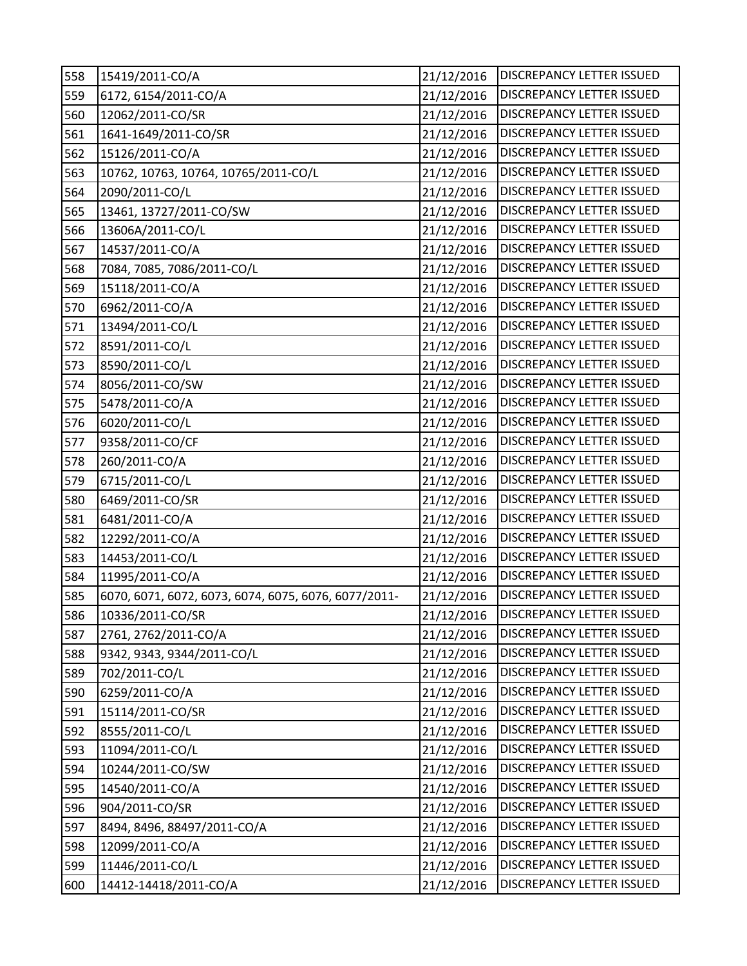| 558 | 15419/2011-CO/A                                      | 21/12/2016 | <b>DISCREPANCY LETTER ISSUED</b> |
|-----|------------------------------------------------------|------------|----------------------------------|
| 559 | 6172, 6154/2011-CO/A                                 | 21/12/2016 | DISCREPANCY LETTER ISSUED        |
| 560 | 12062/2011-CO/SR                                     | 21/12/2016 | DISCREPANCY LETTER ISSUED        |
| 561 | 1641-1649/2011-CO/SR                                 | 21/12/2016 | DISCREPANCY LETTER ISSUED        |
| 562 | 15126/2011-CO/A                                      | 21/12/2016 | DISCREPANCY LETTER ISSUED        |
| 563 | 10762, 10763, 10764, 10765/2011-CO/L                 | 21/12/2016 | DISCREPANCY LETTER ISSUED        |
| 564 | 2090/2011-CO/L                                       | 21/12/2016 | DISCREPANCY LETTER ISSUED        |
| 565 | 13461, 13727/2011-CO/SW                              | 21/12/2016 | DISCREPANCY LETTER ISSUED        |
| 566 | 13606A/2011-CO/L                                     | 21/12/2016 | DISCREPANCY LETTER ISSUED        |
| 567 | 14537/2011-CO/A                                      | 21/12/2016 | DISCREPANCY LETTER ISSUED        |
| 568 | 7084, 7085, 7086/2011-CO/L                           | 21/12/2016 | DISCREPANCY LETTER ISSUED        |
| 569 | 15118/2011-CO/A                                      | 21/12/2016 | DISCREPANCY LETTER ISSUED        |
| 570 | 6962/2011-CO/A                                       | 21/12/2016 | DISCREPANCY LETTER ISSUED        |
| 571 | 13494/2011-CO/L                                      | 21/12/2016 | DISCREPANCY LETTER ISSUED        |
| 572 | 8591/2011-CO/L                                       | 21/12/2016 | DISCREPANCY LETTER ISSUED        |
| 573 | 8590/2011-CO/L                                       | 21/12/2016 | DISCREPANCY LETTER ISSUED        |
| 574 | 8056/2011-CO/SW                                      | 21/12/2016 | <b>DISCREPANCY LETTER ISSUED</b> |
| 575 | 5478/2011-CO/A                                       | 21/12/2016 | DISCREPANCY LETTER ISSUED        |
| 576 | 6020/2011-CO/L                                       | 21/12/2016 | DISCREPANCY LETTER ISSUED        |
| 577 | 9358/2011-CO/CF                                      | 21/12/2016 | DISCREPANCY LETTER ISSUED        |
| 578 | 260/2011-CO/A                                        | 21/12/2016 | DISCREPANCY LETTER ISSUED        |
| 579 | 6715/2011-CO/L                                       | 21/12/2016 | <b>DISCREPANCY LETTER ISSUED</b> |
| 580 | 6469/2011-CO/SR                                      | 21/12/2016 | DISCREPANCY LETTER ISSUED        |
| 581 | 6481/2011-CO/A                                       | 21/12/2016 | DISCREPANCY LETTER ISSUED        |
| 582 | 12292/2011-CO/A                                      | 21/12/2016 | DISCREPANCY LETTER ISSUED        |
| 583 | 14453/2011-CO/L                                      | 21/12/2016 | DISCREPANCY LETTER ISSUED        |
| 584 | 11995/2011-CO/A                                      | 21/12/2016 | DISCREPANCY LETTER ISSUED        |
| 585 | 6070, 6071, 6072, 6073, 6074, 6075, 6076, 6077/2011- | 21/12/2016 | DISCREPANCY LETTER ISSUED        |
| 586 | 10336/2011-CO/SR                                     | 21/12/2016 | DISCREPANCY LETTER ISSUED        |
| 587 | 2761, 2762/2011-CO/A                                 | 21/12/2016 | DISCREPANCY LETTER ISSUED        |
| 588 | 9342, 9343, 9344/2011-CO/L                           | 21/12/2016 | DISCREPANCY LETTER ISSUED        |
| 589 | 702/2011-CO/L                                        | 21/12/2016 | DISCREPANCY LETTER ISSUED        |
| 590 | 6259/2011-CO/A                                       | 21/12/2016 | DISCREPANCY LETTER ISSUED        |
| 591 | 15114/2011-CO/SR                                     | 21/12/2016 | DISCREPANCY LETTER ISSUED        |
| 592 | 8555/2011-CO/L                                       | 21/12/2016 | DISCREPANCY LETTER ISSUED        |
| 593 | 11094/2011-CO/L                                      | 21/12/2016 | DISCREPANCY LETTER ISSUED        |
| 594 | 10244/2011-CO/SW                                     | 21/12/2016 | DISCREPANCY LETTER ISSUED        |
| 595 | 14540/2011-CO/A                                      | 21/12/2016 | DISCREPANCY LETTER ISSUED        |
| 596 | 904/2011-CO/SR                                       | 21/12/2016 | DISCREPANCY LETTER ISSUED        |
| 597 | 8494, 8496, 88497/2011-CO/A                          | 21/12/2016 | DISCREPANCY LETTER ISSUED        |
| 598 | 12099/2011-CO/A                                      | 21/12/2016 | DISCREPANCY LETTER ISSUED        |
| 599 | 11446/2011-CO/L                                      | 21/12/2016 | DISCREPANCY LETTER ISSUED        |
| 600 | 14412-14418/2011-CO/A                                | 21/12/2016 | DISCREPANCY LETTER ISSUED        |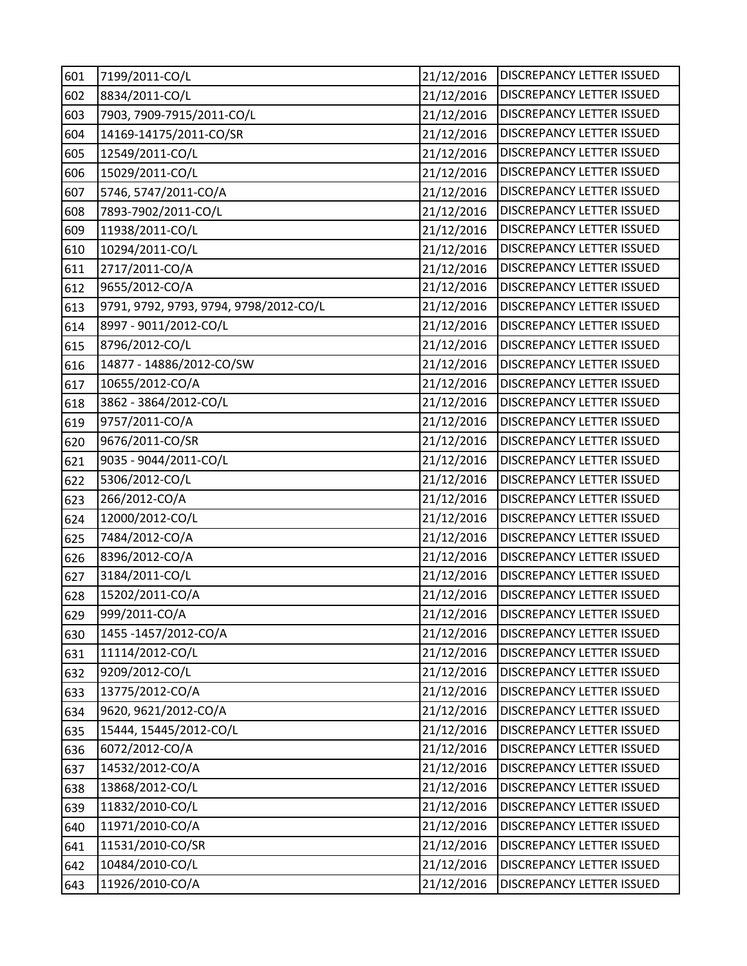| 601 | 7199/2011-CO/L                         | 21/12/2016 | DISCREPANCY LETTER ISSUED        |
|-----|----------------------------------------|------------|----------------------------------|
| 602 | 8834/2011-CO/L                         | 21/12/2016 | DISCREPANCY LETTER ISSUED        |
| 603 | 7903, 7909-7915/2011-CO/L              | 21/12/2016 | DISCREPANCY LETTER ISSUED        |
| 604 | 14169-14175/2011-CO/SR                 | 21/12/2016 | DISCREPANCY LETTER ISSUED        |
| 605 | 12549/2011-CO/L                        | 21/12/2016 | DISCREPANCY LETTER ISSUED        |
| 606 | 15029/2011-CO/L                        | 21/12/2016 | DISCREPANCY LETTER ISSUED        |
| 607 | 5746, 5747/2011-CO/A                   | 21/12/2016 | DISCREPANCY LETTER ISSUED        |
| 608 | 7893-7902/2011-CO/L                    | 21/12/2016 | DISCREPANCY LETTER ISSUED        |
| 609 | 11938/2011-CO/L                        | 21/12/2016 | DISCREPANCY LETTER ISSUED        |
| 610 | 10294/2011-CO/L                        | 21/12/2016 | DISCREPANCY LETTER ISSUED        |
| 611 | 2717/2011-CO/A                         | 21/12/2016 | DISCREPANCY LETTER ISSUED        |
| 612 | 9655/2012-CO/A                         | 21/12/2016 | DISCREPANCY LETTER ISSUED        |
| 613 | 9791, 9792, 9793, 9794, 9798/2012-CO/L | 21/12/2016 | DISCREPANCY LETTER ISSUED        |
| 614 | 8997 - 9011/2012-CO/L                  | 21/12/2016 | DISCREPANCY LETTER ISSUED        |
| 615 | 8796/2012-CO/L                         | 21/12/2016 | DISCREPANCY LETTER ISSUED        |
| 616 | 14877 - 14886/2012-CO/SW               | 21/12/2016 | DISCREPANCY LETTER ISSUED        |
| 617 | 10655/2012-CO/A                        | 21/12/2016 | DISCREPANCY LETTER ISSUED        |
| 618 | 3862 - 3864/2012-CO/L                  | 21/12/2016 | <b>DISCREPANCY LETTER ISSUED</b> |
| 619 | 9757/2011-CO/A                         | 21/12/2016 | <b>DISCREPANCY LETTER ISSUED</b> |
| 620 | 9676/2011-CO/SR                        | 21/12/2016 | DISCREPANCY LETTER ISSUED        |
| 621 | 9035 - 9044/2011-CO/L                  | 21/12/2016 | DISCREPANCY LETTER ISSUED        |
| 622 | 5306/2012-CO/L                         | 21/12/2016 | DISCREPANCY LETTER ISSUED        |
| 623 | 266/2012-CO/A                          | 21/12/2016 | DISCREPANCY LETTER ISSUED        |
| 624 | 12000/2012-CO/L                        | 21/12/2016 | DISCREPANCY LETTER ISSUED        |
| 625 | 7484/2012-CO/A                         | 21/12/2016 | DISCREPANCY LETTER ISSUED        |
| 626 | 8396/2012-CO/A                         | 21/12/2016 | DISCREPANCY LETTER ISSUED        |
| 627 | 3184/2011-CO/L                         | 21/12/2016 | DISCREPANCY LETTER ISSUED        |
| 628 | 15202/2011-CO/A                        | 21/12/2016 | <b>DISCREPANCY LETTER ISSUED</b> |
| 629 | 999/2011-CO/A                          | 21/12/2016 | <b>DISCREPANCY LETTER ISSUED</b> |
| 630 | 1455-1457/2012-CO/A                    | 21/12/2016 | DISCREPANCY LETTER ISSUED        |
| 631 | 11114/2012-CO/L                        | 21/12/2016 | DISCREPANCY LETTER ISSUED        |
| 632 | 9209/2012-CO/L                         | 21/12/2016 | DISCREPANCY LETTER ISSUED        |
| 633 | 13775/2012-CO/A                        | 21/12/2016 | DISCREPANCY LETTER ISSUED        |
| 634 | 9620, 9621/2012-CO/A                   | 21/12/2016 | DISCREPANCY LETTER ISSUED        |
| 635 | 15444, 15445/2012-CO/L                 | 21/12/2016 | DISCREPANCY LETTER ISSUED        |
| 636 | 6072/2012-CO/A                         | 21/12/2016 | DISCREPANCY LETTER ISSUED        |
| 637 | 14532/2012-CO/A                        | 21/12/2016 | DISCREPANCY LETTER ISSUED        |
| 638 | 13868/2012-CO/L                        | 21/12/2016 | DISCREPANCY LETTER ISSUED        |
| 639 | 11832/2010-CO/L                        | 21/12/2016 | DISCREPANCY LETTER ISSUED        |
| 640 | 11971/2010-CO/A                        | 21/12/2016 | <b>DISCREPANCY LETTER ISSUED</b> |
| 641 | 11531/2010-CO/SR                       | 21/12/2016 | DISCREPANCY LETTER ISSUED        |
| 642 | 10484/2010-CO/L                        | 21/12/2016 | DISCREPANCY LETTER ISSUED        |
| 643 | 11926/2010-CO/A                        | 21/12/2016 | DISCREPANCY LETTER ISSUED        |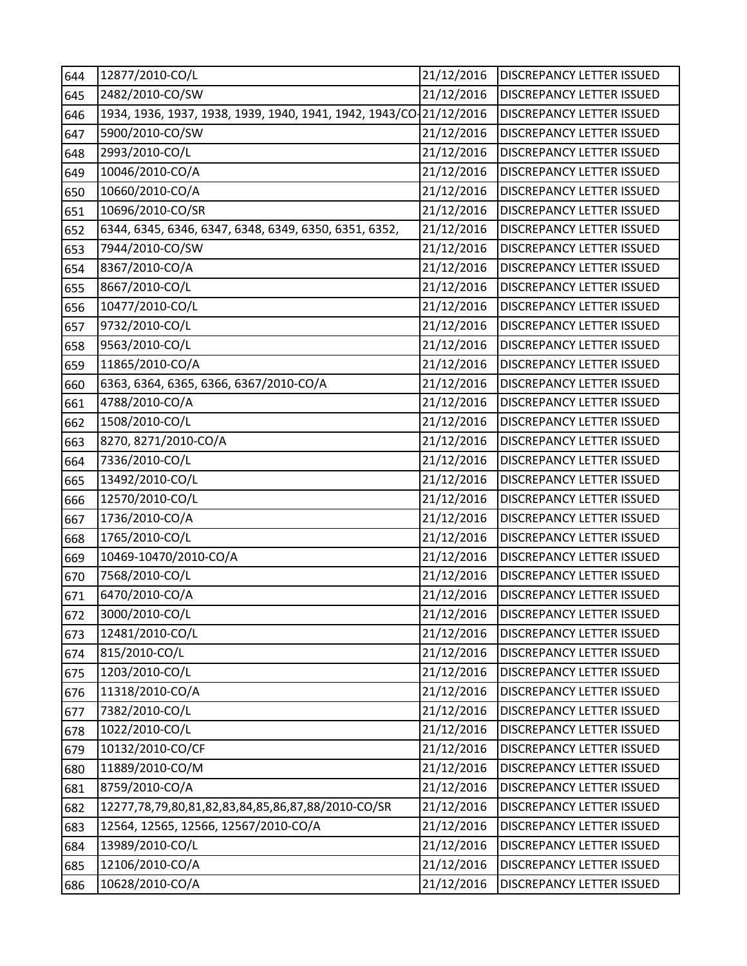| 644 | 12877/2010-CO/L                                                    | 21/12/2016 | <b>DISCREPANCY LETTER ISSUED</b> |
|-----|--------------------------------------------------------------------|------------|----------------------------------|
| 645 | 2482/2010-CO/SW                                                    | 21/12/2016 | DISCREPANCY LETTER ISSUED        |
| 646 | 1934, 1936, 1937, 1938, 1939, 1940, 1941, 1942, 1943/CO-21/12/2016 |            | <b>DISCREPANCY LETTER ISSUED</b> |
| 647 | 5900/2010-CO/SW                                                    | 21/12/2016 | DISCREPANCY LETTER ISSUED        |
| 648 | 2993/2010-CO/L                                                     | 21/12/2016 | DISCREPANCY LETTER ISSUED        |
| 649 | 10046/2010-CO/A                                                    | 21/12/2016 | DISCREPANCY LETTER ISSUED        |
| 650 | 10660/2010-CO/A                                                    | 21/12/2016 | DISCREPANCY LETTER ISSUED        |
| 651 | 10696/2010-CO/SR                                                   | 21/12/2016 | <b>DISCREPANCY LETTER ISSUED</b> |
| 652 | 6344, 6345, 6346, 6347, 6348, 6349, 6350, 6351, 6352,              | 21/12/2016 | DISCREPANCY LETTER ISSUED        |
| 653 | 7944/2010-CO/SW                                                    | 21/12/2016 | DISCREPANCY LETTER ISSUED        |
| 654 | 8367/2010-CO/A                                                     | 21/12/2016 | DISCREPANCY LETTER ISSUED        |
| 655 | 8667/2010-CO/L                                                     | 21/12/2016 | DISCREPANCY LETTER ISSUED        |
| 656 | 10477/2010-CO/L                                                    | 21/12/2016 | DISCREPANCY LETTER ISSUED        |
| 657 | 9732/2010-CO/L                                                     | 21/12/2016 | DISCREPANCY LETTER ISSUED        |
| 658 | 9563/2010-CO/L                                                     | 21/12/2016 | DISCREPANCY LETTER ISSUED        |
| 659 | 11865/2010-CO/A                                                    | 21/12/2016 | DISCREPANCY LETTER ISSUED        |
| 660 | 6363, 6364, 6365, 6366, 6367/2010-CO/A                             | 21/12/2016 | DISCREPANCY LETTER ISSUED        |
| 661 | 4788/2010-CO/A                                                     | 21/12/2016 | DISCREPANCY LETTER ISSUED        |
| 662 | 1508/2010-CO/L                                                     | 21/12/2016 | DISCREPANCY LETTER ISSUED        |
| 663 | 8270, 8271/2010-CO/A                                               | 21/12/2016 | DISCREPANCY LETTER ISSUED        |
| 664 | 7336/2010-CO/L                                                     | 21/12/2016 | DISCREPANCY LETTER ISSUED        |
| 665 | 13492/2010-CO/L                                                    | 21/12/2016 | DISCREPANCY LETTER ISSUED        |
| 666 | 12570/2010-CO/L                                                    | 21/12/2016 | DISCREPANCY LETTER ISSUED        |
| 667 | 1736/2010-CO/A                                                     | 21/12/2016 | DISCREPANCY LETTER ISSUED        |
| 668 | 1765/2010-CO/L                                                     | 21/12/2016 | DISCREPANCY LETTER ISSUED        |
| 669 | 10469-10470/2010-CO/A                                              | 21/12/2016 | DISCREPANCY LETTER ISSUED        |
| 670 | 7568/2010-CO/L                                                     | 21/12/2016 | DISCREPANCY LETTER ISSUED        |
| 671 | 6470/2010-CO/A                                                     | 21/12/2016 | DISCREPANCY LETTER ISSUED        |
| 672 | 3000/2010-CO/L                                                     | 21/12/2016 | <b>DISCREPANCY LETTER ISSUED</b> |
| 673 | 12481/2010-CO/L                                                    | 21/12/2016 | DISCREPANCY LETTER ISSUED        |
| 674 | 815/2010-CO/L                                                      | 21/12/2016 | <b>DISCREPANCY LETTER ISSUED</b> |
| 675 | 1203/2010-CO/L                                                     | 21/12/2016 | DISCREPANCY LETTER ISSUED        |
| 676 | 11318/2010-CO/A                                                    | 21/12/2016 | DISCREPANCY LETTER ISSUED        |
| 677 | 7382/2010-CO/L                                                     | 21/12/2016 | DISCREPANCY LETTER ISSUED        |
| 678 | 1022/2010-CO/L                                                     | 21/12/2016 | <b>DISCREPANCY LETTER ISSUED</b> |
| 679 | 10132/2010-CO/CF                                                   | 21/12/2016 | DISCREPANCY LETTER ISSUED        |
| 680 | 11889/2010-CO/M                                                    | 21/12/2016 | DISCREPANCY LETTER ISSUED        |
| 681 | 8759/2010-CO/A                                                     | 21/12/2016 | DISCREPANCY LETTER ISSUED        |
| 682 | 12277,78,79,80,81,82,83,84,85,86,87,88/2010-CO/SR                  | 21/12/2016 | DISCREPANCY LETTER ISSUED        |
| 683 | 12564, 12565, 12566, 12567/2010-CO/A                               | 21/12/2016 | DISCREPANCY LETTER ISSUED        |
| 684 | 13989/2010-CO/L                                                    | 21/12/2016 | DISCREPANCY LETTER ISSUED        |
| 685 | 12106/2010-CO/A                                                    | 21/12/2016 | DISCREPANCY LETTER ISSUED        |
| 686 | 10628/2010-CO/A                                                    | 21/12/2016 | DISCREPANCY LETTER ISSUED        |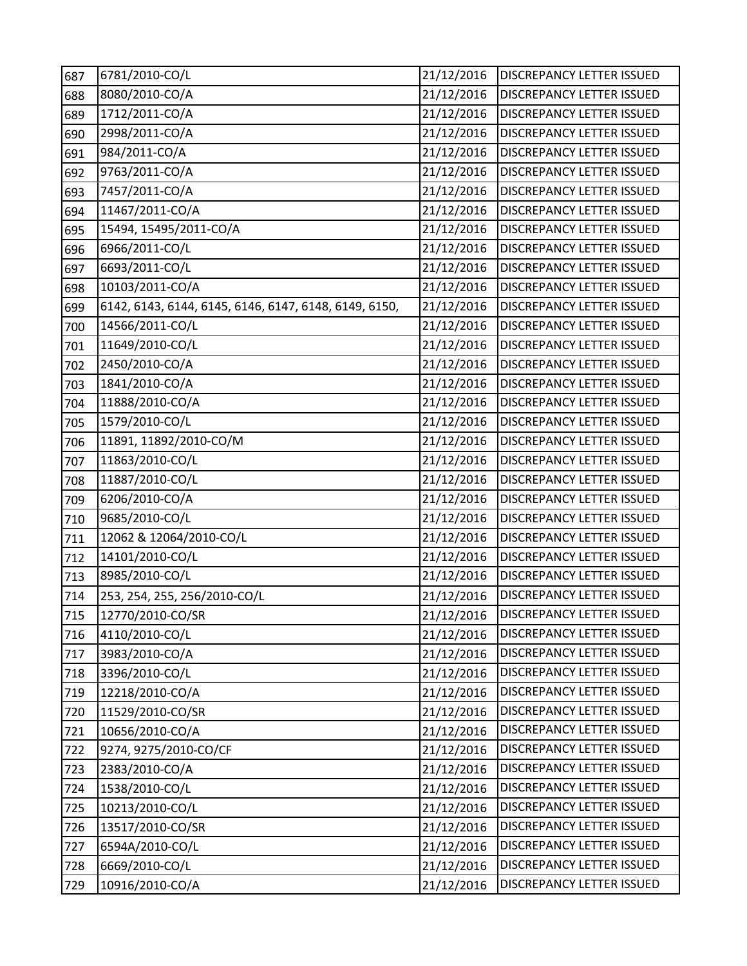| 687 | 6781/2010-CO/L                                        | 21/12/2016 | DISCREPANCY LETTER ISSUED        |
|-----|-------------------------------------------------------|------------|----------------------------------|
| 688 | 8080/2010-CO/A                                        | 21/12/2016 | DISCREPANCY LETTER ISSUED        |
| 689 | 1712/2011-CO/A                                        | 21/12/2016 | DISCREPANCY LETTER ISSUED        |
| 690 | 2998/2011-CO/A                                        | 21/12/2016 | DISCREPANCY LETTER ISSUED        |
| 691 | 984/2011-CO/A                                         | 21/12/2016 | DISCREPANCY LETTER ISSUED        |
| 692 | 9763/2011-CO/A                                        | 21/12/2016 | DISCREPANCY LETTER ISSUED        |
| 693 | 7457/2011-CO/A                                        | 21/12/2016 | DISCREPANCY LETTER ISSUED        |
| 694 | 11467/2011-CO/A                                       | 21/12/2016 | DISCREPANCY LETTER ISSUED        |
| 695 | 15494, 15495/2011-CO/A                                | 21/12/2016 | DISCREPANCY LETTER ISSUED        |
| 696 | 6966/2011-CO/L                                        | 21/12/2016 | DISCREPANCY LETTER ISSUED        |
| 697 | 6693/2011-CO/L                                        | 21/12/2016 | DISCREPANCY LETTER ISSUED        |
| 698 | 10103/2011-CO/A                                       | 21/12/2016 | DISCREPANCY LETTER ISSUED        |
| 699 | 6142, 6143, 6144, 6145, 6146, 6147, 6148, 6149, 6150, | 21/12/2016 | DISCREPANCY LETTER ISSUED        |
| 700 | 14566/2011-CO/L                                       | 21/12/2016 | DISCREPANCY LETTER ISSUED        |
| 701 | 11649/2010-CO/L                                       | 21/12/2016 | DISCREPANCY LETTER ISSUED        |
| 702 | 2450/2010-CO/A                                        | 21/12/2016 | <b>DISCREPANCY LETTER ISSUED</b> |
| 703 | 1841/2010-CO/A                                        | 21/12/2016 | DISCREPANCY LETTER ISSUED        |
| 704 | 11888/2010-CO/A                                       | 21/12/2016 | DISCREPANCY LETTER ISSUED        |
| 705 | 1579/2010-CO/L                                        | 21/12/2016 | DISCREPANCY LETTER ISSUED        |
| 706 | 11891, 11892/2010-CO/M                                | 21/12/2016 | DISCREPANCY LETTER ISSUED        |
| 707 | 11863/2010-CO/L                                       | 21/12/2016 | DISCREPANCY LETTER ISSUED        |
| 708 | 11887/2010-CO/L                                       | 21/12/2016 | DISCREPANCY LETTER ISSUED        |
| 709 | 6206/2010-CO/A                                        | 21/12/2016 | DISCREPANCY LETTER ISSUED        |
| 710 | 9685/2010-CO/L                                        | 21/12/2016 | DISCREPANCY LETTER ISSUED        |
| 711 | 12062 & 12064/2010-CO/L                               | 21/12/2016 | DISCREPANCY LETTER ISSUED        |
| 712 | 14101/2010-CO/L                                       | 21/12/2016 | DISCREPANCY LETTER ISSUED        |
| 713 | 8985/2010-CO/L                                        | 21/12/2016 | DISCREPANCY LETTER ISSUED        |
| 714 | 253, 254, 255, 256/2010-CO/L                          | 21/12/2016 | DISCREPANCY LETTER ISSUED        |
| 715 | 12770/2010-CO/SR                                      | 21/12/2016 | <b>DISCREPANCY LETTER ISSUED</b> |
| 716 | 4110/2010-CO/L                                        | 21/12/2016 | DISCREPANCY LETTER ISSUED        |
| 717 | 3983/2010-CO/A                                        | 21/12/2016 | DISCREPANCY LETTER ISSUED        |
| 718 | 3396/2010-CO/L                                        | 21/12/2016 | DISCREPANCY LETTER ISSUED        |
| 719 | 12218/2010-CO/A                                       | 21/12/2016 | DISCREPANCY LETTER ISSUED        |
| 720 | 11529/2010-CO/SR                                      | 21/12/2016 | DISCREPANCY LETTER ISSUED        |
| 721 | 10656/2010-CO/A                                       | 21/12/2016 | DISCREPANCY LETTER ISSUED        |
| 722 | 9274, 9275/2010-CO/CF                                 | 21/12/2016 | DISCREPANCY LETTER ISSUED        |
| 723 | 2383/2010-CO/A                                        | 21/12/2016 | DISCREPANCY LETTER ISSUED        |
| 724 | 1538/2010-CO/L                                        | 21/12/2016 | DISCREPANCY LETTER ISSUED        |
| 725 | 10213/2010-CO/L                                       | 21/12/2016 | DISCREPANCY LETTER ISSUED        |
| 726 | 13517/2010-CO/SR                                      | 21/12/2016 | DISCREPANCY LETTER ISSUED        |
| 727 | 6594A/2010-CO/L                                       | 21/12/2016 | DISCREPANCY LETTER ISSUED        |
| 728 | 6669/2010-CO/L                                        | 21/12/2016 | DISCREPANCY LETTER ISSUED        |
| 729 | 10916/2010-CO/A                                       | 21/12/2016 | DISCREPANCY LETTER ISSUED        |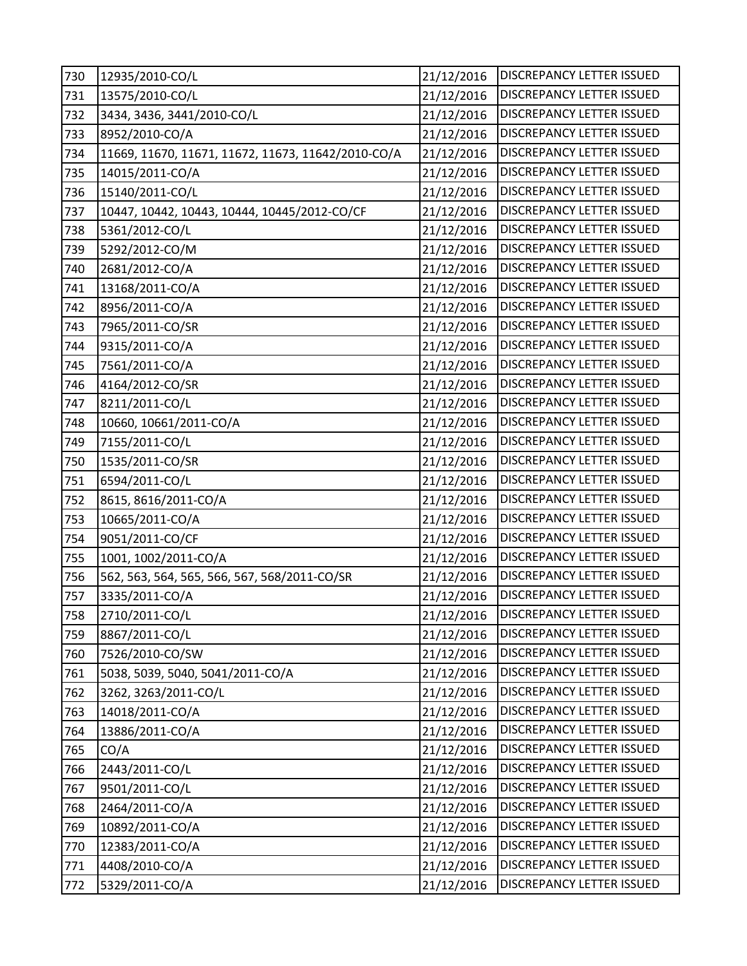| 730 | 12935/2010-CO/L                                    | 21/12/2016 | DISCREPANCY LETTER ISSUED        |
|-----|----------------------------------------------------|------------|----------------------------------|
| 731 | 13575/2010-CO/L                                    | 21/12/2016 | DISCREPANCY LETTER ISSUED        |
| 732 | 3434, 3436, 3441/2010-CO/L                         | 21/12/2016 | DISCREPANCY LETTER ISSUED        |
| 733 | 8952/2010-CO/A                                     | 21/12/2016 | DISCREPANCY LETTER ISSUED        |
| 734 | 11669, 11670, 11671, 11672, 11673, 11642/2010-CO/A | 21/12/2016 | DISCREPANCY LETTER ISSUED        |
| 735 | 14015/2011-CO/A                                    | 21/12/2016 | DISCREPANCY LETTER ISSUED        |
| 736 | 15140/2011-CO/L                                    | 21/12/2016 | DISCREPANCY LETTER ISSUED        |
| 737 | 10447, 10442, 10443, 10444, 10445/2012-CO/CF       | 21/12/2016 | DISCREPANCY LETTER ISSUED        |
| 738 | 5361/2012-CO/L                                     | 21/12/2016 | DISCREPANCY LETTER ISSUED        |
| 739 | 5292/2012-CO/M                                     | 21/12/2016 | DISCREPANCY LETTER ISSUED        |
| 740 | 2681/2012-CO/A                                     | 21/12/2016 | DISCREPANCY LETTER ISSUED        |
| 741 | 13168/2011-CO/A                                    | 21/12/2016 | DISCREPANCY LETTER ISSUED        |
| 742 | 8956/2011-CO/A                                     | 21/12/2016 | DISCREPANCY LETTER ISSUED        |
| 743 | 7965/2011-CO/SR                                    | 21/12/2016 | DISCREPANCY LETTER ISSUED        |
| 744 | 9315/2011-CO/A                                     | 21/12/2016 | DISCREPANCY LETTER ISSUED        |
| 745 | 7561/2011-CO/A                                     | 21/12/2016 | <b>DISCREPANCY LETTER ISSUED</b> |
| 746 | 4164/2012-CO/SR                                    | 21/12/2016 | DISCREPANCY LETTER ISSUED        |
| 747 | 8211/2011-CO/L                                     | 21/12/2016 | DISCREPANCY LETTER ISSUED        |
| 748 | 10660, 10661/2011-CO/A                             | 21/12/2016 | DISCREPANCY LETTER ISSUED        |
| 749 | 7155/2011-CO/L                                     | 21/12/2016 | DISCREPANCY LETTER ISSUED        |
| 750 | 1535/2011-CO/SR                                    | 21/12/2016 | DISCREPANCY LETTER ISSUED        |
| 751 | 6594/2011-CO/L                                     | 21/12/2016 | DISCREPANCY LETTER ISSUED        |
| 752 | 8615, 8616/2011-CO/A                               | 21/12/2016 | DISCREPANCY LETTER ISSUED        |
| 753 | 10665/2011-CO/A                                    | 21/12/2016 | DISCREPANCY LETTER ISSUED        |
| 754 | 9051/2011-CO/CF                                    | 21/12/2016 | DISCREPANCY LETTER ISSUED        |
| 755 | 1001, 1002/2011-CO/A                               | 21/12/2016 | DISCREPANCY LETTER ISSUED        |
| 756 | 562, 563, 564, 565, 566, 567, 568/2011-CO/SR       | 21/12/2016 | DISCREPANCY LETTER ISSUED        |
| 757 | 3335/2011-CO/A                                     | 21/12/2016 | DISCREPANCY LETTER ISSUED        |
| 758 | 2710/2011-CO/L                                     | 21/12/2016 | <b>DISCREPANCY LETTER ISSUED</b> |
| 759 | 8867/2011-CO/L                                     | 21/12/2016 | DISCREPANCY LETTER ISSUED        |
| 760 | 7526/2010-CO/SW                                    | 21/12/2016 | DISCREPANCY LETTER ISSUED        |
| 761 | 5038, 5039, 5040, 5041/2011-CO/A                   | 21/12/2016 | DISCREPANCY LETTER ISSUED        |
| 762 | 3262, 3263/2011-CO/L                               | 21/12/2016 | DISCREPANCY LETTER ISSUED        |
| 763 | 14018/2011-CO/A                                    | 21/12/2016 | DISCREPANCY LETTER ISSUED        |
| 764 | 13886/2011-CO/A                                    | 21/12/2016 | DISCREPANCY LETTER ISSUED        |
| 765 | CO/A                                               | 21/12/2016 | DISCREPANCY LETTER ISSUED        |
| 766 | 2443/2011-CO/L                                     | 21/12/2016 | DISCREPANCY LETTER ISSUED        |
| 767 | 9501/2011-CO/L                                     | 21/12/2016 | DISCREPANCY LETTER ISSUED        |
| 768 | 2464/2011-CO/A                                     | 21/12/2016 | DISCREPANCY LETTER ISSUED        |
| 769 | 10892/2011-CO/A                                    | 21/12/2016 | DISCREPANCY LETTER ISSUED        |
| 770 | 12383/2011-CO/A                                    | 21/12/2016 | DISCREPANCY LETTER ISSUED        |
| 771 | 4408/2010-CO/A                                     | 21/12/2016 | DISCREPANCY LETTER ISSUED        |
| 772 | 5329/2011-CO/A                                     | 21/12/2016 | DISCREPANCY LETTER ISSUED        |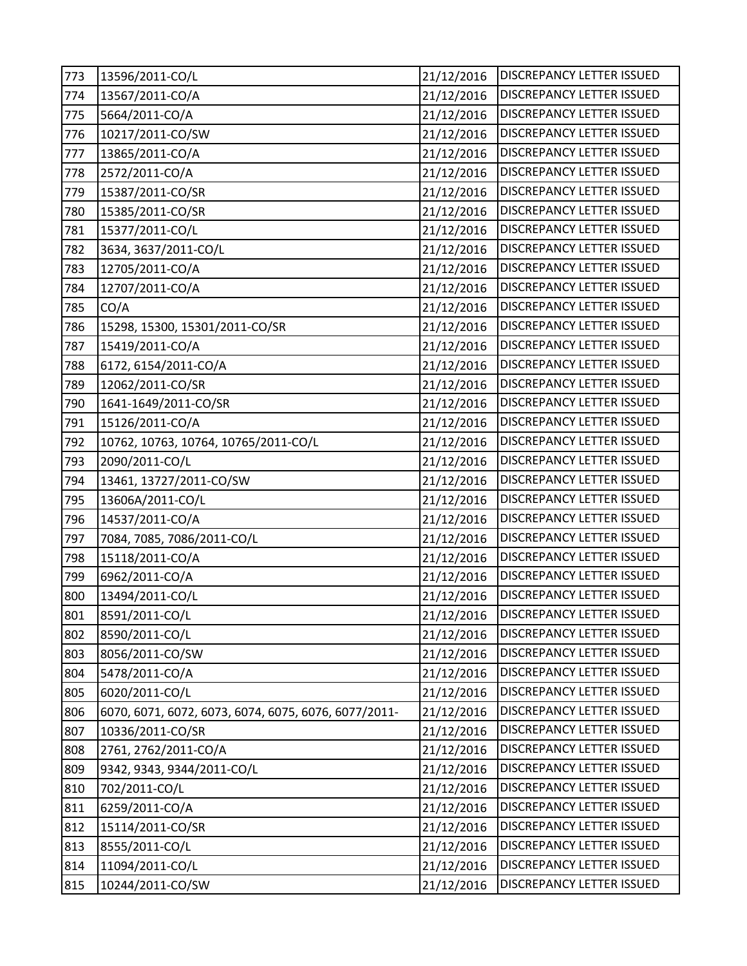| 773 | 13596/2011-CO/L                                      | 21/12/2016 | DISCREPANCY LETTER ISSUED        |
|-----|------------------------------------------------------|------------|----------------------------------|
| 774 | 13567/2011-CO/A                                      | 21/12/2016 | DISCREPANCY LETTER ISSUED        |
| 775 | 5664/2011-CO/A                                       | 21/12/2016 | <b>DISCREPANCY LETTER ISSUED</b> |
| 776 | 10217/2011-CO/SW                                     | 21/12/2016 | DISCREPANCY LETTER ISSUED        |
| 777 | 13865/2011-CO/A                                      | 21/12/2016 | DISCREPANCY LETTER ISSUED        |
| 778 | 2572/2011-CO/A                                       | 21/12/2016 | DISCREPANCY LETTER ISSUED        |
| 779 | 15387/2011-CO/SR                                     | 21/12/2016 | DISCREPANCY LETTER ISSUED        |
| 780 | 15385/2011-CO/SR                                     | 21/12/2016 | DISCREPANCY LETTER ISSUED        |
| 781 | 15377/2011-CO/L                                      | 21/12/2016 | DISCREPANCY LETTER ISSUED        |
| 782 | 3634, 3637/2011-CO/L                                 | 21/12/2016 | DISCREPANCY LETTER ISSUED        |
| 783 | 12705/2011-CO/A                                      | 21/12/2016 | DISCREPANCY LETTER ISSUED        |
| 784 | 12707/2011-CO/A                                      | 21/12/2016 | DISCREPANCY LETTER ISSUED        |
| 785 | CO/A                                                 | 21/12/2016 | DISCREPANCY LETTER ISSUED        |
| 786 | 15298, 15300, 15301/2011-CO/SR                       | 21/12/2016 | DISCREPANCY LETTER ISSUED        |
| 787 | 15419/2011-CO/A                                      | 21/12/2016 | DISCREPANCY LETTER ISSUED        |
| 788 | 6172, 6154/2011-CO/A                                 | 21/12/2016 | DISCREPANCY LETTER ISSUED        |
| 789 | 12062/2011-CO/SR                                     | 21/12/2016 | DISCREPANCY LETTER ISSUED        |
| 790 | 1641-1649/2011-CO/SR                                 | 21/12/2016 | DISCREPANCY LETTER ISSUED        |
| 791 | 15126/2011-CO/A                                      | 21/12/2016 | <b>DISCREPANCY LETTER ISSUED</b> |
| 792 | 10762, 10763, 10764, 10765/2011-CO/L                 | 21/12/2016 | DISCREPANCY LETTER ISSUED        |
| 793 | 2090/2011-CO/L                                       | 21/12/2016 | DISCREPANCY LETTER ISSUED        |
| 794 | 13461, 13727/2011-CO/SW                              | 21/12/2016 | DISCREPANCY LETTER ISSUED        |
| 795 | 13606A/2011-CO/L                                     | 21/12/2016 | DISCREPANCY LETTER ISSUED        |
| 796 | 14537/2011-CO/A                                      | 21/12/2016 | DISCREPANCY LETTER ISSUED        |
| 797 | 7084, 7085, 7086/2011-CO/L                           | 21/12/2016 | DISCREPANCY LETTER ISSUED        |
| 798 | 15118/2011-CO/A                                      | 21/12/2016 | DISCREPANCY LETTER ISSUED        |
| 799 | 6962/2011-CO/A                                       | 21/12/2016 | DISCREPANCY LETTER ISSUED        |
| 800 | 13494/2011-CO/L                                      | 21/12/2016 | DISCREPANCY LETTER ISSUED        |
| 801 | 8591/2011-CO/L                                       | 21/12/2016 | <b>DISCREPANCY LETTER ISSUED</b> |
| 802 | 8590/2011-CO/L                                       | 21/12/2016 | <b>DISCREPANCY LETTER ISSUED</b> |
| 803 | 8056/2011-CO/SW                                      | 21/12/2016 | DISCREPANCY LETTER ISSUED        |
| 804 | 5478/2011-CO/A                                       | 21/12/2016 | DISCREPANCY LETTER ISSUED        |
| 805 | 6020/2011-CO/L                                       | 21/12/2016 | DISCREPANCY LETTER ISSUED        |
| 806 | 6070, 6071, 6072, 6073, 6074, 6075, 6076, 6077/2011- | 21/12/2016 | DISCREPANCY LETTER ISSUED        |
| 807 | 10336/2011-CO/SR                                     | 21/12/2016 | DISCREPANCY LETTER ISSUED        |
| 808 | 2761, 2762/2011-CO/A                                 | 21/12/2016 | DISCREPANCY LETTER ISSUED        |
| 809 | 9342, 9343, 9344/2011-CO/L                           | 21/12/2016 | DISCREPANCY LETTER ISSUED        |
| 810 | 702/2011-CO/L                                        | 21/12/2016 | DISCREPANCY LETTER ISSUED        |
| 811 | 6259/2011-CO/A                                       | 21/12/2016 | DISCREPANCY LETTER ISSUED        |
| 812 | 15114/2011-CO/SR                                     | 21/12/2016 | DISCREPANCY LETTER ISSUED        |
| 813 | 8555/2011-CO/L                                       | 21/12/2016 | DISCREPANCY LETTER ISSUED        |
| 814 | 11094/2011-CO/L                                      | 21/12/2016 | DISCREPANCY LETTER ISSUED        |
| 815 | 10244/2011-CO/SW                                     | 21/12/2016 | DISCREPANCY LETTER ISSUED        |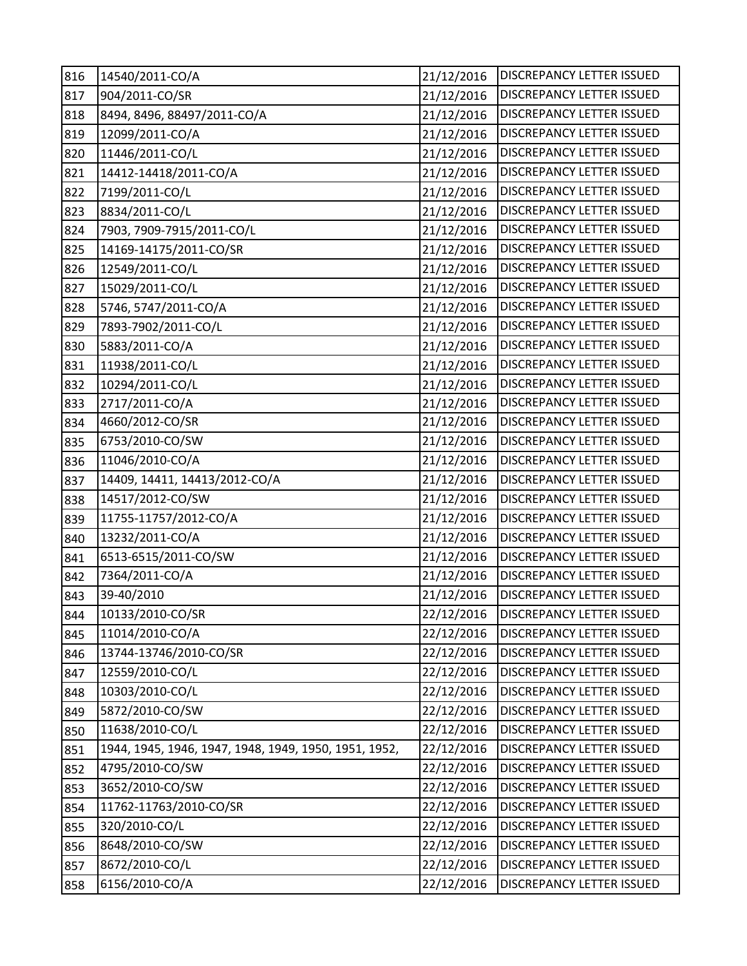| 816 | 14540/2011-CO/A                                       | 21/12/2016 | DISCREPANCY LETTER ISSUED        |
|-----|-------------------------------------------------------|------------|----------------------------------|
| 817 | 904/2011-CO/SR                                        | 21/12/2016 | DISCREPANCY LETTER ISSUED        |
| 818 | 8494, 8496, 88497/2011-CO/A                           | 21/12/2016 | DISCREPANCY LETTER ISSUED        |
| 819 | 12099/2011-CO/A                                       | 21/12/2016 | DISCREPANCY LETTER ISSUED        |
| 820 | 11446/2011-CO/L                                       | 21/12/2016 | DISCREPANCY LETTER ISSUED        |
| 821 | 14412-14418/2011-CO/A                                 | 21/12/2016 | DISCREPANCY LETTER ISSUED        |
| 822 | 7199/2011-CO/L                                        | 21/12/2016 | DISCREPANCY LETTER ISSUED        |
| 823 | 8834/2011-CO/L                                        | 21/12/2016 | DISCREPANCY LETTER ISSUED        |
| 824 | 7903, 7909-7915/2011-CO/L                             | 21/12/2016 | DISCREPANCY LETTER ISSUED        |
| 825 | 14169-14175/2011-CO/SR                                | 21/12/2016 | DISCREPANCY LETTER ISSUED        |
| 826 | 12549/2011-CO/L                                       | 21/12/2016 | DISCREPANCY LETTER ISSUED        |
| 827 | 15029/2011-CO/L                                       | 21/12/2016 | DISCREPANCY LETTER ISSUED        |
| 828 | 5746, 5747/2011-CO/A                                  | 21/12/2016 | DISCREPANCY LETTER ISSUED        |
| 829 | 7893-7902/2011-CO/L                                   | 21/12/2016 | DISCREPANCY LETTER ISSUED        |
| 830 | 5883/2011-CO/A                                        | 21/12/2016 | DISCREPANCY LETTER ISSUED        |
| 831 | 11938/2011-CO/L                                       | 21/12/2016 | <b>DISCREPANCY LETTER ISSUED</b> |
| 832 | 10294/2011-CO/L                                       | 21/12/2016 | DISCREPANCY LETTER ISSUED        |
| 833 | 2717/2011-CO/A                                        | 21/12/2016 | <b>DISCREPANCY LETTER ISSUED</b> |
| 834 | 4660/2012-CO/SR                                       | 21/12/2016 | <b>DISCREPANCY LETTER ISSUED</b> |
| 835 | 6753/2010-CO/SW                                       | 21/12/2016 | <b>DISCREPANCY LETTER ISSUED</b> |
| 836 | 11046/2010-CO/A                                       | 21/12/2016 | DISCREPANCY LETTER ISSUED        |
| 837 | 14409, 14411, 14413/2012-CO/A                         | 21/12/2016 | DISCREPANCY LETTER ISSUED        |
| 838 | 14517/2012-CO/SW                                      | 21/12/2016 | <b>DISCREPANCY LETTER ISSUED</b> |
| 839 | 11755-11757/2012-CO/A                                 | 21/12/2016 | DISCREPANCY LETTER ISSUED        |
| 840 | 13232/2011-CO/A                                       | 21/12/2016 | DISCREPANCY LETTER ISSUED        |
| 841 | 6513-6515/2011-CO/SW                                  | 21/12/2016 | DISCREPANCY LETTER ISSUED        |
| 842 | 7364/2011-CO/A                                        | 21/12/2016 | DISCREPANCY LETTER ISSUED        |
| 843 | 39-40/2010                                            | 21/12/2016 | <b>DISCREPANCY LETTER ISSUED</b> |
| 844 | 10133/2010-CO/SR                                      | 22/12/2016 | <b>DISCREPANCY LETTER ISSUED</b> |
| 845 | 11014/2010-CO/A                                       | 22/12/2016 | <b>DISCREPANCY LETTER ISSUED</b> |
| 846 | 13744-13746/2010-CO/SR                                | 22/12/2016 | <b>DISCREPANCY LETTER ISSUED</b> |
| 847 | 12559/2010-CO/L                                       | 22/12/2016 | DISCREPANCY LETTER ISSUED        |
| 848 | 10303/2010-CO/L                                       | 22/12/2016 | DISCREPANCY LETTER ISSUED        |
| 849 | 5872/2010-CO/SW                                       | 22/12/2016 | DISCREPANCY LETTER ISSUED        |
| 850 | 11638/2010-CO/L                                       | 22/12/2016 | DISCREPANCY LETTER ISSUED        |
| 851 | 1944, 1945, 1946, 1947, 1948, 1949, 1950, 1951, 1952, | 22/12/2016 | DISCREPANCY LETTER ISSUED        |
| 852 | 4795/2010-CO/SW                                       | 22/12/2016 | DISCREPANCY LETTER ISSUED        |
| 853 | 3652/2010-CO/SW                                       | 22/12/2016 | DISCREPANCY LETTER ISSUED        |
| 854 | 11762-11763/2010-CO/SR                                | 22/12/2016 | DISCREPANCY LETTER ISSUED        |
| 855 | 320/2010-CO/L                                         | 22/12/2016 | DISCREPANCY LETTER ISSUED        |
| 856 | 8648/2010-CO/SW                                       | 22/12/2016 | DISCREPANCY LETTER ISSUED        |
| 857 | 8672/2010-CO/L                                        | 22/12/2016 | DISCREPANCY LETTER ISSUED        |
| 858 | 6156/2010-CO/A                                        | 22/12/2016 | DISCREPANCY LETTER ISSUED        |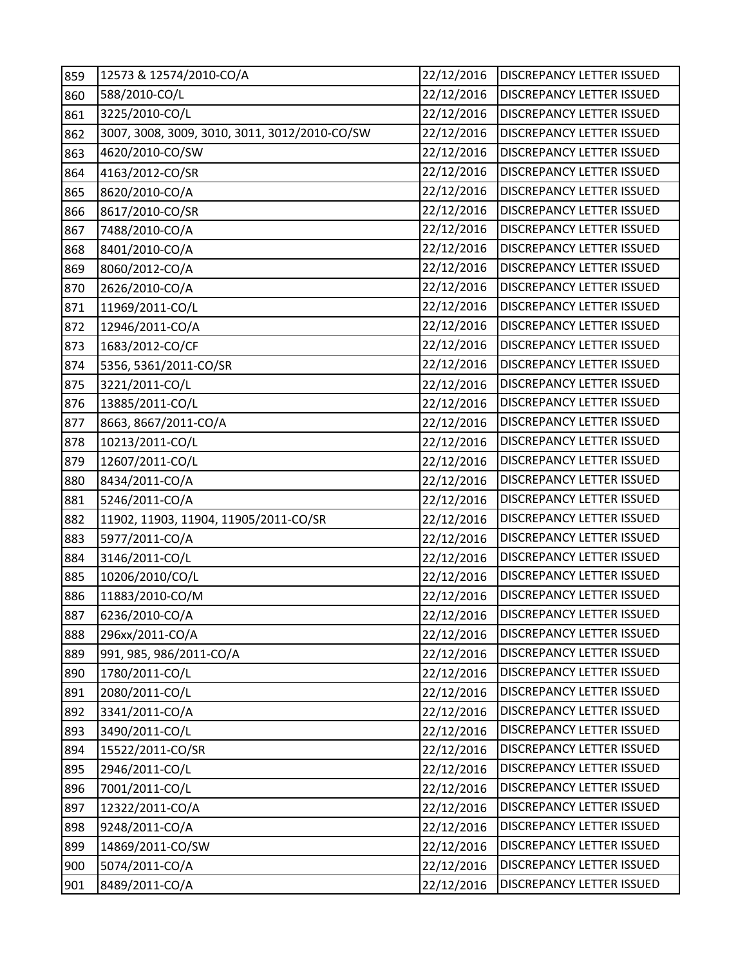| 859 | 12573 & 12574/2010-CO/A                       | 22/12/2016 | DISCREPANCY LETTER ISSUED        |
|-----|-----------------------------------------------|------------|----------------------------------|
| 860 | 588/2010-CO/L                                 | 22/12/2016 | DISCREPANCY LETTER ISSUED        |
| 861 | 3225/2010-CO/L                                | 22/12/2016 | DISCREPANCY LETTER ISSUED        |
| 862 | 3007, 3008, 3009, 3010, 3011, 3012/2010-CO/SW | 22/12/2016 | DISCREPANCY LETTER ISSUED        |
| 863 | 4620/2010-CO/SW                               | 22/12/2016 | DISCREPANCY LETTER ISSUED        |
| 864 | 4163/2012-CO/SR                               | 22/12/2016 | <b>DISCREPANCY LETTER ISSUED</b> |
| 865 | 8620/2010-CO/A                                | 22/12/2016 | DISCREPANCY LETTER ISSUED        |
| 866 | 8617/2010-CO/SR                               | 22/12/2016 | <b>DISCREPANCY LETTER ISSUED</b> |
| 867 | 7488/2010-CO/A                                | 22/12/2016 | DISCREPANCY LETTER ISSUED        |
| 868 | 8401/2010-CO/A                                | 22/12/2016 | <b>DISCREPANCY LETTER ISSUED</b> |
| 869 | 8060/2012-CO/A                                | 22/12/2016 | DISCREPANCY LETTER ISSUED        |
| 870 | 2626/2010-CO/A                                | 22/12/2016 | DISCREPANCY LETTER ISSUED        |
| 871 | 11969/2011-CO/L                               | 22/12/2016 | DISCREPANCY LETTER ISSUED        |
| 872 | 12946/2011-CO/A                               | 22/12/2016 | <b>DISCREPANCY LETTER ISSUED</b> |
| 873 | 1683/2012-CO/CF                               | 22/12/2016 | DISCREPANCY LETTER ISSUED        |
| 874 | 5356, 5361/2011-CO/SR                         | 22/12/2016 | <b>DISCREPANCY LETTER ISSUED</b> |
| 875 | 3221/2011-CO/L                                | 22/12/2016 | DISCREPANCY LETTER ISSUED        |
| 876 | 13885/2011-CO/L                               | 22/12/2016 | DISCREPANCY LETTER ISSUED        |
| 877 | 8663, 8667/2011-CO/A                          | 22/12/2016 | DISCREPANCY LETTER ISSUED        |
| 878 | 10213/2011-CO/L                               | 22/12/2016 | DISCREPANCY LETTER ISSUED        |
| 879 | 12607/2011-CO/L                               | 22/12/2016 | DISCREPANCY LETTER ISSUED        |
| 880 | 8434/2011-CO/A                                | 22/12/2016 | DISCREPANCY LETTER ISSUED        |
| 881 | 5246/2011-CO/A                                | 22/12/2016 | DISCREPANCY LETTER ISSUED        |
| 882 | 11902, 11903, 11904, 11905/2011-CO/SR         | 22/12/2016 | DISCREPANCY LETTER ISSUED        |
| 883 | 5977/2011-CO/A                                | 22/12/2016 | DISCREPANCY LETTER ISSUED        |
| 884 | 3146/2011-CO/L                                | 22/12/2016 | DISCREPANCY LETTER ISSUED        |
| 885 | 10206/2010/CO/L                               | 22/12/2016 | DISCREPANCY LETTER ISSUED        |
| 886 | 11883/2010-CO/M                               | 22/12/2016 | DISCREPANCY LETTER ISSUED        |
| 887 | 6236/2010-CO/A                                | 22/12/2016 | <b>DISCREPANCY LETTER ISSUED</b> |
| 888 | 296xx/2011-CO/A                               | 22/12/2016 | DISCREPANCY LETTER ISSUED        |
| 889 | 991, 985, 986/2011-CO/A                       | 22/12/2016 | DISCREPANCY LETTER ISSUED        |
| 890 | 1780/2011-CO/L                                | 22/12/2016 | DISCREPANCY LETTER ISSUED        |
| 891 | 2080/2011-CO/L                                | 22/12/2016 | <b>DISCREPANCY LETTER ISSUED</b> |
| 892 | 3341/2011-CO/A                                | 22/12/2016 | DISCREPANCY LETTER ISSUED        |
| 893 | 3490/2011-CO/L                                | 22/12/2016 | DISCREPANCY LETTER ISSUED        |
| 894 | 15522/2011-CO/SR                              | 22/12/2016 | DISCREPANCY LETTER ISSUED        |
| 895 | 2946/2011-CO/L                                | 22/12/2016 | DISCREPANCY LETTER ISSUED        |
| 896 | 7001/2011-CO/L                                | 22/12/2016 | DISCREPANCY LETTER ISSUED        |
| 897 | 12322/2011-CO/A                               | 22/12/2016 | DISCREPANCY LETTER ISSUED        |
| 898 | 9248/2011-CO/A                                | 22/12/2016 | DISCREPANCY LETTER ISSUED        |
| 899 | 14869/2011-CO/SW                              | 22/12/2016 | DISCREPANCY LETTER ISSUED        |
| 900 | 5074/2011-CO/A                                | 22/12/2016 | DISCREPANCY LETTER ISSUED        |
| 901 | 8489/2011-CO/A                                | 22/12/2016 | DISCREPANCY LETTER ISSUED        |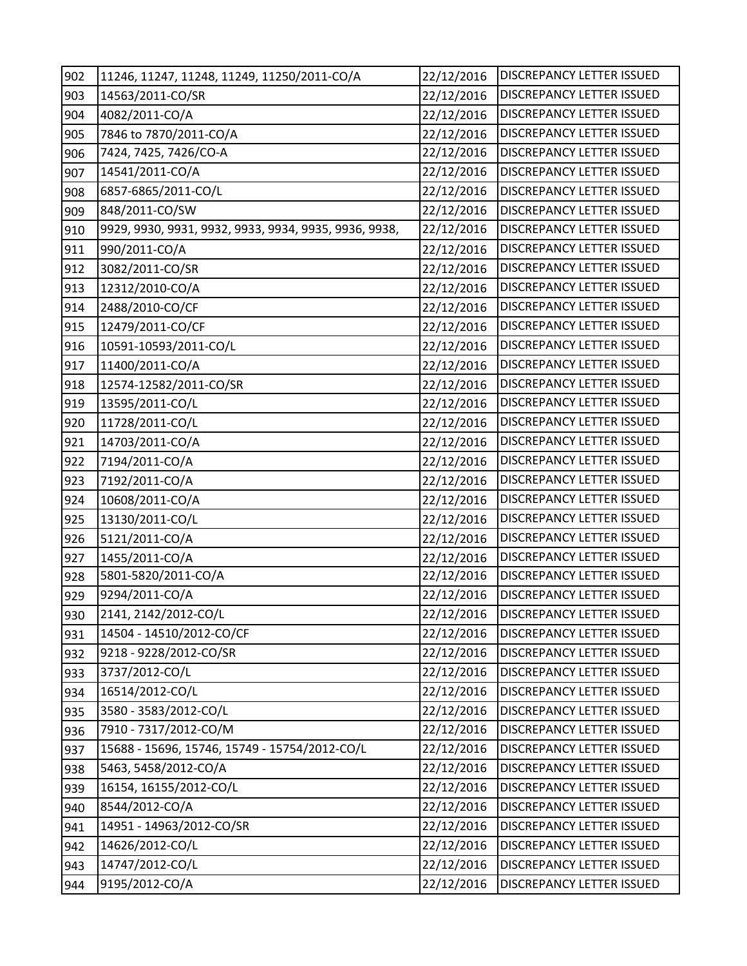| 902 | 11246, 11247, 11248, 11249, 11250/2011-CO/A           | 22/12/2016 | DISCREPANCY LETTER ISSUED        |
|-----|-------------------------------------------------------|------------|----------------------------------|
| 903 | 14563/2011-CO/SR                                      | 22/12/2016 | DISCREPANCY LETTER ISSUED        |
| 904 | 4082/2011-CO/A                                        | 22/12/2016 | <b>DISCREPANCY LETTER ISSUED</b> |
| 905 | 7846 to 7870/2011-CO/A                                | 22/12/2016 | DISCREPANCY LETTER ISSUED        |
| 906 | 7424, 7425, 7426/CO-A                                 | 22/12/2016 | <b>DISCREPANCY LETTER ISSUED</b> |
| 907 | 14541/2011-CO/A                                       | 22/12/2016 | DISCREPANCY LETTER ISSUED        |
| 908 | 6857-6865/2011-CO/L                                   | 22/12/2016 | DISCREPANCY LETTER ISSUED        |
| 909 | 848/2011-CO/SW                                        | 22/12/2016 | DISCREPANCY LETTER ISSUED        |
| 910 | 9929, 9930, 9931, 9932, 9933, 9934, 9935, 9936, 9938, | 22/12/2016 | DISCREPANCY LETTER ISSUED        |
| 911 | 990/2011-CO/A                                         | 22/12/2016 | DISCREPANCY LETTER ISSUED        |
| 912 | 3082/2011-CO/SR                                       | 22/12/2016 | DISCREPANCY LETTER ISSUED        |
| 913 | 12312/2010-CO/A                                       | 22/12/2016 | DISCREPANCY LETTER ISSUED        |
| 914 | 2488/2010-CO/CF                                       | 22/12/2016 | DISCREPANCY LETTER ISSUED        |
| 915 | 12479/2011-CO/CF                                      | 22/12/2016 | DISCREPANCY LETTER ISSUED        |
| 916 | 10591-10593/2011-CO/L                                 | 22/12/2016 | <b>DISCREPANCY LETTER ISSUED</b> |
| 917 | 11400/2011-CO/A                                       | 22/12/2016 | <b>DISCREPANCY LETTER ISSUED</b> |
| 918 | 12574-12582/2011-CO/SR                                | 22/12/2016 | DISCREPANCY LETTER ISSUED        |
| 919 | 13595/2011-CO/L                                       | 22/12/2016 | DISCREPANCY LETTER ISSUED        |
| 920 | 11728/2011-CO/L                                       | 22/12/2016 | DISCREPANCY LETTER ISSUED        |
| 921 | 14703/2011-CO/A                                       | 22/12/2016 | DISCREPANCY LETTER ISSUED        |
| 922 | 7194/2011-CO/A                                        | 22/12/2016 | DISCREPANCY LETTER ISSUED        |
| 923 | 7192/2011-CO/A                                        | 22/12/2016 | DISCREPANCY LETTER ISSUED        |
| 924 | 10608/2011-CO/A                                       | 22/12/2016 | DISCREPANCY LETTER ISSUED        |
| 925 | 13130/2011-CO/L                                       | 22/12/2016 | DISCREPANCY LETTER ISSUED        |
| 926 | 5121/2011-CO/A                                        | 22/12/2016 | DISCREPANCY LETTER ISSUED        |
| 927 | 1455/2011-CO/A                                        | 22/12/2016 | DISCREPANCY LETTER ISSUED        |
| 928 | 5801-5820/2011-CO/A                                   | 22/12/2016 | DISCREPANCY LETTER ISSUED        |
| 929 | 9294/2011-CO/A                                        | 22/12/2016 | DISCREPANCY LETTER ISSUED        |
| 930 | 2141, 2142/2012-CO/L                                  | 22/12/2016 | DISCREPANCY LETTER ISSUED        |
| 931 | 14504 - 14510/2012-CO/CF                              | 22/12/2016 | <b>DISCREPANCY LETTER ISSUED</b> |
| 932 | 9218 - 9228/2012-CO/SR                                | 22/12/2016 | <b>DISCREPANCY LETTER ISSUED</b> |
| 933 | 3737/2012-CO/L                                        | 22/12/2016 | DISCREPANCY LETTER ISSUED        |
| 934 | 16514/2012-CO/L                                       | 22/12/2016 | DISCREPANCY LETTER ISSUED        |
| 935 | 3580 - 3583/2012-CO/L                                 | 22/12/2016 | DISCREPANCY LETTER ISSUED        |
| 936 | 7910 - 7317/2012-CO/M                                 | 22/12/2016 | DISCREPANCY LETTER ISSUED        |
| 937 | 15688 - 15696, 15746, 15749 - 15754/2012-CO/L         | 22/12/2016 | DISCREPANCY LETTER ISSUED        |
| 938 | 5463, 5458/2012-CO/A                                  | 22/12/2016 | DISCREPANCY LETTER ISSUED        |
| 939 | 16154, 16155/2012-CO/L                                | 22/12/2016 | DISCREPANCY LETTER ISSUED        |
| 940 | 8544/2012-CO/A                                        | 22/12/2016 | DISCREPANCY LETTER ISSUED        |
| 941 | 14951 - 14963/2012-CO/SR                              | 22/12/2016 | DISCREPANCY LETTER ISSUED        |
| 942 | 14626/2012-CO/L                                       | 22/12/2016 | DISCREPANCY LETTER ISSUED        |
| 943 | 14747/2012-CO/L                                       | 22/12/2016 | DISCREPANCY LETTER ISSUED        |
| 944 | 9195/2012-CO/A                                        | 22/12/2016 | DISCREPANCY LETTER ISSUED        |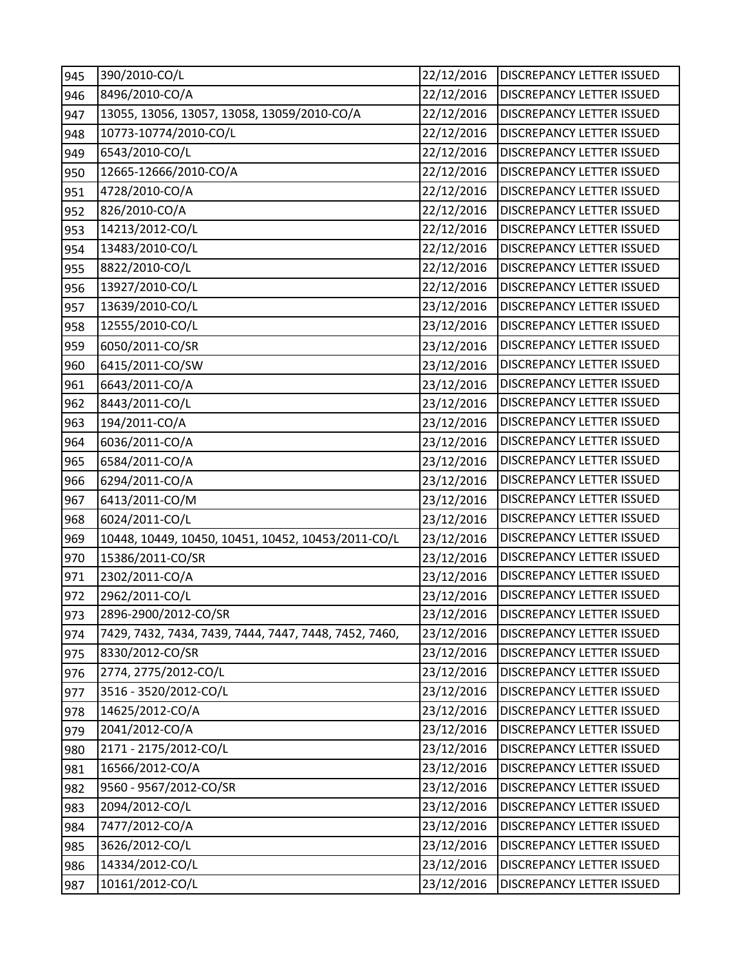| 945 | 390/2010-CO/L                                         | 22/12/2016 | <b>DISCREPANCY LETTER ISSUED</b> |
|-----|-------------------------------------------------------|------------|----------------------------------|
| 946 | 8496/2010-CO/A                                        | 22/12/2016 | DISCREPANCY LETTER ISSUED        |
| 947 | 13055, 13056, 13057, 13058, 13059/2010-CO/A           | 22/12/2016 | <b>DISCREPANCY LETTER ISSUED</b> |
| 948 | 10773-10774/2010-CO/L                                 | 22/12/2016 | <b>DISCREPANCY LETTER ISSUED</b> |
| 949 | 6543/2010-CO/L                                        | 22/12/2016 | <b>DISCREPANCY LETTER ISSUED</b> |
| 950 | 12665-12666/2010-CO/A                                 | 22/12/2016 | DISCREPANCY LETTER ISSUED        |
| 951 | 4728/2010-CO/A                                        | 22/12/2016 | DISCREPANCY LETTER ISSUED        |
| 952 | 826/2010-CO/A                                         | 22/12/2016 | DISCREPANCY LETTER ISSUED        |
| 953 | 14213/2012-CO/L                                       | 22/12/2016 | DISCREPANCY LETTER ISSUED        |
| 954 | 13483/2010-CO/L                                       | 22/12/2016 | DISCREPANCY LETTER ISSUED        |
| 955 | 8822/2010-CO/L                                        | 22/12/2016 | DISCREPANCY LETTER ISSUED        |
| 956 | 13927/2010-CO/L                                       | 22/12/2016 | DISCREPANCY LETTER ISSUED        |
| 957 | 13639/2010-CO/L                                       | 23/12/2016 | DISCREPANCY LETTER ISSUED        |
| 958 | 12555/2010-CO/L                                       | 23/12/2016 | DISCREPANCY LETTER ISSUED        |
| 959 | 6050/2011-CO/SR                                       | 23/12/2016 | DISCREPANCY LETTER ISSUED        |
| 960 | 6415/2011-CO/SW                                       | 23/12/2016 | DISCREPANCY LETTER ISSUED        |
| 961 | 6643/2011-CO/A                                        | 23/12/2016 | DISCREPANCY LETTER ISSUED        |
| 962 | 8443/2011-CO/L                                        | 23/12/2016 | DISCREPANCY LETTER ISSUED        |
| 963 | 194/2011-CO/A                                         | 23/12/2016 | <b>DISCREPANCY LETTER ISSUED</b> |
| 964 | 6036/2011-CO/A                                        | 23/12/2016 | DISCREPANCY LETTER ISSUED        |
| 965 | 6584/2011-CO/A                                        | 23/12/2016 | DISCREPANCY LETTER ISSUED        |
| 966 | 6294/2011-CO/A                                        | 23/12/2016 | DISCREPANCY LETTER ISSUED        |
| 967 | 6413/2011-CO/M                                        | 23/12/2016 | DISCREPANCY LETTER ISSUED        |
| 968 | 6024/2011-CO/L                                        | 23/12/2016 | DISCREPANCY LETTER ISSUED        |
| 969 | 10448, 10449, 10450, 10451, 10452, 10453/2011-CO/L    | 23/12/2016 | DISCREPANCY LETTER ISSUED        |
| 970 | 15386/2011-CO/SR                                      | 23/12/2016 | DISCREPANCY LETTER ISSUED        |
| 971 | 2302/2011-CO/A                                        | 23/12/2016 | DISCREPANCY LETTER ISSUED        |
| 972 | 2962/2011-CO/L                                        | 23/12/2016 | DISCREPANCY LETTER ISSUED        |
| 973 | 2896-2900/2012-CO/SR                                  | 23/12/2016 | <b>DISCREPANCY LETTER ISSUED</b> |
| 974 | 7429, 7432, 7434, 7439, 7444, 7447, 7448, 7452, 7460, | 23/12/2016 | DISCREPANCY LETTER ISSUED        |
| 975 | 8330/2012-CO/SR                                       | 23/12/2016 | DISCREPANCY LETTER ISSUED        |
| 976 | 2774, 2775/2012-CO/L                                  | 23/12/2016 | DISCREPANCY LETTER ISSUED        |
| 977 | 3516 - 3520/2012-CO/L                                 | 23/12/2016 | DISCREPANCY LETTER ISSUED        |
| 978 | 14625/2012-CO/A                                       | 23/12/2016 | DISCREPANCY LETTER ISSUED        |
| 979 | 2041/2012-CO/A                                        | 23/12/2016 | DISCREPANCY LETTER ISSUED        |
| 980 | 2171 - 2175/2012-CO/L                                 | 23/12/2016 | DISCREPANCY LETTER ISSUED        |
| 981 | 16566/2012-CO/A                                       | 23/12/2016 | DISCREPANCY LETTER ISSUED        |
| 982 | 9560 - 9567/2012-CO/SR                                | 23/12/2016 | DISCREPANCY LETTER ISSUED        |
| 983 | 2094/2012-CO/L                                        | 23/12/2016 | DISCREPANCY LETTER ISSUED        |
| 984 | 7477/2012-CO/A                                        | 23/12/2016 | DISCREPANCY LETTER ISSUED        |
| 985 | 3626/2012-CO/L                                        | 23/12/2016 | DISCREPANCY LETTER ISSUED        |
| 986 | 14334/2012-CO/L                                       | 23/12/2016 | DISCREPANCY LETTER ISSUED        |
| 987 | 10161/2012-CO/L                                       | 23/12/2016 | DISCREPANCY LETTER ISSUED        |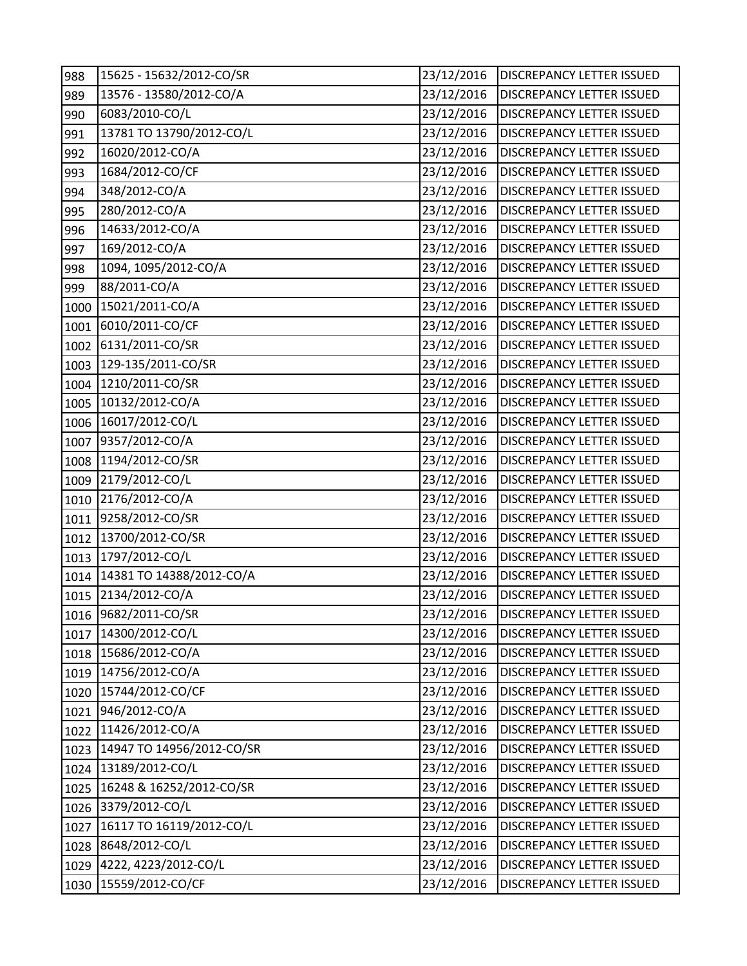| 988  | 15625 - 15632/2012-CO/SR  | 23/12/2016 | <b>DISCREPANCY LETTER ISSUED</b> |
|------|---------------------------|------------|----------------------------------|
| 989  | 13576 - 13580/2012-CO/A   | 23/12/2016 | DISCREPANCY LETTER ISSUED        |
| 990  | 6083/2010-CO/L            | 23/12/2016 | <b>DISCREPANCY LETTER ISSUED</b> |
| 991  | 13781 TO 13790/2012-CO/L  | 23/12/2016 | <b>DISCREPANCY LETTER ISSUED</b> |
| 992  | 16020/2012-CO/A           | 23/12/2016 | DISCREPANCY LETTER ISSUED        |
| 993  | 1684/2012-CO/CF           | 23/12/2016 | DISCREPANCY LETTER ISSUED        |
| 994  | 348/2012-CO/A             | 23/12/2016 | DISCREPANCY LETTER ISSUED        |
| 995  | 280/2012-CO/A             | 23/12/2016 | DISCREPANCY LETTER ISSUED        |
| 996  | 14633/2012-CO/A           | 23/12/2016 | <b>DISCREPANCY LETTER ISSUED</b> |
| 997  | 169/2012-CO/A             | 23/12/2016 | <b>DISCREPANCY LETTER ISSUED</b> |
| 998  | 1094, 1095/2012-CO/A      | 23/12/2016 | <b>DISCREPANCY LETTER ISSUED</b> |
| 999  | 88/2011-CO/A              | 23/12/2016 | DISCREPANCY LETTER ISSUED        |
| 1000 | 15021/2011-CO/A           | 23/12/2016 | DISCREPANCY LETTER ISSUED        |
| 1001 | 6010/2011-CO/CF           | 23/12/2016 | DISCREPANCY LETTER ISSUED        |
| 1002 | 6131/2011-CO/SR           | 23/12/2016 | DISCREPANCY LETTER ISSUED        |
| 1003 | 129-135/2011-CO/SR        | 23/12/2016 | DISCREPANCY LETTER ISSUED        |
| 1004 | 1210/2011-CO/SR           | 23/12/2016 | DISCREPANCY LETTER ISSUED        |
| 1005 | 10132/2012-CO/A           | 23/12/2016 | DISCREPANCY LETTER ISSUED        |
| 1006 | 16017/2012-CO/L           | 23/12/2016 | <b>DISCREPANCY LETTER ISSUED</b> |
| 1007 | 9357/2012-CO/A            | 23/12/2016 | DISCREPANCY LETTER ISSUED        |
| 1008 | 1194/2012-CO/SR           | 23/12/2016 | DISCREPANCY LETTER ISSUED        |
| 1009 | 2179/2012-CO/L            | 23/12/2016 | DISCREPANCY LETTER ISSUED        |
| 1010 | 2176/2012-CO/A            | 23/12/2016 | <b>DISCREPANCY LETTER ISSUED</b> |
| 1011 | 9258/2012-CO/SR           | 23/12/2016 | DISCREPANCY LETTER ISSUED        |
| 1012 | 13700/2012-CO/SR          | 23/12/2016 | DISCREPANCY LETTER ISSUED        |
| 1013 | 1797/2012-CO/L            | 23/12/2016 | DISCREPANCY LETTER ISSUED        |
| 1014 | 14381 TO 14388/2012-CO/A  | 23/12/2016 | DISCREPANCY LETTER ISSUED        |
| 1015 | 2134/2012-CO/A            | 23/12/2016 | DISCREPANCY LETTER ISSUED        |
|      | 1016 9682/2011-CO/SR      | 23/12/2016 | <b>DISCREPANCY LETTER ISSUED</b> |
| 1017 | 14300/2012-CO/L           | 23/12/2016 | DISCREPANCY LETTER ISSUED        |
| 1018 | 15686/2012-CO/A           | 23/12/2016 | <b>DISCREPANCY LETTER ISSUED</b> |
| 1019 | 14756/2012-CO/A           | 23/12/2016 | <b>DISCREPANCY LETTER ISSUED</b> |
| 1020 | 15744/2012-CO/CF          | 23/12/2016 | DISCREPANCY LETTER ISSUED        |
| 1021 | 946/2012-CO/A             | 23/12/2016 | <b>DISCREPANCY LETTER ISSUED</b> |
| 1022 | 11426/2012-CO/A           | 23/12/2016 | <b>DISCREPANCY LETTER ISSUED</b> |
| 1023 | 14947 TO 14956/2012-CO/SR | 23/12/2016 | DISCREPANCY LETTER ISSUED        |
| 1024 | 13189/2012-CO/L           | 23/12/2016 | <b>DISCREPANCY LETTER ISSUED</b> |
| 1025 | 16248 & 16252/2012-CO/SR  | 23/12/2016 | DISCREPANCY LETTER ISSUED        |
| 1026 | 3379/2012-CO/L            | 23/12/2016 | DISCREPANCY LETTER ISSUED        |
| 1027 | 16117 TO 16119/2012-CO/L  | 23/12/2016 | DISCREPANCY LETTER ISSUED        |
| 1028 | 8648/2012-CO/L            | 23/12/2016 | DISCREPANCY LETTER ISSUED        |
| 1029 | 4222, 4223/2012-CO/L      | 23/12/2016 | DISCREPANCY LETTER ISSUED        |
| 1030 | 15559/2012-CO/CF          | 23/12/2016 | DISCREPANCY LETTER ISSUED        |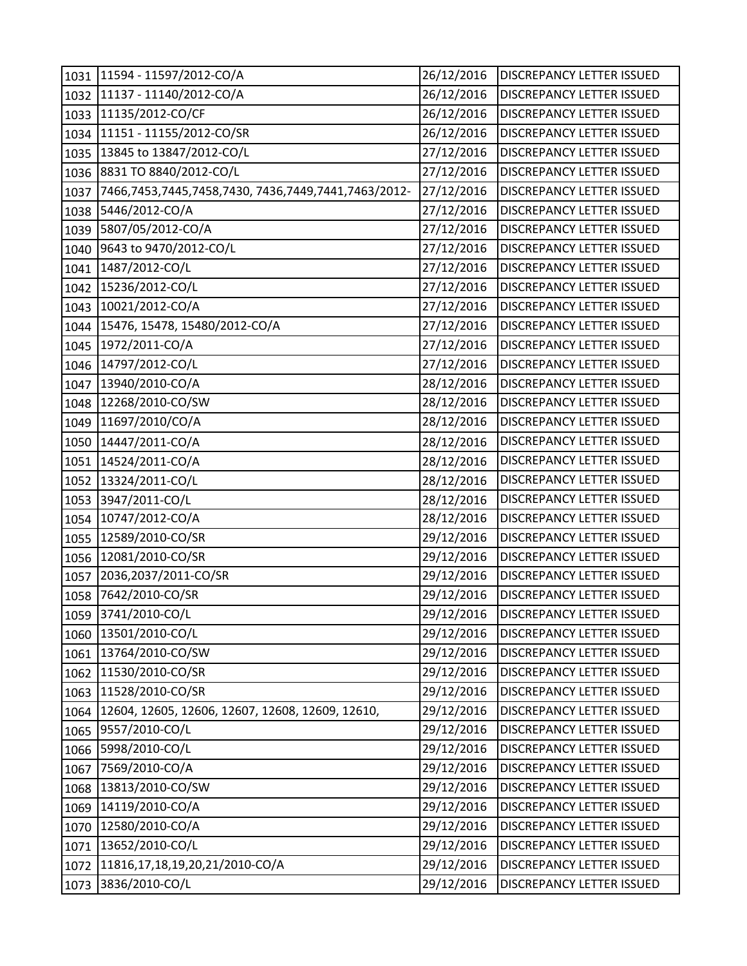| 1031 | 11594 - 11597/2012-CO/A                             | 26/12/2016 | <b>DISCREPANCY LETTER ISSUED</b> |
|------|-----------------------------------------------------|------------|----------------------------------|
| 1032 | 11137 - 11140/2012-CO/A                             | 26/12/2016 | DISCREPANCY LETTER ISSUED        |
| 1033 | 11135/2012-CO/CF                                    | 26/12/2016 | DISCREPANCY LETTER ISSUED        |
| 1034 | 11151 - 11155/2012-CO/SR                            | 26/12/2016 | DISCREPANCY LETTER ISSUED        |
| 1035 | 13845 to 13847/2012-CO/L                            | 27/12/2016 | <b>DISCREPANCY LETTER ISSUED</b> |
| 1036 | 8831 TO 8840/2012-CO/L                              | 27/12/2016 | DISCREPANCY LETTER ISSUED        |
| 1037 | 7466,7453,7445,7458,7430, 7436,7449,7441,7463/2012- | 27/12/2016 | <b>DISCREPANCY LETTER ISSUED</b> |
| 1038 | 5446/2012-CO/A                                      | 27/12/2016 | DISCREPANCY LETTER ISSUED        |
| 1039 | 5807/05/2012-CO/A                                   | 27/12/2016 | DISCREPANCY LETTER ISSUED        |
| 1040 | 9643 to 9470/2012-CO/L                              | 27/12/2016 | DISCREPANCY LETTER ISSUED        |
| 1041 | 1487/2012-CO/L                                      | 27/12/2016 | DISCREPANCY LETTER ISSUED        |
| 1042 | 15236/2012-CO/L                                     | 27/12/2016 | DISCREPANCY LETTER ISSUED        |
| 1043 | 10021/2012-CO/A                                     | 27/12/2016 | DISCREPANCY LETTER ISSUED        |
| 1044 | 15476, 15478, 15480/2012-CO/A                       | 27/12/2016 | DISCREPANCY LETTER ISSUED        |
| 1045 | 1972/2011-CO/A                                      | 27/12/2016 | DISCREPANCY LETTER ISSUED        |
| 1046 | 14797/2012-CO/L                                     | 27/12/2016 | DISCREPANCY LETTER ISSUED        |
| 1047 | 13940/2010-CO/A                                     | 28/12/2016 | DISCREPANCY LETTER ISSUED        |
| 1048 | 12268/2010-CO/SW                                    | 28/12/2016 | DISCREPANCY LETTER ISSUED        |
| 1049 | 11697/2010/CO/A                                     | 28/12/2016 | <b>DISCREPANCY LETTER ISSUED</b> |
| 1050 | 14447/2011-CO/A                                     | 28/12/2016 | DISCREPANCY LETTER ISSUED        |
| 1051 | 14524/2011-CO/A                                     | 28/12/2016 | DISCREPANCY LETTER ISSUED        |
| 1052 | 13324/2011-CO/L                                     | 28/12/2016 | <b>DISCREPANCY LETTER ISSUED</b> |
| 1053 | 3947/2011-CO/L                                      | 28/12/2016 | <b>DISCREPANCY LETTER ISSUED</b> |
| 1054 | 10747/2012-CO/A                                     | 28/12/2016 | DISCREPANCY LETTER ISSUED        |
| 1055 | 12589/2010-CO/SR                                    | 29/12/2016 | DISCREPANCY LETTER ISSUED        |
| 1056 | 12081/2010-CO/SR                                    | 29/12/2016 | DISCREPANCY LETTER ISSUED        |
| 1057 | 2036,2037/2011-CO/SR                                | 29/12/2016 | DISCREPANCY LETTER ISSUED        |
| 1058 | 7642/2010-CO/SR                                     | 29/12/2016 | DISCREPANCY LETTER ISSUED        |
|      | 1059 3741/2010-CO/L                                 | 29/12/2016 | <b>DISCREPANCY LETTER ISSUED</b> |
| 1060 | 13501/2010-CO/L                                     | 29/12/2016 | DISCREPANCY LETTER ISSUED        |
| 1061 | 13764/2010-CO/SW                                    | 29/12/2016 | DISCREPANCY LETTER ISSUED        |
| 1062 | 11530/2010-CO/SR                                    | 29/12/2016 | DISCREPANCY LETTER ISSUED        |
| 1063 | 11528/2010-CO/SR                                    | 29/12/2016 | DISCREPANCY LETTER ISSUED        |
| 1064 | 12604, 12605, 12606, 12607, 12608, 12609, 12610,    | 29/12/2016 | DISCREPANCY LETTER ISSUED        |
| 1065 | 9557/2010-CO/L                                      | 29/12/2016 | DISCREPANCY LETTER ISSUED        |
| 1066 | 5998/2010-CO/L                                      | 29/12/2016 | <b>DISCREPANCY LETTER ISSUED</b> |
| 1067 | 7569/2010-CO/A                                      | 29/12/2016 | <b>DISCREPANCY LETTER ISSUED</b> |
| 1068 | 13813/2010-CO/SW                                    | 29/12/2016 | DISCREPANCY LETTER ISSUED        |
| 1069 | 14119/2010-CO/A                                     | 29/12/2016 | DISCREPANCY LETTER ISSUED        |
| 1070 | 12580/2010-CO/A                                     | 29/12/2016 | DISCREPANCY LETTER ISSUED        |
| 1071 | 13652/2010-CO/L                                     | 29/12/2016 | DISCREPANCY LETTER ISSUED        |
| 1072 | 11816,17,18,19,20,21/2010-CO/A                      | 29/12/2016 | DISCREPANCY LETTER ISSUED        |
| 1073 | 3836/2010-CO/L                                      | 29/12/2016 | DISCREPANCY LETTER ISSUED        |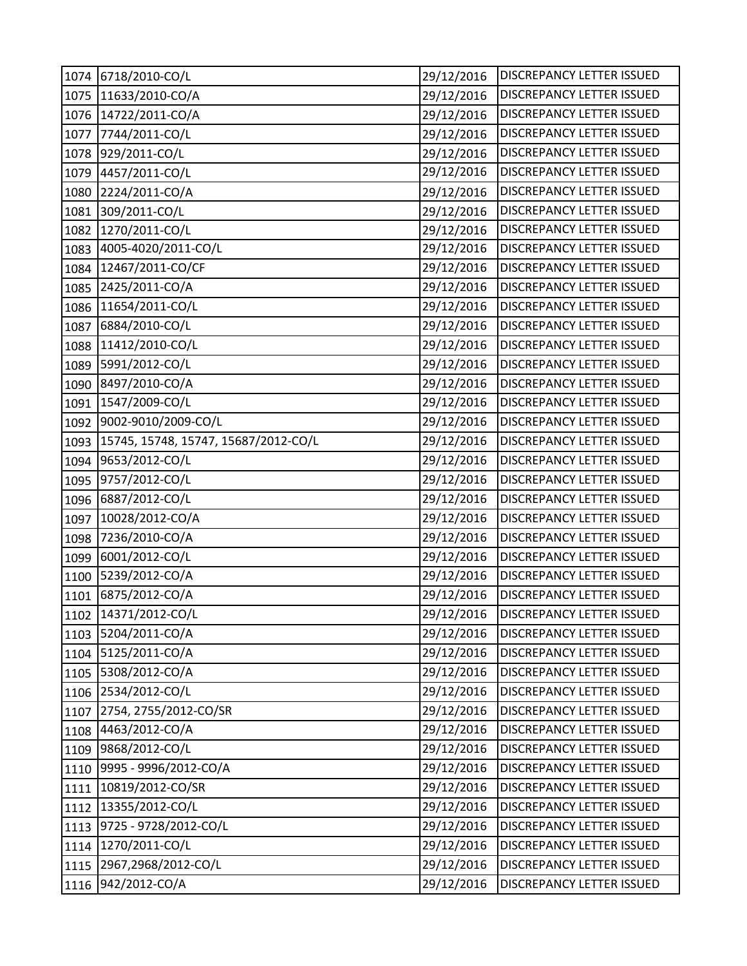| 1074 | 6718/2010-CO/L                       | 29/12/2016 | DISCREPANCY LETTER ISSUED        |
|------|--------------------------------------|------------|----------------------------------|
| 1075 | 11633/2010-CO/A                      | 29/12/2016 | DISCREPANCY LETTER ISSUED        |
| 1076 | 14722/2011-CO/A                      | 29/12/2016 | DISCREPANCY LETTER ISSUED        |
| 1077 | 7744/2011-CO/L                       | 29/12/2016 | DISCREPANCY LETTER ISSUED        |
| 1078 | 929/2011-CO/L                        | 29/12/2016 | DISCREPANCY LETTER ISSUED        |
| 1079 | 4457/2011-CO/L                       | 29/12/2016 | DISCREPANCY LETTER ISSUED        |
| 1080 | 2224/2011-CO/A                       | 29/12/2016 | DISCREPANCY LETTER ISSUED        |
| 1081 | 309/2011-CO/L                        | 29/12/2016 | DISCREPANCY LETTER ISSUED        |
| 1082 | 1270/2011-CO/L                       | 29/12/2016 | DISCREPANCY LETTER ISSUED        |
| 1083 | 4005-4020/2011-CO/L                  | 29/12/2016 | DISCREPANCY LETTER ISSUED        |
| 1084 | 12467/2011-CO/CF                     | 29/12/2016 | DISCREPANCY LETTER ISSUED        |
| 1085 | 2425/2011-CO/A                       | 29/12/2016 | DISCREPANCY LETTER ISSUED        |
| 1086 | 11654/2011-CO/L                      | 29/12/2016 | DISCREPANCY LETTER ISSUED        |
| 1087 | 6884/2010-CO/L                       | 29/12/2016 | DISCREPANCY LETTER ISSUED        |
| 1088 | 11412/2010-CO/L                      | 29/12/2016 | DISCREPANCY LETTER ISSUED        |
| 1089 | 5991/2012-CO/L                       | 29/12/2016 | DISCREPANCY LETTER ISSUED        |
| 1090 | 8497/2010-CO/A                       | 29/12/2016 | DISCREPANCY LETTER ISSUED        |
| 1091 | 1547/2009-CO/L                       | 29/12/2016 | <b>DISCREPANCY LETTER ISSUED</b> |
| 1092 | 9002-9010/2009-CO/L                  | 29/12/2016 | DISCREPANCY LETTER ISSUED        |
| 1093 | 15745, 15748, 15747, 15687/2012-CO/L | 29/12/2016 | DISCREPANCY LETTER ISSUED        |
| 1094 | 9653/2012-CO/L                       | 29/12/2016 | DISCREPANCY LETTER ISSUED        |
| 1095 | 9757/2012-CO/L                       | 29/12/2016 | DISCREPANCY LETTER ISSUED        |
| 1096 | 6887/2012-CO/L                       | 29/12/2016 | DISCREPANCY LETTER ISSUED        |
| 1097 | 10028/2012-CO/A                      | 29/12/2016 | <b>DISCREPANCY LETTER ISSUED</b> |
| 1098 | 7236/2010-CO/A                       | 29/12/2016 | DISCREPANCY LETTER ISSUED        |
| 1099 | 6001/2012-CO/L                       | 29/12/2016 | DISCREPANCY LETTER ISSUED        |
| 1100 | 5239/2012-CO/A                       | 29/12/2016 | DISCREPANCY LETTER ISSUED        |
| 1101 | 6875/2012-CO/A                       | 29/12/2016 | <b>DISCREPANCY LETTER ISSUED</b> |
|      | 1102 14371/2012-CO/L                 | 29/12/2016 | <b>DISCREPANCY LETTER ISSUED</b> |
| 1103 | 5204/2011-CO/A                       | 29/12/2016 | <b>DISCREPANCY LETTER ISSUED</b> |
| 1104 | 5125/2011-CO/A                       | 29/12/2016 | DISCREPANCY LETTER ISSUED        |
| 1105 | 5308/2012-CO/A                       | 29/12/2016 | DISCREPANCY LETTER ISSUED        |
| 1106 | 2534/2012-CO/L                       | 29/12/2016 | DISCREPANCY LETTER ISSUED        |
| 1107 | 2754, 2755/2012-CO/SR                | 29/12/2016 | DISCREPANCY LETTER ISSUED        |
| 1108 | 4463/2012-CO/A                       | 29/12/2016 | DISCREPANCY LETTER ISSUED        |
| 1109 | 9868/2012-CO/L                       | 29/12/2016 | DISCREPANCY LETTER ISSUED        |
| 1110 | 9995 - 9996/2012-CO/A                | 29/12/2016 | DISCREPANCY LETTER ISSUED        |
| 1111 | 10819/2012-CO/SR                     | 29/12/2016 | DISCREPANCY LETTER ISSUED        |
| 1112 | 13355/2012-CO/L                      | 29/12/2016 | DISCREPANCY LETTER ISSUED        |
| 1113 | 9725 - 9728/2012-CO/L                | 29/12/2016 | DISCREPANCY LETTER ISSUED        |
| 1114 | 1270/2011-CO/L                       | 29/12/2016 | DISCREPANCY LETTER ISSUED        |
| 1115 | 2967,2968/2012-CO/L                  | 29/12/2016 | DISCREPANCY LETTER ISSUED        |
| 1116 | 942/2012-CO/A                        | 29/12/2016 | DISCREPANCY LETTER ISSUED        |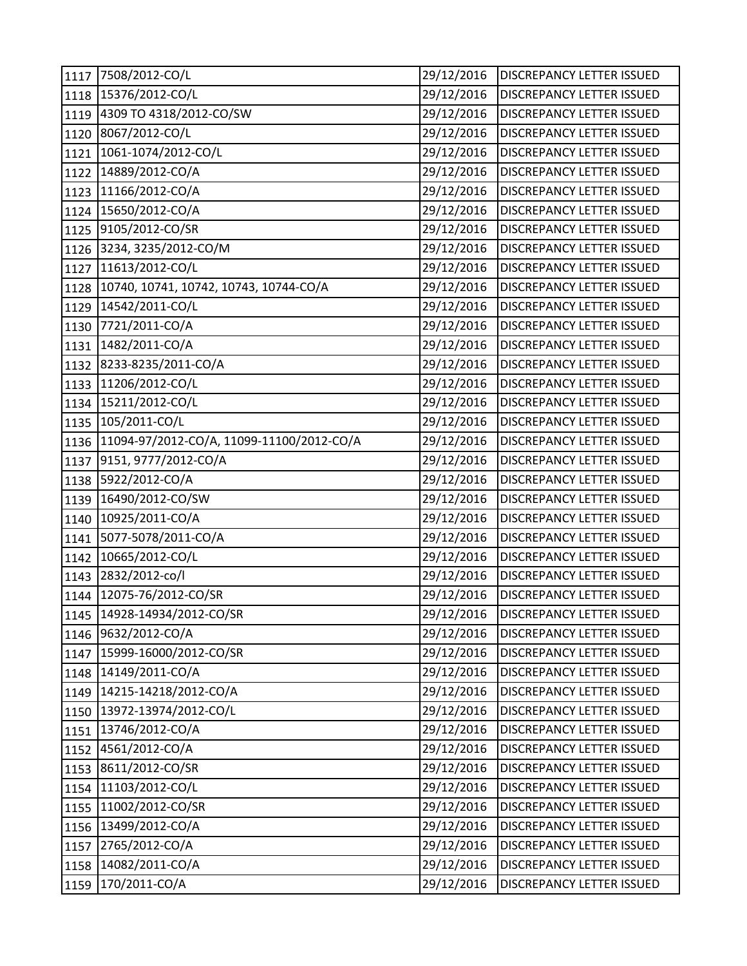| 1117 | 7508/2012-CO/L                            | 29/12/2016 | DISCREPANCY LETTER ISSUED        |
|------|-------------------------------------------|------------|----------------------------------|
| 1118 | 15376/2012-CO/L                           | 29/12/2016 | DISCREPANCY LETTER ISSUED        |
| 1119 | 4309 TO 4318/2012-CO/SW                   | 29/12/2016 | DISCREPANCY LETTER ISSUED        |
| 1120 | 8067/2012-CO/L                            | 29/12/2016 | DISCREPANCY LETTER ISSUED        |
| 1121 | 1061-1074/2012-CO/L                       | 29/12/2016 | DISCREPANCY LETTER ISSUED        |
| 1122 | 14889/2012-CO/A                           | 29/12/2016 | DISCREPANCY LETTER ISSUED        |
| 1123 | 11166/2012-CO/A                           | 29/12/2016 | DISCREPANCY LETTER ISSUED        |
| 1124 | 15650/2012-CO/A                           | 29/12/2016 | DISCREPANCY LETTER ISSUED        |
| 1125 | 9105/2012-CO/SR                           | 29/12/2016 | DISCREPANCY LETTER ISSUED        |
| 1126 | 3234, 3235/2012-CO/M                      | 29/12/2016 | DISCREPANCY LETTER ISSUED        |
| 1127 | 11613/2012-CO/L                           | 29/12/2016 | DISCREPANCY LETTER ISSUED        |
| 1128 | 10740, 10741, 10742, 10743, 10744-CO/A    | 29/12/2016 | DISCREPANCY LETTER ISSUED        |
| 1129 | 14542/2011-CO/L                           | 29/12/2016 | DISCREPANCY LETTER ISSUED        |
| 1130 | 7721/2011-CO/A                            | 29/12/2016 | DISCREPANCY LETTER ISSUED        |
| 1131 | 1482/2011-CO/A                            | 29/12/2016 | DISCREPANCY LETTER ISSUED        |
| 1132 | 8233-8235/2011-CO/A                       | 29/12/2016 | DISCREPANCY LETTER ISSUED        |
| 1133 | 11206/2012-CO/L                           | 29/12/2016 | DISCREPANCY LETTER ISSUED        |
| 1134 | 15211/2012-CO/L                           | 29/12/2016 | DISCREPANCY LETTER ISSUED        |
| 1135 | 105/2011-CO/L                             | 29/12/2016 | <b>DISCREPANCY LETTER ISSUED</b> |
| 1136 | 11094-97/2012-CO/A, 11099-11100/2012-CO/A | 29/12/2016 | <b>DISCREPANCY LETTER ISSUED</b> |
| 1137 | 9151, 9777/2012-CO/A                      | 29/12/2016 | DISCREPANCY LETTER ISSUED        |
| 1138 | 5922/2012-CO/A                            | 29/12/2016 | <b>DISCREPANCY LETTER ISSUED</b> |
| 1139 | 16490/2012-CO/SW                          | 29/12/2016 | DISCREPANCY LETTER ISSUED        |
| 1140 | 10925/2011-CO/A                           | 29/12/2016 | DISCREPANCY LETTER ISSUED        |
| 1141 | 5077-5078/2011-CO/A                       | 29/12/2016 | DISCREPANCY LETTER ISSUED        |
| 1142 | 10665/2012-CO/L                           | 29/12/2016 | <b>DISCREPANCY LETTER ISSUED</b> |
| 1143 | 2832/2012-co/l                            | 29/12/2016 | DISCREPANCY LETTER ISSUED        |
| 1144 | 12075-76/2012-CO/SR                       | 29/12/2016 | DISCREPANCY LETTER ISSUED        |
|      | 1145 14928-14934/2012-CO/SR               | 29/12/2016 | <b>DISCREPANCY LETTER ISSUED</b> |
| 1146 | 9632/2012-CO/A                            | 29/12/2016 | <b>DISCREPANCY LETTER ISSUED</b> |
| 1147 | 15999-16000/2012-CO/SR                    | 29/12/2016 | DISCREPANCY LETTER ISSUED        |
| 1148 | 14149/2011-CO/A                           | 29/12/2016 | DISCREPANCY LETTER ISSUED        |
| 1149 | 14215-14218/2012-CO/A                     | 29/12/2016 | <b>DISCREPANCY LETTER ISSUED</b> |
| 1150 | 13972-13974/2012-CO/L                     | 29/12/2016 | DISCREPANCY LETTER ISSUED        |
| 1151 | 13746/2012-CO/A                           | 29/12/2016 | DISCREPANCY LETTER ISSUED        |
| 1152 | 4561/2012-CO/A                            | 29/12/2016 | DISCREPANCY LETTER ISSUED        |
| 1153 | 8611/2012-CO/SR                           | 29/12/2016 | DISCREPANCY LETTER ISSUED        |
| 1154 | 11103/2012-CO/L                           | 29/12/2016 | DISCREPANCY LETTER ISSUED        |
| 1155 | 11002/2012-CO/SR                          | 29/12/2016 | DISCREPANCY LETTER ISSUED        |
| 1156 | 13499/2012-CO/A                           | 29/12/2016 | DISCREPANCY LETTER ISSUED        |
| 1157 | 2765/2012-CO/A                            | 29/12/2016 | DISCREPANCY LETTER ISSUED        |
| 1158 | 14082/2011-CO/A                           | 29/12/2016 | DISCREPANCY LETTER ISSUED        |
| 1159 | 170/2011-CO/A                             | 29/12/2016 | DISCREPANCY LETTER ISSUED        |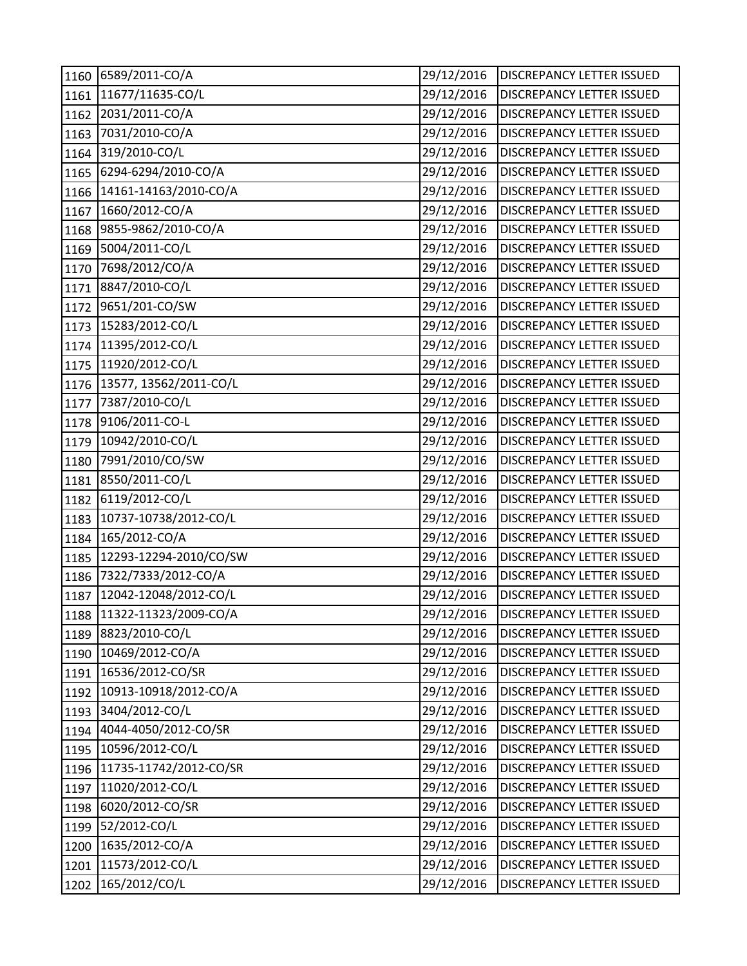| 1160 | 6589/2011-CO/A             | 29/12/2016 | <b>DISCREPANCY LETTER ISSUED</b> |
|------|----------------------------|------------|----------------------------------|
| 1161 | 11677/11635-CO/L           | 29/12/2016 | DISCREPANCY LETTER ISSUED        |
| 1162 | 2031/2011-CO/A             | 29/12/2016 | DISCREPANCY LETTER ISSUED        |
| 1163 | 7031/2010-CO/A             | 29/12/2016 | DISCREPANCY LETTER ISSUED        |
| 1164 | 319/2010-CO/L              | 29/12/2016 | <b>DISCREPANCY LETTER ISSUED</b> |
| 1165 | 6294-6294/2010-CO/A        | 29/12/2016 | DISCREPANCY LETTER ISSUED        |
| 1166 | 14161-14163/2010-CO/A      | 29/12/2016 | DISCREPANCY LETTER ISSUED        |
| 1167 | 1660/2012-CO/A             | 29/12/2016 | <b>DISCREPANCY LETTER ISSUED</b> |
| 1168 | 9855-9862/2010-CO/A        | 29/12/2016 | DISCREPANCY LETTER ISSUED        |
| 1169 | 5004/2011-CO/L             | 29/12/2016 | DISCREPANCY LETTER ISSUED        |
| 1170 | 7698/2012/CO/A             | 29/12/2016 | DISCREPANCY LETTER ISSUED        |
| 1171 | 8847/2010-CO/L             | 29/12/2016 | DISCREPANCY LETTER ISSUED        |
| 1172 | 9651/201-CO/SW             | 29/12/2016 | DISCREPANCY LETTER ISSUED        |
| 1173 | 15283/2012-CO/L            | 29/12/2016 | DISCREPANCY LETTER ISSUED        |
| 1174 | 11395/2012-CO/L            | 29/12/2016 | DISCREPANCY LETTER ISSUED        |
| 1175 | 11920/2012-CO/L            | 29/12/2016 | DISCREPANCY LETTER ISSUED        |
| 1176 | 13577, 13562/2011-CO/L     | 29/12/2016 | DISCREPANCY LETTER ISSUED        |
| 1177 | 7387/2010-CO/L             | 29/12/2016 | DISCREPANCY LETTER ISSUED        |
| 1178 | 9106/2011-CO-L             | 29/12/2016 | DISCREPANCY LETTER ISSUED        |
| 1179 | 10942/2010-CO/L            | 29/12/2016 | DISCREPANCY LETTER ISSUED        |
| 1180 | 7991/2010/CO/SW            | 29/12/2016 | DISCREPANCY LETTER ISSUED        |
| 1181 | 8550/2011-CO/L             | 29/12/2016 | DISCREPANCY LETTER ISSUED        |
| 1182 | 6119/2012-CO/L             | 29/12/2016 | DISCREPANCY LETTER ISSUED        |
| 1183 | 10737-10738/2012-CO/L      | 29/12/2016 | DISCREPANCY LETTER ISSUED        |
| 1184 | 165/2012-CO/A              | 29/12/2016 | DISCREPANCY LETTER ISSUED        |
| 1185 | 12293-12294-2010/CO/SW     | 29/12/2016 | DISCREPANCY LETTER ISSUED        |
| 1186 | 7322/7333/2012-CO/A        | 29/12/2016 | DISCREPANCY LETTER ISSUED        |
| 1187 | 12042-12048/2012-CO/L      | 29/12/2016 | DISCREPANCY LETTER ISSUED        |
|      | 1188 11322-11323/2009-CO/A | 29/12/2016 | <b>DISCREPANCY LETTER ISSUED</b> |
| 1189 | 8823/2010-CO/L             | 29/12/2016 | DISCREPANCY LETTER ISSUED        |
| 1190 | 10469/2012-CO/A            | 29/12/2016 | DISCREPANCY LETTER ISSUED        |
| 1191 | 16536/2012-CO/SR           | 29/12/2016 | DISCREPANCY LETTER ISSUED        |
| 1192 | 10913-10918/2012-CO/A      | 29/12/2016 | DISCREPANCY LETTER ISSUED        |
| 1193 | 3404/2012-CO/L             | 29/12/2016 | DISCREPANCY LETTER ISSUED        |
| 1194 | 4044-4050/2012-CO/SR       | 29/12/2016 | DISCREPANCY LETTER ISSUED        |
| 1195 | 10596/2012-CO/L            | 29/12/2016 | <b>DISCREPANCY LETTER ISSUED</b> |
| 1196 | 11735-11742/2012-CO/SR     | 29/12/2016 | DISCREPANCY LETTER ISSUED        |
| 1197 | 11020/2012-CO/L            | 29/12/2016 | DISCREPANCY LETTER ISSUED        |
| 1198 | 6020/2012-CO/SR            | 29/12/2016 | DISCREPANCY LETTER ISSUED        |
| 1199 | 52/2012-CO/L               | 29/12/2016 | DISCREPANCY LETTER ISSUED        |
| 1200 | 1635/2012-CO/A             | 29/12/2016 | DISCREPANCY LETTER ISSUED        |
| 1201 | 11573/2012-CO/L            | 29/12/2016 | DISCREPANCY LETTER ISSUED        |
| 1202 | 165/2012/CO/L              | 29/12/2016 | DISCREPANCY LETTER ISSUED        |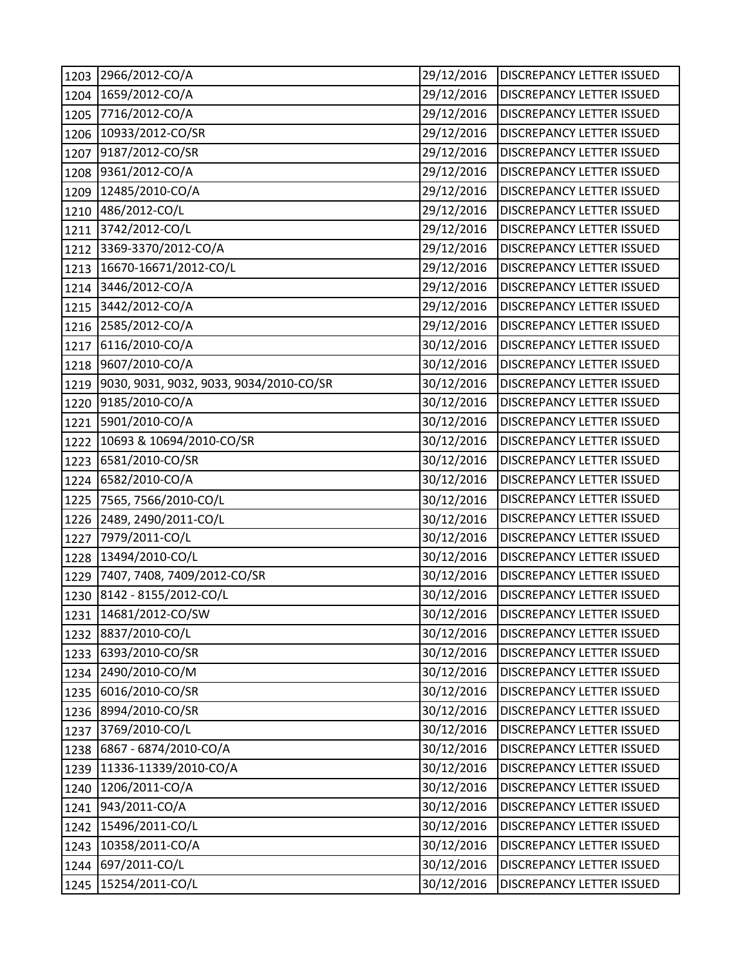| 1203 | 2966/2012-CO/A                          | 29/12/2016 | <b>DISCREPANCY LETTER ISSUED</b> |
|------|-----------------------------------------|------------|----------------------------------|
| 1204 | 1659/2012-CO/A                          | 29/12/2016 | DISCREPANCY LETTER ISSUED        |
| 1205 | 7716/2012-CO/A                          | 29/12/2016 | DISCREPANCY LETTER ISSUED        |
| 1206 | 10933/2012-CO/SR                        | 29/12/2016 | DISCREPANCY LETTER ISSUED        |
| 1207 | 9187/2012-CO/SR                         | 29/12/2016 | DISCREPANCY LETTER ISSUED        |
| 1208 | 9361/2012-CO/A                          | 29/12/2016 | DISCREPANCY LETTER ISSUED        |
| 1209 | 12485/2010-CO/A                         | 29/12/2016 | DISCREPANCY LETTER ISSUED        |
| 1210 | 486/2012-CO/L                           | 29/12/2016 | DISCREPANCY LETTER ISSUED        |
| 1211 | 3742/2012-CO/L                          | 29/12/2016 | DISCREPANCY LETTER ISSUED        |
| 1212 | 3369-3370/2012-CO/A                     | 29/12/2016 | DISCREPANCY LETTER ISSUED        |
| 1213 | 16670-16671/2012-CO/L                   | 29/12/2016 | DISCREPANCY LETTER ISSUED        |
| 1214 | 3446/2012-CO/A                          | 29/12/2016 | DISCREPANCY LETTER ISSUED        |
| 1215 | 3442/2012-CO/A                          | 29/12/2016 | DISCREPANCY LETTER ISSUED        |
| 1216 | 2585/2012-CO/A                          | 29/12/2016 | DISCREPANCY LETTER ISSUED        |
| 1217 | 6116/2010-CO/A                          | 30/12/2016 | DISCREPANCY LETTER ISSUED        |
| 1218 | 9607/2010-CO/A                          | 30/12/2016 | DISCREPANCY LETTER ISSUED        |
| 1219 | 9030, 9031, 9032, 9033, 9034/2010-CO/SR | 30/12/2016 | DISCREPANCY LETTER ISSUED        |
| 1220 | 9185/2010-CO/A                          | 30/12/2016 | DISCREPANCY LETTER ISSUED        |
| 1221 | 5901/2010-CO/A                          | 30/12/2016 | DISCREPANCY LETTER ISSUED        |
| 1222 | 10693 & 10694/2010-CO/SR                | 30/12/2016 | DISCREPANCY LETTER ISSUED        |
| 1223 | 6581/2010-CO/SR                         | 30/12/2016 | DISCREPANCY LETTER ISSUED        |
| 1224 | 6582/2010-CO/A                          | 30/12/2016 | <b>DISCREPANCY LETTER ISSUED</b> |
| 1225 | 7565, 7566/2010-CO/L                    | 30/12/2016 | DISCREPANCY LETTER ISSUED        |
| 1226 | 2489, 2490/2011-CO/L                    | 30/12/2016 | DISCREPANCY LETTER ISSUED        |
| 1227 | 7979/2011-CO/L                          | 30/12/2016 | DISCREPANCY LETTER ISSUED        |
| 1228 | 13494/2010-CO/L                         | 30/12/2016 | DISCREPANCY LETTER ISSUED        |
| 1229 | 7407, 7408, 7409/2012-CO/SR             | 30/12/2016 | DISCREPANCY LETTER ISSUED        |
| 1230 | 8142 - 8155/2012-CO/L                   | 30/12/2016 | DISCREPANCY LETTER ISSUED        |
|      | 1231 14681/2012-CO/SW                   | 30/12/2016 | <b>DISCREPANCY LETTER ISSUED</b> |
| 1232 | 8837/2010-CO/L                          | 30/12/2016 | DISCREPANCY LETTER ISSUED        |
| 1233 | 6393/2010-CO/SR                         | 30/12/2016 | DISCREPANCY LETTER ISSUED        |
| 1234 | 2490/2010-CO/M                          | 30/12/2016 | DISCREPANCY LETTER ISSUED        |
| 1235 | 6016/2010-CO/SR                         | 30/12/2016 | DISCREPANCY LETTER ISSUED        |
| 1236 | 8994/2010-CO/SR                         | 30/12/2016 | <b>DISCREPANCY LETTER ISSUED</b> |
| 1237 | 3769/2010-CO/L                          | 30/12/2016 | DISCREPANCY LETTER ISSUED        |
| 1238 | 6867 - 6874/2010-CO/A                   | 30/12/2016 | DISCREPANCY LETTER ISSUED        |
| 1239 | 11336-11339/2010-CO/A                   | 30/12/2016 | DISCREPANCY LETTER ISSUED        |
| 1240 | 1206/2011-CO/A                          | 30/12/2016 | DISCREPANCY LETTER ISSUED        |
| 1241 | 943/2011-CO/A                           | 30/12/2016 | DISCREPANCY LETTER ISSUED        |
| 1242 | 15496/2011-CO/L                         | 30/12/2016 | DISCREPANCY LETTER ISSUED        |
| 1243 | 10358/2011-CO/A                         | 30/12/2016 | DISCREPANCY LETTER ISSUED        |
| 1244 | 697/2011-CO/L                           | 30/12/2016 | DISCREPANCY LETTER ISSUED        |
| 1245 | 15254/2011-CO/L                         | 30/12/2016 | DISCREPANCY LETTER ISSUED        |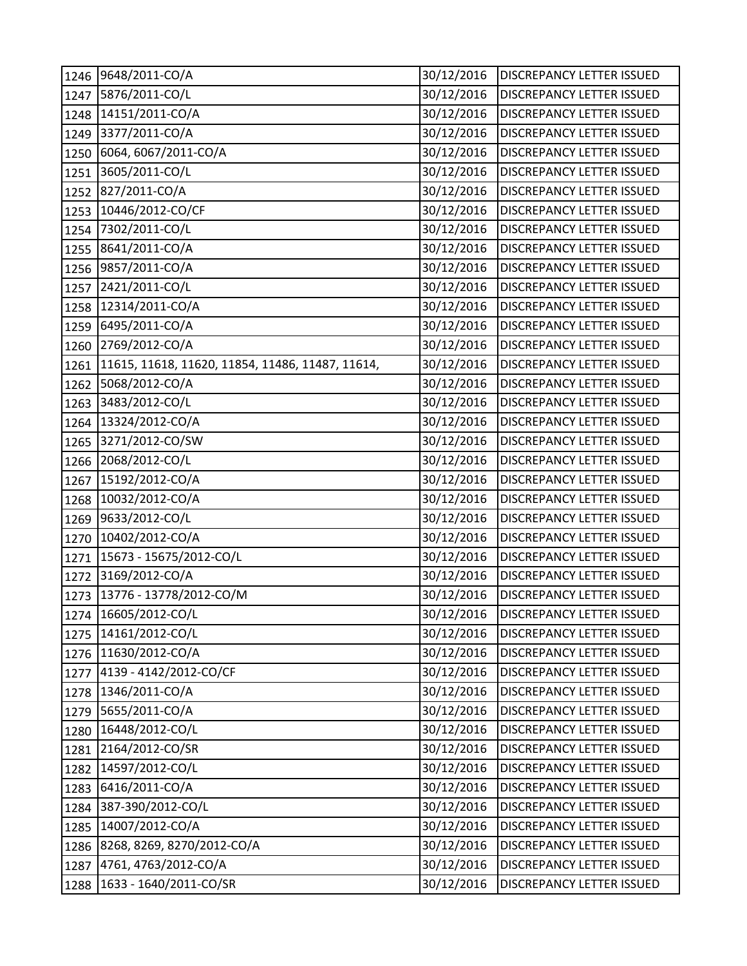| 1246 | 9648/2011-CO/A                                   | 30/12/2016 | DISCREPANCY LETTER ISSUED        |
|------|--------------------------------------------------|------------|----------------------------------|
| 1247 | 5876/2011-CO/L                                   | 30/12/2016 | DISCREPANCY LETTER ISSUED        |
| 1248 | 14151/2011-CO/A                                  | 30/12/2016 | <b>DISCREPANCY LETTER ISSUED</b> |
| 1249 | 3377/2011-CO/A                                   | 30/12/2016 | DISCREPANCY LETTER ISSUED        |
| 1250 | 6064, 6067/2011-CO/A                             | 30/12/2016 | DISCREPANCY LETTER ISSUED        |
| 1251 | 3605/2011-CO/L                                   | 30/12/2016 | DISCREPANCY LETTER ISSUED        |
| 1252 | 827/2011-CO/A                                    | 30/12/2016 | DISCREPANCY LETTER ISSUED        |
| 1253 | 10446/2012-CO/CF                                 | 30/12/2016 | DISCREPANCY LETTER ISSUED        |
| 1254 | 7302/2011-CO/L                                   | 30/12/2016 | DISCREPANCY LETTER ISSUED        |
| 1255 | 8641/2011-CO/A                                   | 30/12/2016 | DISCREPANCY LETTER ISSUED        |
| 1256 | 9857/2011-CO/A                                   | 30/12/2016 | <b>DISCREPANCY LETTER ISSUED</b> |
| 1257 | 2421/2011-CO/L                                   | 30/12/2016 | DISCREPANCY LETTER ISSUED        |
| 1258 | 12314/2011-CO/A                                  | 30/12/2016 | DISCREPANCY LETTER ISSUED        |
| 1259 | 6495/2011-CO/A                                   | 30/12/2016 | DISCREPANCY LETTER ISSUED        |
| 1260 | 2769/2012-CO/A                                   | 30/12/2016 | DISCREPANCY LETTER ISSUED        |
| 1261 | 11615, 11618, 11620, 11854, 11486, 11487, 11614, | 30/12/2016 | DISCREPANCY LETTER ISSUED        |
| 1262 | 5068/2012-CO/A                                   | 30/12/2016 | DISCREPANCY LETTER ISSUED        |
| 1263 | 3483/2012-CO/L                                   | 30/12/2016 | DISCREPANCY LETTER ISSUED        |
| 1264 | 13324/2012-CO/A                                  | 30/12/2016 | <b>DISCREPANCY LETTER ISSUED</b> |
| 1265 | 3271/2012-CO/SW                                  | 30/12/2016 | DISCREPANCY LETTER ISSUED        |
| 1266 | 2068/2012-CO/L                                   | 30/12/2016 | DISCREPANCY LETTER ISSUED        |
| 1267 | 15192/2012-CO/A                                  | 30/12/2016 | DISCREPANCY LETTER ISSUED        |
| 1268 | 10032/2012-CO/A                                  | 30/12/2016 | <b>DISCREPANCY LETTER ISSUED</b> |
| 1269 | 9633/2012-CO/L                                   | 30/12/2016 | DISCREPANCY LETTER ISSUED        |
| 1270 | 10402/2012-CO/A                                  | 30/12/2016 | DISCREPANCY LETTER ISSUED        |
| 1271 | 15673 - 15675/2012-CO/L                          | 30/12/2016 | <b>DISCREPANCY LETTER ISSUED</b> |
| 1272 | 3169/2012-CO/A                                   | 30/12/2016 | DISCREPANCY LETTER ISSUED        |
| 1273 | 13776 - 13778/2012-CO/M                          | 30/12/2016 | DISCREPANCY LETTER ISSUED        |
|      | 1274 16605/2012-CO/L                             | 30/12/2016 | <b>DISCREPANCY LETTER ISSUED</b> |
| 1275 | 14161/2012-CO/L                                  | 30/12/2016 | DISCREPANCY LETTER ISSUED        |
| 1276 | 11630/2012-CO/A                                  | 30/12/2016 | DISCREPANCY LETTER ISSUED        |
| 1277 | 4139 - 4142/2012-CO/CF                           | 30/12/2016 | DISCREPANCY LETTER ISSUED        |
| 1278 | 1346/2011-CO/A                                   | 30/12/2016 | <b>DISCREPANCY LETTER ISSUED</b> |
| 1279 | 5655/2011-CO/A                                   | 30/12/2016 | <b>DISCREPANCY LETTER ISSUED</b> |
| 1280 | 16448/2012-CO/L                                  | 30/12/2016 | <b>DISCREPANCY LETTER ISSUED</b> |
| 1281 | 2164/2012-CO/SR                                  | 30/12/2016 | DISCREPANCY LETTER ISSUED        |
| 1282 | 14597/2012-CO/L                                  | 30/12/2016 | DISCREPANCY LETTER ISSUED        |
| 1283 | 6416/2011-CO/A                                   | 30/12/2016 | DISCREPANCY LETTER ISSUED        |
| 1284 | 387-390/2012-CO/L                                | 30/12/2016 | DISCREPANCY LETTER ISSUED        |
| 1285 | 14007/2012-CO/A                                  | 30/12/2016 | DISCREPANCY LETTER ISSUED        |
| 1286 | 8268, 8269, 8270/2012-CO/A                       | 30/12/2016 | DISCREPANCY LETTER ISSUED        |
| 1287 | 4761, 4763/2012-CO/A                             | 30/12/2016 | DISCREPANCY LETTER ISSUED        |
| 1288 | 1633 - 1640/2011-CO/SR                           | 30/12/2016 | DISCREPANCY LETTER ISSUED        |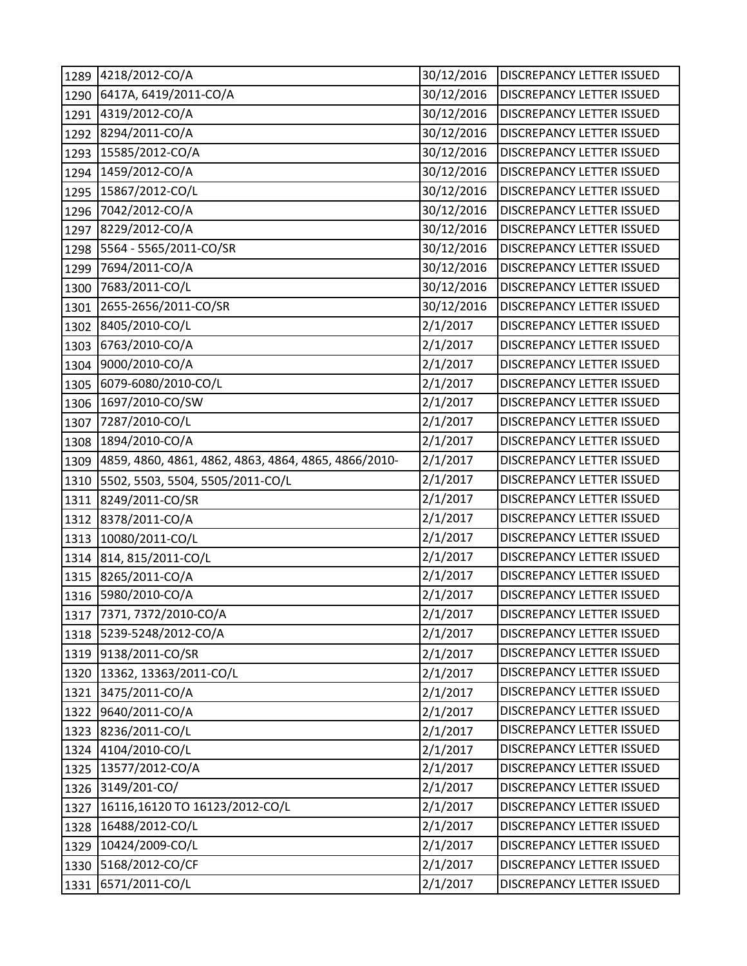| 1289 | 4218/2012-CO/A                                       | 30/12/2016 | <b>DISCREPANCY LETTER ISSUED</b> |
|------|------------------------------------------------------|------------|----------------------------------|
| 1290 | 6417A, 6419/2011-CO/A                                | 30/12/2016 | DISCREPANCY LETTER ISSUED        |
| 1291 | 4319/2012-CO/A                                       | 30/12/2016 | DISCREPANCY LETTER ISSUED        |
| 1292 | 8294/2011-CO/A                                       | 30/12/2016 | <b>DISCREPANCY LETTER ISSUED</b> |
| 1293 | 15585/2012-CO/A                                      | 30/12/2016 | DISCREPANCY LETTER ISSUED        |
| 1294 | 1459/2012-CO/A                                       | 30/12/2016 | DISCREPANCY LETTER ISSUED        |
| 1295 | 15867/2012-CO/L                                      | 30/12/2016 | <b>DISCREPANCY LETTER ISSUED</b> |
| 1296 | 7042/2012-CO/A                                       | 30/12/2016 | DISCREPANCY LETTER ISSUED        |
| 1297 | 8229/2012-CO/A                                       | 30/12/2016 | DISCREPANCY LETTER ISSUED        |
| 1298 | 5564 - 5565/2011-CO/SR                               | 30/12/2016 | DISCREPANCY LETTER ISSUED        |
| 1299 | 7694/2011-CO/A                                       | 30/12/2016 | DISCREPANCY LETTER ISSUED        |
| 1300 | 7683/2011-CO/L                                       | 30/12/2016 | DISCREPANCY LETTER ISSUED        |
| 1301 | 2655-2656/2011-CO/SR                                 | 30/12/2016 | DISCREPANCY LETTER ISSUED        |
| 1302 | 8405/2010-CO/L                                       | 2/1/2017   | DISCREPANCY LETTER ISSUED        |
| 1303 | 6763/2010-CO/A                                       | 2/1/2017   | DISCREPANCY LETTER ISSUED        |
| 1304 | 9000/2010-CO/A                                       | 2/1/2017   | <b>DISCREPANCY LETTER ISSUED</b> |
| 1305 | 6079-6080/2010-CO/L                                  | 2/1/2017   | DISCREPANCY LETTER ISSUED        |
| 1306 | 1697/2010-CO/SW                                      | 2/1/2017   | DISCREPANCY LETTER ISSUED        |
| 1307 | 7287/2010-CO/L                                       | 2/1/2017   | DISCREPANCY LETTER ISSUED        |
| 1308 | 1894/2010-CO/A                                       | 2/1/2017   | DISCREPANCY LETTER ISSUED        |
| 1309 | 4859, 4860, 4861, 4862, 4863, 4864, 4865, 4866/2010- | 2/1/2017   | DISCREPANCY LETTER ISSUED        |
| 1310 | 5502, 5503, 5504, 5505/2011-CO/L                     | 2/1/2017   | DISCREPANCY LETTER ISSUED        |
| 1311 | 8249/2011-CO/SR                                      | 2/1/2017   | DISCREPANCY LETTER ISSUED        |
| 1312 | 8378/2011-CO/A                                       | 2/1/2017   | DISCREPANCY LETTER ISSUED        |
| 1313 | 10080/2011-CO/L                                      | 2/1/2017   | DISCREPANCY LETTER ISSUED        |
| 1314 | 814, 815/2011-CO/L                                   | 2/1/2017   | DISCREPANCY LETTER ISSUED        |
| 1315 | 8265/2011-CO/A                                       | 2/1/2017   | DISCREPANCY LETTER ISSUED        |
|      | 1316 5980/2010-CO/A                                  | 2/1/2017   | DISCREPANCY LETTER ISSUED        |
|      | 1317 7371, 7372/2010-CO/A                            | 2/1/2017   | <b>DISCREPANCY LETTER ISSUED</b> |
| 1318 | 5239-5248/2012-CO/A                                  | 2/1/2017   | DISCREPANCY LETTER ISSUED        |
|      | 1319 9138/2011-CO/SR                                 | 2/1/2017   | DISCREPANCY LETTER ISSUED        |
|      | 1320 13362, 13363/2011-CO/L                          | 2/1/2017   | DISCREPANCY LETTER ISSUED        |
| 1321 | 3475/2011-CO/A                                       | 2/1/2017   | DISCREPANCY LETTER ISSUED        |
| 1322 | 9640/2011-CO/A                                       | 2/1/2017   | DISCREPANCY LETTER ISSUED        |
| 1323 | 8236/2011-CO/L                                       | 2/1/2017   | DISCREPANCY LETTER ISSUED        |
| 1324 | 4104/2010-CO/L                                       | 2/1/2017   | DISCREPANCY LETTER ISSUED        |
|      | 1325 13577/2012-CO/A                                 | 2/1/2017   | DISCREPANCY LETTER ISSUED        |
|      | 1326 3149/201-CO/                                    | 2/1/2017   | DISCREPANCY LETTER ISSUED        |
| 1327 | 16116,16120 TO 16123/2012-CO/L                       | 2/1/2017   | DISCREPANCY LETTER ISSUED        |
| 1328 | 16488/2012-CO/L                                      | 2/1/2017   | DISCREPANCY LETTER ISSUED        |
| 1329 | 10424/2009-CO/L                                      | 2/1/2017   | DISCREPANCY LETTER ISSUED        |
| 1330 | 5168/2012-CO/CF                                      | 2/1/2017   | DISCREPANCY LETTER ISSUED        |
| 1331 | 6571/2011-CO/L                                       | 2/1/2017   | DISCREPANCY LETTER ISSUED        |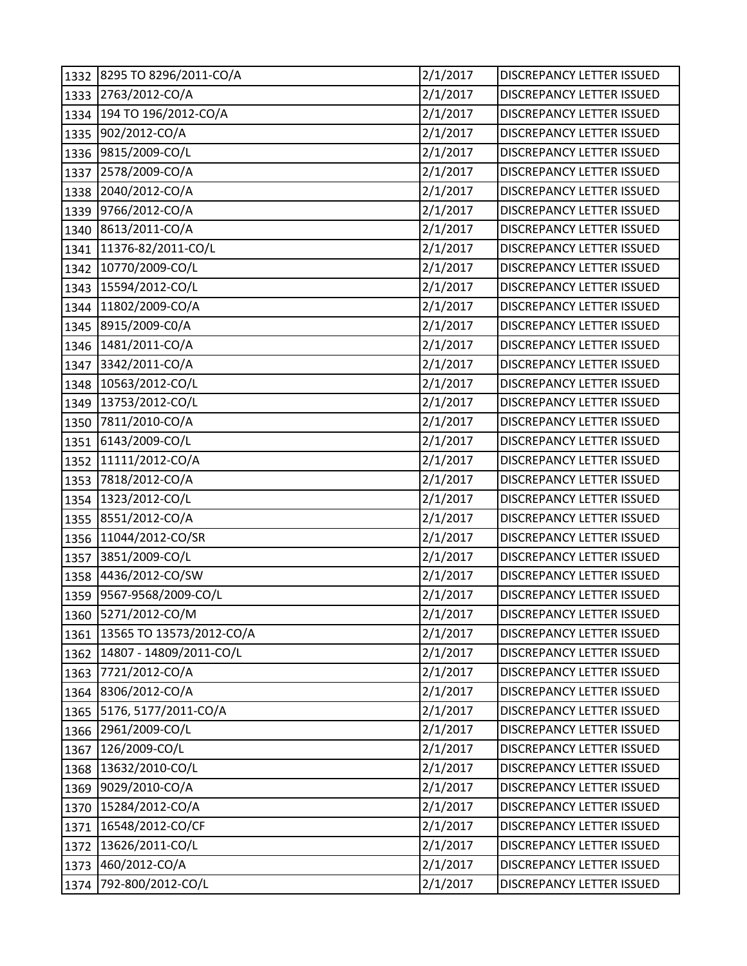| 1332 | 8295 TO 8296/2011-CO/A   | 2/1/2017 | DISCREPANCY LETTER ISSUED        |
|------|--------------------------|----------|----------------------------------|
| 1333 | 2763/2012-CO/A           | 2/1/2017 | <b>DISCREPANCY LETTER ISSUED</b> |
| 1334 | 194 TO 196/2012-CO/A     | 2/1/2017 | <b>DISCREPANCY LETTER ISSUED</b> |
| 1335 | 902/2012-CO/A            | 2/1/2017 | DISCREPANCY LETTER ISSUED        |
| 1336 | 9815/2009-CO/L           | 2/1/2017 | DISCREPANCY LETTER ISSUED        |
| 1337 | 2578/2009-CO/A           | 2/1/2017 | DISCREPANCY LETTER ISSUED        |
| 1338 | 2040/2012-CO/A           | 2/1/2017 | DISCREPANCY LETTER ISSUED        |
| 1339 | 9766/2012-CO/A           | 2/1/2017 | DISCREPANCY LETTER ISSUED        |
| 1340 | 8613/2011-CO/A           | 2/1/2017 | DISCREPANCY LETTER ISSUED        |
| 1341 | 11376-82/2011-CO/L       | 2/1/2017 | DISCREPANCY LETTER ISSUED        |
| 1342 | 10770/2009-CO/L          | 2/1/2017 | DISCREPANCY LETTER ISSUED        |
| 1343 | 15594/2012-CO/L          | 2/1/2017 | DISCREPANCY LETTER ISSUED        |
| 1344 | 11802/2009-CO/A          | 2/1/2017 | DISCREPANCY LETTER ISSUED        |
| 1345 | 8915/2009-C0/A           | 2/1/2017 | DISCREPANCY LETTER ISSUED        |
| 1346 | 1481/2011-CO/A           | 2/1/2017 | <b>DISCREPANCY LETTER ISSUED</b> |
| 1347 | 3342/2011-CO/A           | 2/1/2017 | DISCREPANCY LETTER ISSUED        |
| 1348 | 10563/2012-CO/L          | 2/1/2017 | <b>DISCREPANCY LETTER ISSUED</b> |
| 1349 | 13753/2012-CO/L          | 2/1/2017 | <b>DISCREPANCY LETTER ISSUED</b> |
| 1350 | 7811/2010-CO/A           | 2/1/2017 | DISCREPANCY LETTER ISSUED        |
| 1351 | 6143/2009-CO/L           | 2/1/2017 | DISCREPANCY LETTER ISSUED        |
| 1352 | 11111/2012-CO/A          | 2/1/2017 | <b>DISCREPANCY LETTER ISSUED</b> |
| 1353 | 7818/2012-CO/A           | 2/1/2017 | <b>DISCREPANCY LETTER ISSUED</b> |
| 1354 | 1323/2012-CO/L           | 2/1/2017 | DISCREPANCY LETTER ISSUED        |
| 1355 | 8551/2012-CO/A           | 2/1/2017 | <b>DISCREPANCY LETTER ISSUED</b> |
| 1356 | 11044/2012-CO/SR         | 2/1/2017 | DISCREPANCY LETTER ISSUED        |
| 1357 | 3851/2009-CO/L           | 2/1/2017 | <b>DISCREPANCY LETTER ISSUED</b> |
| 1358 | 4436/2012-CO/SW          | 2/1/2017 | DISCREPANCY LETTER ISSUED        |
| 1359 | 9567-9568/2009-CO/L      | 2/1/2017 | DISCREPANCY LETTER ISSUED        |
|      | 1360 5271/2012-CO/M      | 2/1/2017 | DISCREPANCY LETTER ISSUED        |
| 1361 | 13565 TO 13573/2012-CO/A | 2/1/2017 | DISCREPANCY LETTER ISSUED        |
| 1362 | 14807 - 14809/2011-CO/L  | 2/1/2017 | DISCREPANCY LETTER ISSUED        |
| 1363 | 7721/2012-CO/A           | 2/1/2017 | DISCREPANCY LETTER ISSUED        |
| 1364 | 8306/2012-CO/A           | 2/1/2017 | DISCREPANCY LETTER ISSUED        |
| 1365 | 5176, 5177/2011-CO/A     | 2/1/2017 | <b>DISCREPANCY LETTER ISSUED</b> |
| 1366 | 2961/2009-CO/L           | 2/1/2017 | DISCREPANCY LETTER ISSUED        |
| 1367 | 126/2009-CO/L            | 2/1/2017 | DISCREPANCY LETTER ISSUED        |
| 1368 | 13632/2010-CO/L          | 2/1/2017 | <b>DISCREPANCY LETTER ISSUED</b> |
| 1369 | 9029/2010-CO/A           | 2/1/2017 | DISCREPANCY LETTER ISSUED        |
| 1370 | 15284/2012-CO/A          | 2/1/2017 | DISCREPANCY LETTER ISSUED        |
| 1371 | 16548/2012-CO/CF         | 2/1/2017 | DISCREPANCY LETTER ISSUED        |
| 1372 | 13626/2011-CO/L          | 2/1/2017 | DISCREPANCY LETTER ISSUED        |
| 1373 | 460/2012-CO/A            | 2/1/2017 | DISCREPANCY LETTER ISSUED        |
| 1374 | 792-800/2012-CO/L        | 2/1/2017 | DISCREPANCY LETTER ISSUED        |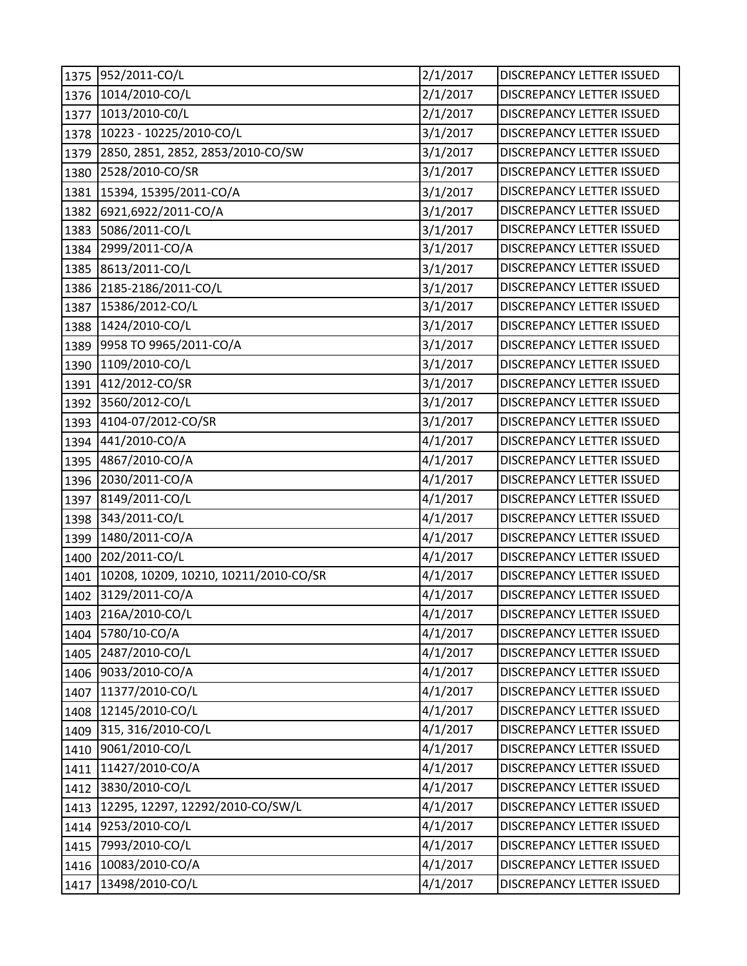| 1375 | 952/2011-CO/L                         | 2/1/2017 | DISCREPANCY LETTER ISSUED        |
|------|---------------------------------------|----------|----------------------------------|
| 1376 | 1014/2010-CO/L                        | 2/1/2017 | <b>DISCREPANCY LETTER ISSUED</b> |
| 1377 | 1013/2010-C0/L                        | 2/1/2017 | DISCREPANCY LETTER ISSUED        |
| 1378 | 10223 - 10225/2010-CO/L               | 3/1/2017 | DISCREPANCY LETTER ISSUED        |
| 1379 | 2850, 2851, 2852, 2853/2010-CO/SW     | 3/1/2017 | DISCREPANCY LETTER ISSUED        |
| 1380 | 2528/2010-CO/SR                       | 3/1/2017 | DISCREPANCY LETTER ISSUED        |
| 1381 | 15394, 15395/2011-CO/A                | 3/1/2017 | <b>DISCREPANCY LETTER ISSUED</b> |
| 1382 | 6921,6922/2011-CO/A                   | 3/1/2017 | DISCREPANCY LETTER ISSUED        |
| 1383 | 5086/2011-CO/L                        | 3/1/2017 | DISCREPANCY LETTER ISSUED        |
| 1384 | 2999/2011-CO/A                        | 3/1/2017 | DISCREPANCY LETTER ISSUED        |
| 1385 | 8613/2011-CO/L                        | 3/1/2017 | DISCREPANCY LETTER ISSUED        |
| 1386 | 2185-2186/2011-CO/L                   | 3/1/2017 | DISCREPANCY LETTER ISSUED        |
| 1387 | 15386/2012-CO/L                       | 3/1/2017 | <b>DISCREPANCY LETTER ISSUED</b> |
| 1388 | 1424/2010-CO/L                        | 3/1/2017 | DISCREPANCY LETTER ISSUED        |
| 1389 | 9958 TO 9965/2011-CO/A                | 3/1/2017 | DISCREPANCY LETTER ISSUED        |
| 1390 | 1109/2010-CO/L                        | 3/1/2017 | <b>DISCREPANCY LETTER ISSUED</b> |
| 1391 | 412/2012-CO/SR                        | 3/1/2017 | DISCREPANCY LETTER ISSUED        |
| 1392 | 3560/2012-CO/L                        | 3/1/2017 | DISCREPANCY LETTER ISSUED        |
| 1393 | 4104-07/2012-CO/SR                    | 3/1/2017 | DISCREPANCY LETTER ISSUED        |
| 1394 | 441/2010-CO/A                         | 4/1/2017 | DISCREPANCY LETTER ISSUED        |
| 1395 | 4867/2010-CO/A                        | 4/1/2017 | DISCREPANCY LETTER ISSUED        |
| 1396 | 2030/2011-CO/A                        | 4/1/2017 | DISCREPANCY LETTER ISSUED        |
| 1397 | 8149/2011-CO/L                        | 4/1/2017 | DISCREPANCY LETTER ISSUED        |
| 1398 | 343/2011-CO/L                         | 4/1/2017 | DISCREPANCY LETTER ISSUED        |
| 1399 | 1480/2011-CO/A                        | 4/1/2017 | DISCREPANCY LETTER ISSUED        |
| 1400 | 202/2011-CO/L                         | 4/1/2017 | <b>DISCREPANCY LETTER ISSUED</b> |
| 1401 | 10208, 10209, 10210, 10211/2010-CO/SR | 4/1/2017 | DISCREPANCY LETTER ISSUED        |
| 1402 | 3129/2011-CO/A                        | 4/1/2017 | DISCREPANCY LETTER ISSUED        |
|      | 1403 216A/2010-CO/L                   | 4/1/2017 | <b>DISCREPANCY LETTER ISSUED</b> |
| 1404 | 5780/10-CO/A                          | 4/1/2017 | DISCREPANCY LETTER ISSUED        |
| 1405 | 2487/2010-CO/L                        | 4/1/2017 | DISCREPANCY LETTER ISSUED        |
| 1406 | 9033/2010-CO/A                        | 4/1/2017 | DISCREPANCY LETTER ISSUED        |
| 1407 | 11377/2010-CO/L                       | 4/1/2017 | DISCREPANCY LETTER ISSUED        |
| 1408 | 12145/2010-CO/L                       | 4/1/2017 | DISCREPANCY LETTER ISSUED        |
| 1409 | 315, 316/2010-CO/L                    | 4/1/2017 | DISCREPANCY LETTER ISSUED        |
| 1410 | 9061/2010-CO/L                        | 4/1/2017 | DISCREPANCY LETTER ISSUED        |
| 1411 | 11427/2010-CO/A                       | 4/1/2017 | DISCREPANCY LETTER ISSUED        |
| 1412 | 3830/2010-CO/L                        | 4/1/2017 | DISCREPANCY LETTER ISSUED        |
| 1413 | 12295, 12297, 12292/2010-CO/SW/L      | 4/1/2017 | <b>DISCREPANCY LETTER ISSUED</b> |
| 1414 | 9253/2010-CO/L                        | 4/1/2017 | DISCREPANCY LETTER ISSUED        |
| 1415 | 7993/2010-CO/L                        | 4/1/2017 | DISCREPANCY LETTER ISSUED        |
| 1416 | 10083/2010-CO/A                       | 4/1/2017 | DISCREPANCY LETTER ISSUED        |
| 1417 | 13498/2010-CO/L                       | 4/1/2017 | DISCREPANCY LETTER ISSUED        |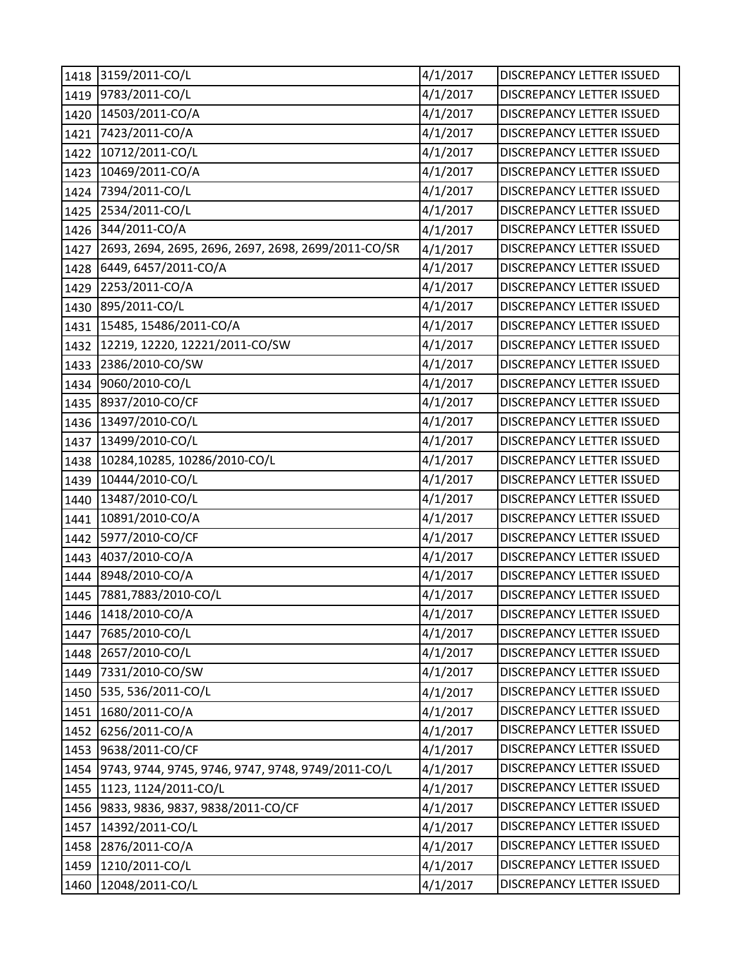|      | 1418 3159/2011-CO/L                                 | 4/1/2017 | DISCREPANCY LETTER ISSUED        |
|------|-----------------------------------------------------|----------|----------------------------------|
| 1419 | 9783/2011-CO/L                                      | 4/1/2017 | DISCREPANCY LETTER ISSUED        |
| 1420 | 14503/2011-CO/A                                     | 4/1/2017 | DISCREPANCY LETTER ISSUED        |
| 1421 | 7423/2011-CO/A                                      | 4/1/2017 | DISCREPANCY LETTER ISSUED        |
| 1422 | 10712/2011-CO/L                                     | 4/1/2017 | <b>DISCREPANCY LETTER ISSUED</b> |
| 1423 | 10469/2011-CO/A                                     | 4/1/2017 | DISCREPANCY LETTER ISSUED        |
| 1424 | 7394/2011-CO/L                                      | 4/1/2017 | DISCREPANCY LETTER ISSUED        |
| 1425 | 2534/2011-CO/L                                      | 4/1/2017 | <b>DISCREPANCY LETTER ISSUED</b> |
| 1426 | 344/2011-CO/A                                       | 4/1/2017 | <b>DISCREPANCY LETTER ISSUED</b> |
| 1427 | 2693, 2694, 2695, 2696, 2697, 2698, 2699/2011-CO/SR | 4/1/2017 | DISCREPANCY LETTER ISSUED        |
| 1428 | 6449, 6457/2011-CO/A                                | 4/1/2017 | DISCREPANCY LETTER ISSUED        |
| 1429 | 2253/2011-CO/A                                      | 4/1/2017 | DISCREPANCY LETTER ISSUED        |
| 1430 | 895/2011-CO/L                                       | 4/1/2017 | <b>DISCREPANCY LETTER ISSUED</b> |
| 1431 | 15485, 15486/2011-CO/A                              | 4/1/2017 | DISCREPANCY LETTER ISSUED        |
| 1432 | 12219, 12220, 12221/2011-CO/SW                      | 4/1/2017 | DISCREPANCY LETTER ISSUED        |
| 1433 | 2386/2010-CO/SW                                     | 4/1/2017 | DISCREPANCY LETTER ISSUED        |
| 1434 | 9060/2010-CO/L                                      | 4/1/2017 | <b>DISCREPANCY LETTER ISSUED</b> |
| 1435 | 8937/2010-CO/CF                                     | 4/1/2017 | DISCREPANCY LETTER ISSUED        |
| 1436 | 13497/2010-CO/L                                     | 4/1/2017 | DISCREPANCY LETTER ISSUED        |
| 1437 | 13499/2010-CO/L                                     | 4/1/2017 | DISCREPANCY LETTER ISSUED        |
| 1438 | 10284,10285, 10286/2010-CO/L                        | 4/1/2017 | DISCREPANCY LETTER ISSUED        |
| 1439 | 10444/2010-CO/L                                     | 4/1/2017 | DISCREPANCY LETTER ISSUED        |
| 1440 | 13487/2010-CO/L                                     | 4/1/2017 | DISCREPANCY LETTER ISSUED        |
| 1441 | 10891/2010-CO/A                                     | 4/1/2017 | DISCREPANCY LETTER ISSUED        |
| 1442 | 5977/2010-CO/CF                                     | 4/1/2017 | <b>DISCREPANCY LETTER ISSUED</b> |
| 1443 | 4037/2010-CO/A                                      | 4/1/2017 | DISCREPANCY LETTER ISSUED        |
| 1444 | 8948/2010-CO/A                                      | 4/1/2017 | DISCREPANCY LETTER ISSUED        |
| 1445 | 7881,7883/2010-CO/L                                 | 4/1/2017 | DISCREPANCY LETTER ISSUED        |
|      | 1446 1418/2010-CO/A                                 | 4/1/2017 | <b>DISCREPANCY LETTER ISSUED</b> |
| 1447 | 7685/2010-CO/L                                      | 4/1/2017 | DISCREPANCY LETTER ISSUED        |
| 1448 | 2657/2010-CO/L                                      | 4/1/2017 | DISCREPANCY LETTER ISSUED        |
| 1449 | 7331/2010-CO/SW                                     | 4/1/2017 | DISCREPANCY LETTER ISSUED        |
| 1450 | 535, 536/2011-CO/L                                  | 4/1/2017 | DISCREPANCY LETTER ISSUED        |
| 1451 | 1680/2011-CO/A                                      | 4/1/2017 | DISCREPANCY LETTER ISSUED        |
| 1452 | 6256/2011-CO/A                                      | 4/1/2017 | DISCREPANCY LETTER ISSUED        |
| 1453 | 9638/2011-CO/CF                                     | 4/1/2017 | DISCREPANCY LETTER ISSUED        |
| 1454 | 9743, 9744, 9745, 9746, 9747, 9748, 9749/2011-CO/L  | 4/1/2017 | DISCREPANCY LETTER ISSUED        |
|      | 1455 1123, 1124/2011-CO/L                           | 4/1/2017 | DISCREPANCY LETTER ISSUED        |
| 1456 | 9833, 9836, 9837, 9838/2011-CO/CF                   | 4/1/2017 | DISCREPANCY LETTER ISSUED        |
| 1457 | 14392/2011-CO/L                                     | 4/1/2017 | DISCREPANCY LETTER ISSUED        |
| 1458 | 2876/2011-CO/A                                      | 4/1/2017 | <b>DISCREPANCY LETTER ISSUED</b> |
| 1459 | 1210/2011-CO/L                                      | 4/1/2017 | DISCREPANCY LETTER ISSUED        |
| 1460 | 12048/2011-CO/L                                     | 4/1/2017 | DISCREPANCY LETTER ISSUED        |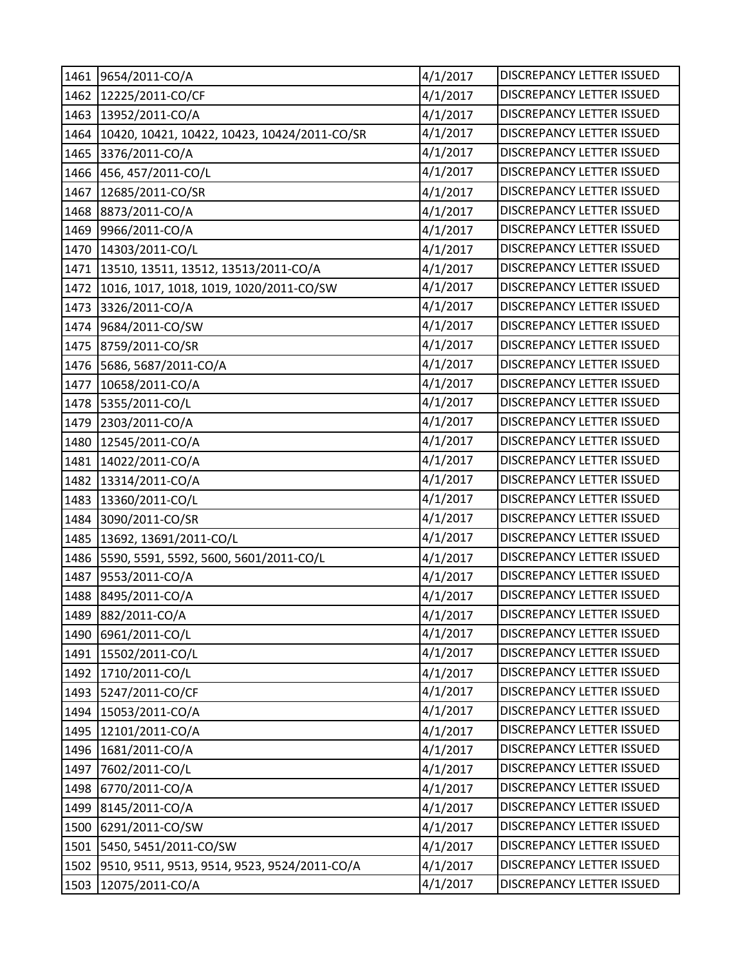|      | 1461 9654/2011-CO/A                          | 4/1/2017 | DISCREPANCY LETTER ISSUED        |
|------|----------------------------------------------|----------|----------------------------------|
| 1462 | 12225/2011-CO/CF                             | 4/1/2017 | DISCREPANCY LETTER ISSUED        |
| 1463 | 13952/2011-CO/A                              | 4/1/2017 | DISCREPANCY LETTER ISSUED        |
| 1464 | 10420, 10421, 10422, 10423, 10424/2011-CO/SR | 4/1/2017 | DISCREPANCY LETTER ISSUED        |
| 1465 | 3376/2011-CO/A                               | 4/1/2017 | DISCREPANCY LETTER ISSUED        |
|      | 1466 456, 457/2011-CO/L                      | 4/1/2017 | DISCREPANCY LETTER ISSUED        |
| 1467 | 12685/2011-CO/SR                             | 4/1/2017 | DISCREPANCY LETTER ISSUED        |
| 1468 | 8873/2011-CO/A                               | 4/1/2017 | <b>DISCREPANCY LETTER ISSUED</b> |
| 1469 | 9966/2011-CO/A                               | 4/1/2017 | DISCREPANCY LETTER ISSUED        |
|      | 1470 14303/2011-CO/L                         | 4/1/2017 | DISCREPANCY LETTER ISSUED        |
| 1471 | 13510, 13511, 13512, 13513/2011-CO/A         | 4/1/2017 | DISCREPANCY LETTER ISSUED        |
| 1472 | 1016, 1017, 1018, 1019, 1020/2011-CO/SW      | 4/1/2017 | DISCREPANCY LETTER ISSUED        |
| 1473 | 3326/2011-CO/A                               | 4/1/2017 | DISCREPANCY LETTER ISSUED        |
| 1474 | 9684/2011-CO/SW                              | 4/1/2017 | DISCREPANCY LETTER ISSUED        |
| 1475 | 8759/2011-CO/SR                              | 4/1/2017 | DISCREPANCY LETTER ISSUED        |
| 1476 | 5686, 5687/2011-CO/A                         | 4/1/2017 | DISCREPANCY LETTER ISSUED        |
| 1477 | 10658/2011-CO/A                              | 4/1/2017 | <b>DISCREPANCY LETTER ISSUED</b> |
| 1478 | 5355/2011-CO/L                               | 4/1/2017 | <b>DISCREPANCY LETTER ISSUED</b> |
| 1479 | 2303/2011-CO/A                               | 4/1/2017 | <b>DISCREPANCY LETTER ISSUED</b> |
| 1480 | 12545/2011-CO/A                              | 4/1/2017 | <b>DISCREPANCY LETTER ISSUED</b> |
| 1481 | 14022/2011-CO/A                              | 4/1/2017 | DISCREPANCY LETTER ISSUED        |
| 1482 | 13314/2011-CO/A                              | 4/1/2017 | DISCREPANCY LETTER ISSUED        |
| 1483 | 13360/2011-CO/L                              | 4/1/2017 | DISCREPANCY LETTER ISSUED        |
| 1484 | 3090/2011-CO/SR                              | 4/1/2017 | DISCREPANCY LETTER ISSUED        |
| 1485 | 13692, 13691/2011-CO/L                       | 4/1/2017 | DISCREPANCY LETTER ISSUED        |
| 1486 | 5590, 5591, 5592, 5600, 5601/2011-CO/L       | 4/1/2017 | DISCREPANCY LETTER ISSUED        |
| 1487 | 9553/2011-CO/A                               | 4/1/2017 | DISCREPANCY LETTER ISSUED        |
| 1488 | 8495/2011-CO/A                               | 4/1/2017 | DISCREPANCY LETTER ISSUED        |
|      | 1489 882/2011-CO/A                           | 4/1/2017 | <b>DISCREPANCY LETTER ISSUED</b> |
| 1490 | 6961/2011-CO/L                               | 4/1/2017 | <b>DISCREPANCY LETTER ISSUED</b> |
| 1491 | 15502/2011-CO/L                              | 4/1/2017 | DISCREPANCY LETTER ISSUED        |
| 1492 | 1710/2011-CO/L                               | 4/1/2017 | DISCREPANCY LETTER ISSUED        |
| 1493 | 5247/2011-CO/CF                              | 4/1/2017 | <b>DISCREPANCY LETTER ISSUED</b> |
| 1494 | 15053/2011-CO/A                              | 4/1/2017 | <b>DISCREPANCY LETTER ISSUED</b> |
| 1495 | 12101/2011-CO/A                              | 4/1/2017 | DISCREPANCY LETTER ISSUED        |
| 1496 | 1681/2011-CO/A                               | 4/1/2017 | DISCREPANCY LETTER ISSUED        |
| 1497 | 7602/2011-CO/L                               | 4/1/2017 | DISCREPANCY LETTER ISSUED        |
| 1498 | 6770/2011-CO/A                               | 4/1/2017 | DISCREPANCY LETTER ISSUED        |
| 1499 | 8145/2011-CO/A                               | 4/1/2017 | DISCREPANCY LETTER ISSUED        |
| 1500 | 6291/2011-CO/SW                              | 4/1/2017 | DISCREPANCY LETTER ISSUED        |
| 1501 | 5450, 5451/2011-CO/SW                        | 4/1/2017 | DISCREPANCY LETTER ISSUED        |
| 1502 | 9510, 9511, 9513, 9514, 9523, 9524/2011-CO/A | 4/1/2017 | DISCREPANCY LETTER ISSUED        |
| 1503 | 12075/2011-CO/A                              | 4/1/2017 | DISCREPANCY LETTER ISSUED        |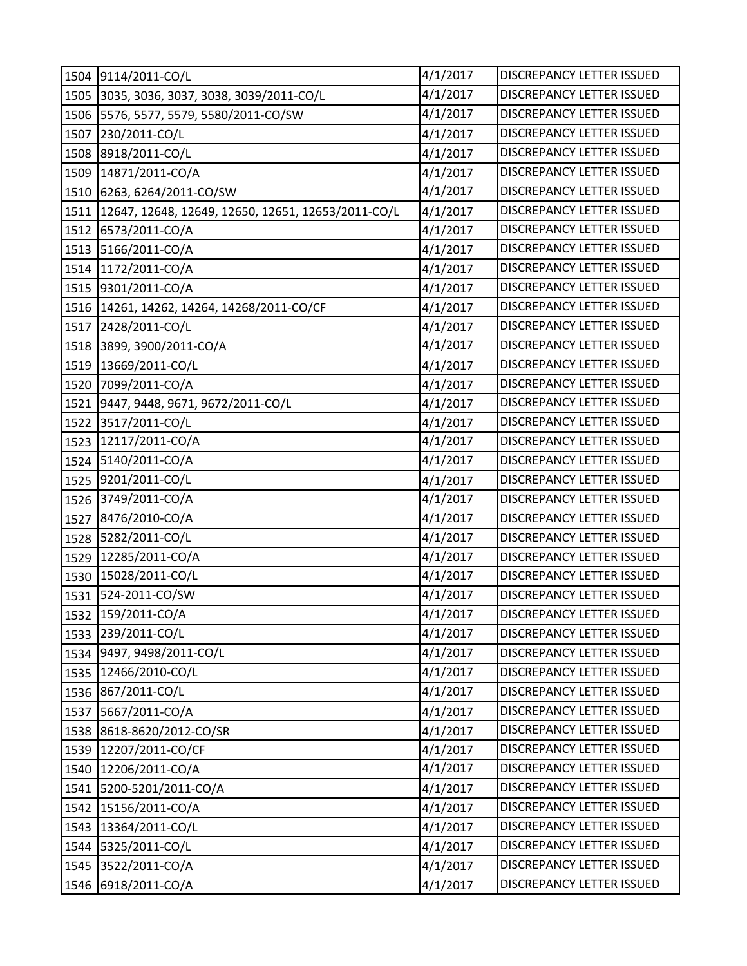|      | 1504 9114/2011-CO/L                                | 4/1/2017 | <b>DISCREPANCY LETTER ISSUED</b> |
|------|----------------------------------------------------|----------|----------------------------------|
| 1505 | 3035, 3036, 3037, 3038, 3039/2011-CO/L             | 4/1/2017 | DISCREPANCY LETTER ISSUED        |
|      | 1506 5576, 5577, 5579, 5580/2011-CO/SW             | 4/1/2017 | DISCREPANCY LETTER ISSUED        |
| 1507 | 230/2011-CO/L                                      | 4/1/2017 | DISCREPANCY LETTER ISSUED        |
| 1508 | 8918/2011-CO/L                                     | 4/1/2017 | DISCREPANCY LETTER ISSUED        |
| 1509 | 14871/2011-CO/A                                    | 4/1/2017 | DISCREPANCY LETTER ISSUED        |
| 1510 | 6263, 6264/2011-CO/SW                              | 4/1/2017 | DISCREPANCY LETTER ISSUED        |
| 1511 | 12647, 12648, 12649, 12650, 12651, 12653/2011-CO/L | 4/1/2017 | <b>DISCREPANCY LETTER ISSUED</b> |
| 1512 | 6573/2011-CO/A                                     | 4/1/2017 | DISCREPANCY LETTER ISSUED        |
| 1513 | 5166/2011-CO/A                                     | 4/1/2017 | DISCREPANCY LETTER ISSUED        |
|      | 1514 1172/2011-CO/A                                | 4/1/2017 | DISCREPANCY LETTER ISSUED        |
| 1515 | 9301/2011-CO/A                                     | 4/1/2017 | DISCREPANCY LETTER ISSUED        |
|      | 1516 14261, 14262, 14264, 14268/2011-CO/CF         | 4/1/2017 | DISCREPANCY LETTER ISSUED        |
| 1517 | 2428/2011-CO/L                                     | 4/1/2017 | DISCREPANCY LETTER ISSUED        |
| 1518 | 3899, 3900/2011-CO/A                               | 4/1/2017 | <b>DISCREPANCY LETTER ISSUED</b> |
| 1519 | 13669/2011-CO/L                                    | 4/1/2017 | DISCREPANCY LETTER ISSUED        |
| 1520 | 7099/2011-CO/A                                     | 4/1/2017 | DISCREPANCY LETTER ISSUED        |
| 1521 | 9447, 9448, 9671, 9672/2011-CO/L                   | 4/1/2017 | DISCREPANCY LETTER ISSUED        |
| 1522 | 3517/2011-CO/L                                     | 4/1/2017 | DISCREPANCY LETTER ISSUED        |
| 1523 | 12117/2011-CO/A                                    | 4/1/2017 | <b>DISCREPANCY LETTER ISSUED</b> |
| 1524 | 5140/2011-CO/A                                     | 4/1/2017 | DISCREPANCY LETTER ISSUED        |
| 1525 | 9201/2011-CO/L                                     | 4/1/2017 | DISCREPANCY LETTER ISSUED        |
| 1526 | 3749/2011-CO/A                                     | 4/1/2017 | DISCREPANCY LETTER ISSUED        |
| 1527 | 8476/2010-CO/A                                     | 4/1/2017 | DISCREPANCY LETTER ISSUED        |
| 1528 | 5282/2011-CO/L                                     | 4/1/2017 | DISCREPANCY LETTER ISSUED        |
| 1529 | 12285/2011-CO/A                                    | 4/1/2017 | <b>DISCREPANCY LETTER ISSUED</b> |
| 1530 | 15028/2011-CO/L                                    | 4/1/2017 | DISCREPANCY LETTER ISSUED        |
| 1531 | 524-2011-CO/SW                                     | 4/1/2017 | DISCREPANCY LETTER ISSUED        |
|      | 1532 159/2011-CO/A                                 | 4/1/2017 | DISCREPANCY LETTER ISSUED        |
| 1533 | 239/2011-CO/L                                      | 4/1/2017 | DISCREPANCY LETTER ISSUED        |
| 1534 | 9497, 9498/2011-CO/L                               | 4/1/2017 | DISCREPANCY LETTER ISSUED        |
| 1535 | 12466/2010-CO/L                                    | 4/1/2017 | DISCREPANCY LETTER ISSUED        |
| 1536 | 867/2011-CO/L                                      | 4/1/2017 | DISCREPANCY LETTER ISSUED        |
| 1537 | 5667/2011-CO/A                                     | 4/1/2017 | DISCREPANCY LETTER ISSUED        |
| 1538 | 8618-8620/2012-CO/SR                               | 4/1/2017 | DISCREPANCY LETTER ISSUED        |
| 1539 | 12207/2011-CO/CF                                   | 4/1/2017 | DISCREPANCY LETTER ISSUED        |
| 1540 | 12206/2011-CO/A                                    | 4/1/2017 | DISCREPANCY LETTER ISSUED        |
| 1541 | 5200-5201/2011-CO/A                                | 4/1/2017 | DISCREPANCY LETTER ISSUED        |
| 1542 | 15156/2011-CO/A                                    | 4/1/2017 | DISCREPANCY LETTER ISSUED        |
| 1543 | 13364/2011-CO/L                                    | 4/1/2017 | DISCREPANCY LETTER ISSUED        |
| 1544 | 5325/2011-CO/L                                     | 4/1/2017 | DISCREPANCY LETTER ISSUED        |
| 1545 | 3522/2011-CO/A                                     | 4/1/2017 | DISCREPANCY LETTER ISSUED        |
|      | 1546 6918/2011-CO/A                                | 4/1/2017 | DISCREPANCY LETTER ISSUED        |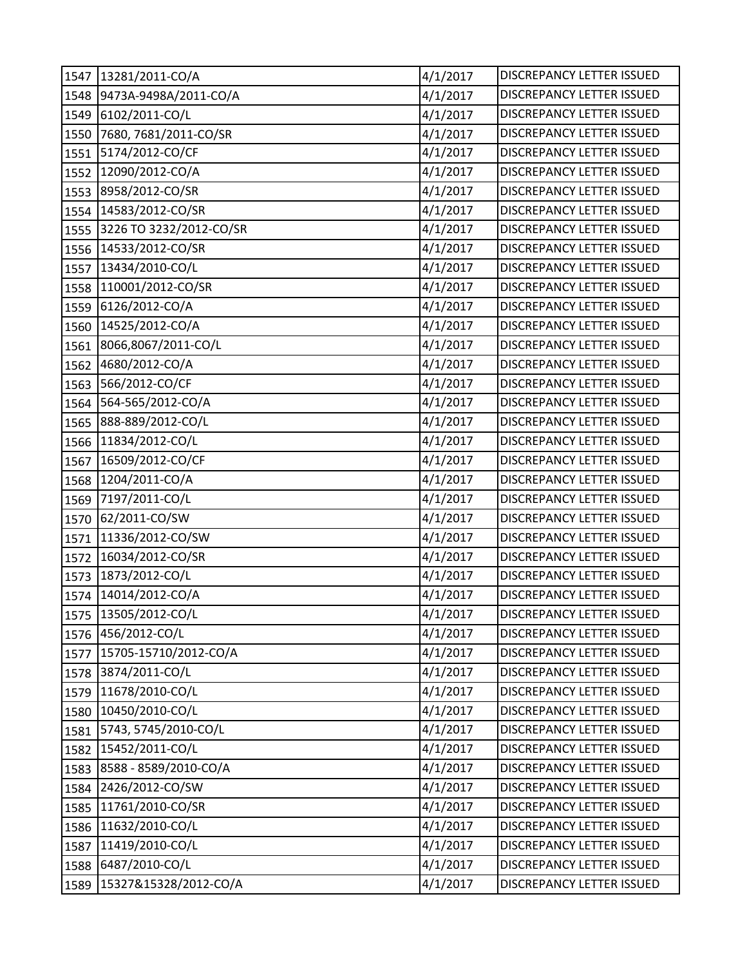| 1547 | 13281/2011-CO/A         | 4/1/2017 | DISCREPANCY LETTER ISSUED        |
|------|-------------------------|----------|----------------------------------|
| 1548 | 9473A-9498A/2011-CO/A   | 4/1/2017 | DISCREPANCY LETTER ISSUED        |
| 1549 | 6102/2011-CO/L          | 4/1/2017 | DISCREPANCY LETTER ISSUED        |
| 1550 | 7680, 7681/2011-CO/SR   | 4/1/2017 | DISCREPANCY LETTER ISSUED        |
| 1551 | 5174/2012-CO/CF         | 4/1/2017 | <b>DISCREPANCY LETTER ISSUED</b> |
| 1552 | 12090/2012-CO/A         | 4/1/2017 | DISCREPANCY LETTER ISSUED        |
| 1553 | 8958/2012-CO/SR         | 4/1/2017 | DISCREPANCY LETTER ISSUED        |
| 1554 | 14583/2012-CO/SR        | 4/1/2017 | DISCREPANCY LETTER ISSUED        |
| 1555 | 3226 TO 3232/2012-CO/SR | 4/1/2017 | DISCREPANCY LETTER ISSUED        |
| 1556 | 14533/2012-CO/SR        | 4/1/2017 | DISCREPANCY LETTER ISSUED        |
| 1557 | 13434/2010-CO/L         | 4/1/2017 | DISCREPANCY LETTER ISSUED        |
| 1558 | 110001/2012-CO/SR       | 4/1/2017 | DISCREPANCY LETTER ISSUED        |
| 1559 | 6126/2012-CO/A          | 4/1/2017 | DISCREPANCY LETTER ISSUED        |
| 1560 | 14525/2012-CO/A         | 4/1/2017 | DISCREPANCY LETTER ISSUED        |
| 1561 | 8066,8067/2011-CO/L     | 4/1/2017 | <b>DISCREPANCY LETTER ISSUED</b> |
| 1562 | 4680/2012-CO/A          | 4/1/2017 | DISCREPANCY LETTER ISSUED        |
| 1563 | 566/2012-CO/CF          | 4/1/2017 | DISCREPANCY LETTER ISSUED        |
| 1564 | 564-565/2012-CO/A       | 4/1/2017 | DISCREPANCY LETTER ISSUED        |
| 1565 | 888-889/2012-CO/L       | 4/1/2017 | DISCREPANCY LETTER ISSUED        |
| 1566 | 11834/2012-CO/L         | 4/1/2017 | DISCREPANCY LETTER ISSUED        |
| 1567 | 16509/2012-CO/CF        | 4/1/2017 | DISCREPANCY LETTER ISSUED        |
| 1568 | 1204/2011-CO/A          | 4/1/2017 | <b>DISCREPANCY LETTER ISSUED</b> |
| 1569 | 7197/2011-CO/L          | 4/1/2017 | DISCREPANCY LETTER ISSUED        |
| 1570 | 62/2011-CO/SW           | 4/1/2017 | DISCREPANCY LETTER ISSUED        |
| 1571 | 11336/2012-CO/SW        | 4/1/2017 | DISCREPANCY LETTER ISSUED        |
| 1572 | 16034/2012-CO/SR        | 4/1/2017 | DISCREPANCY LETTER ISSUED        |
| 1573 | 1873/2012-CO/L          | 4/1/2017 | DISCREPANCY LETTER ISSUED        |
| 1574 | 14014/2012-CO/A         | 4/1/2017 | DISCREPANCY LETTER ISSUED        |
|      | 1575 13505/2012-CO/L    | 4/1/2017 | DISCREPANCY LETTER ISSUED        |
| 1576 | 456/2012-CO/L           | 4/1/2017 | DISCREPANCY LETTER ISSUED        |
| 1577 | 15705-15710/2012-CO/A   | 4/1/2017 | DISCREPANCY LETTER ISSUED        |
| 1578 | 3874/2011-CO/L          | 4/1/2017 | DISCREPANCY LETTER ISSUED        |
| 1579 | 11678/2010-CO/L         | 4/1/2017 | DISCREPANCY LETTER ISSUED        |
| 1580 | 10450/2010-CO/L         | 4/1/2017 | DISCREPANCY LETTER ISSUED        |
| 1581 | 5743, 5745/2010-CO/L    | 4/1/2017 | <b>DISCREPANCY LETTER ISSUED</b> |
| 1582 | 15452/2011-CO/L         | 4/1/2017 | DISCREPANCY LETTER ISSUED        |
| 1583 | 8588 - 8589/2010-CO/A   | 4/1/2017 | DISCREPANCY LETTER ISSUED        |
| 1584 | 2426/2012-CO/SW         | 4/1/2017 | DISCREPANCY LETTER ISSUED        |
| 1585 | 11761/2010-CO/SR        | 4/1/2017 | DISCREPANCY LETTER ISSUED        |
| 1586 | 11632/2010-CO/L         | 4/1/2017 | DISCREPANCY LETTER ISSUED        |
| 1587 | 11419/2010-CO/L         | 4/1/2017 | DISCREPANCY LETTER ISSUED        |
| 1588 | 6487/2010-CO/L          | 4/1/2017 | DISCREPANCY LETTER ISSUED        |
| 1589 | 15327&15328/2012-CO/A   | 4/1/2017 | DISCREPANCY LETTER ISSUED        |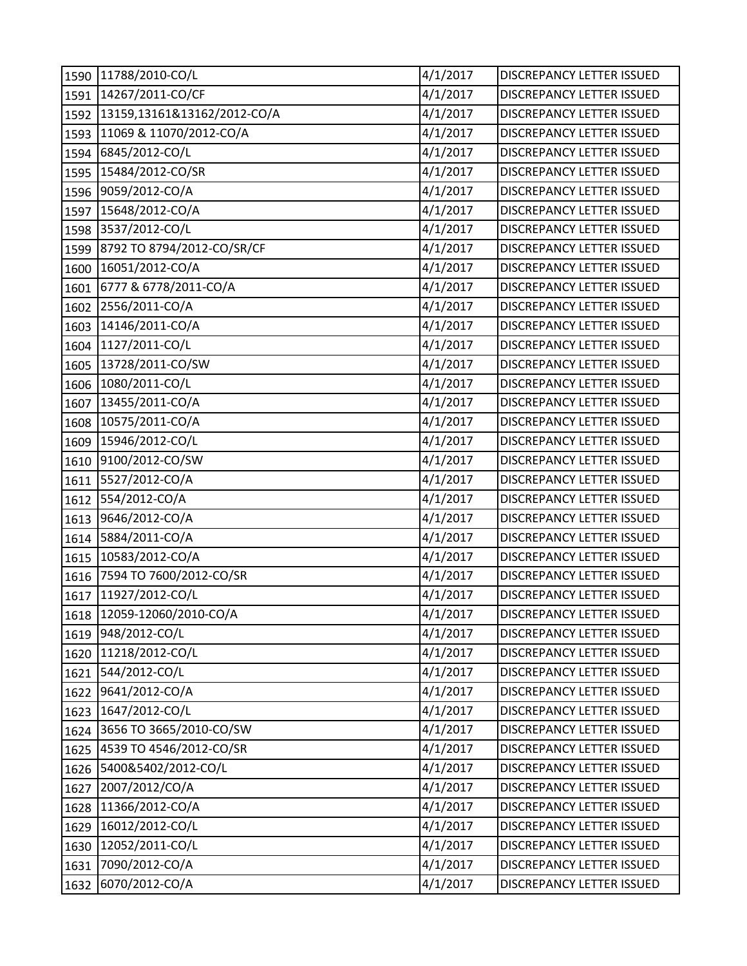| 1590 | 11788/2010-CO/L             | 4/1/2017 | DISCREPANCY LETTER ISSUED        |
|------|-----------------------------|----------|----------------------------------|
| 1591 | 14267/2011-CO/CF            | 4/1/2017 | DISCREPANCY LETTER ISSUED        |
| 1592 | 13159,13161&13162/2012-CO/A | 4/1/2017 | DISCREPANCY LETTER ISSUED        |
| 1593 | 11069 & 11070/2012-CO/A     | 4/1/2017 | DISCREPANCY LETTER ISSUED        |
| 1594 | 6845/2012-CO/L              | 4/1/2017 | DISCREPANCY LETTER ISSUED        |
| 1595 | 15484/2012-CO/SR            | 4/1/2017 | DISCREPANCY LETTER ISSUED        |
| 1596 | 9059/2012-CO/A              | 4/1/2017 | <b>DISCREPANCY LETTER ISSUED</b> |
| 1597 | 15648/2012-CO/A             | 4/1/2017 | <b>DISCREPANCY LETTER ISSUED</b> |
| 1598 | 3537/2012-CO/L              | 4/1/2017 | DISCREPANCY LETTER ISSUED        |
| 1599 | 8792 TO 8794/2012-CO/SR/CF  | 4/1/2017 | DISCREPANCY LETTER ISSUED        |
| 1600 | 16051/2012-CO/A             | 4/1/2017 | <b>DISCREPANCY LETTER ISSUED</b> |
| 1601 | 6777 & 6778/2011-CO/A       | 4/1/2017 | DISCREPANCY LETTER ISSUED        |
| 1602 | 2556/2011-CO/A              | 4/1/2017 | DISCREPANCY LETTER ISSUED        |
| 1603 | 14146/2011-CO/A             | 4/1/2017 | DISCREPANCY LETTER ISSUED        |
| 1604 | 1127/2011-CO/L              | 4/1/2017 | DISCREPANCY LETTER ISSUED        |
| 1605 | 13728/2011-CO/SW            | 4/1/2017 | DISCREPANCY LETTER ISSUED        |
| 1606 | 1080/2011-CO/L              | 4/1/2017 | DISCREPANCY LETTER ISSUED        |
| 1607 | 13455/2011-CO/A             | 4/1/2017 | DISCREPANCY LETTER ISSUED        |
| 1608 | 10575/2011-CO/A             | 4/1/2017 | DISCREPANCY LETTER ISSUED        |
| 1609 | 15946/2012-CO/L             | 4/1/2017 | DISCREPANCY LETTER ISSUED        |
| 1610 | 9100/2012-CO/SW             | 4/1/2017 | DISCREPANCY LETTER ISSUED        |
| 1611 | 5527/2012-CO/A              | 4/1/2017 | <b>DISCREPANCY LETTER ISSUED</b> |
| 1612 | 554/2012-CO/A               | 4/1/2017 | <b>DISCREPANCY LETTER ISSUED</b> |
| 1613 | 9646/2012-CO/A              | 4/1/2017 | <b>DISCREPANCY LETTER ISSUED</b> |
| 1614 | 5884/2011-CO/A              | 4/1/2017 | DISCREPANCY LETTER ISSUED        |
| 1615 | 10583/2012-CO/A             | 4/1/2017 | DISCREPANCY LETTER ISSUED        |
| 1616 | 7594 TO 7600/2012-CO/SR     | 4/1/2017 | DISCREPANCY LETTER ISSUED        |
| 1617 | 11927/2012-CO/L             | 4/1/2017 | DISCREPANCY LETTER ISSUED        |
|      | 1618 12059-12060/2010-CO/A  | 4/1/2017 | DISCREPANCY LETTER ISSUED        |
| 1619 | 948/2012-CO/L               | 4/1/2017 | DISCREPANCY LETTER ISSUED        |
| 1620 | 11218/2012-CO/L             | 4/1/2017 | DISCREPANCY LETTER ISSUED        |
| 1621 | 544/2012-CO/L               | 4/1/2017 | DISCREPANCY LETTER ISSUED        |
| 1622 | 9641/2012-CO/A              | 4/1/2017 | DISCREPANCY LETTER ISSUED        |
| 1623 | 1647/2012-CO/L              | 4/1/2017 | DISCREPANCY LETTER ISSUED        |
| 1624 | 3656 TO 3665/2010-CO/SW     | 4/1/2017 | DISCREPANCY LETTER ISSUED        |
| 1625 | 4539 TO 4546/2012-CO/SR     | 4/1/2017 | DISCREPANCY LETTER ISSUED        |
| 1626 | 5400&5402/2012-CO/L         | 4/1/2017 | DISCREPANCY LETTER ISSUED        |
| 1627 | 2007/2012/CO/A              | 4/1/2017 | DISCREPANCY LETTER ISSUED        |
| 1628 | 11366/2012-CO/A             | 4/1/2017 | DISCREPANCY LETTER ISSUED        |
| 1629 | 16012/2012-CO/L             | 4/1/2017 | DISCREPANCY LETTER ISSUED        |
| 1630 | 12052/2011-CO/L             | 4/1/2017 | DISCREPANCY LETTER ISSUED        |
| 1631 | 7090/2012-CO/A              | 4/1/2017 | DISCREPANCY LETTER ISSUED        |
| 1632 | 6070/2012-CO/A              | 4/1/2017 | DISCREPANCY LETTER ISSUED        |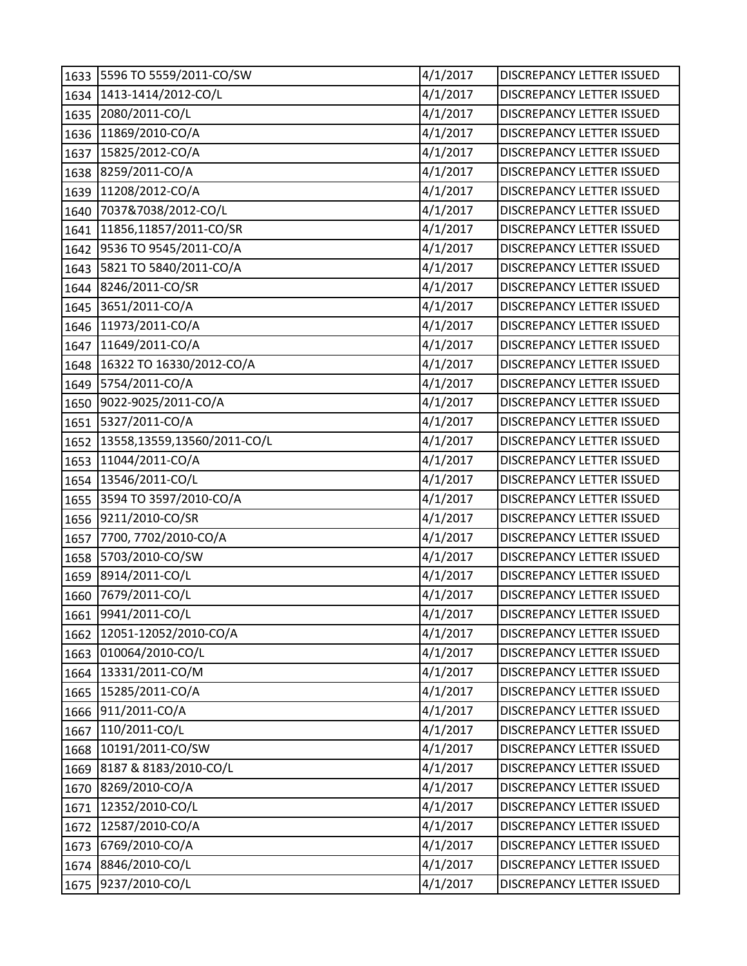| 1633 | 5596 TO 5559/2011-CO/SW     | 4/1/2017 | <b>DISCREPANCY LETTER ISSUED</b> |
|------|-----------------------------|----------|----------------------------------|
| 1634 | 1413-1414/2012-CO/L         | 4/1/2017 | DISCREPANCY LETTER ISSUED        |
| 1635 | 2080/2011-CO/L              | 4/1/2017 | <b>DISCREPANCY LETTER ISSUED</b> |
| 1636 | 11869/2010-CO/A             | 4/1/2017 | DISCREPANCY LETTER ISSUED        |
| 1637 | 15825/2012-CO/A             | 4/1/2017 | DISCREPANCY LETTER ISSUED        |
| 1638 | 8259/2011-CO/A              | 4/1/2017 | DISCREPANCY LETTER ISSUED        |
| 1639 | 11208/2012-CO/A             | 4/1/2017 | DISCREPANCY LETTER ISSUED        |
| 1640 | 7037&7038/2012-CO/L         | 4/1/2017 | DISCREPANCY LETTER ISSUED        |
| 1641 | 11856,11857/2011-CO/SR      | 4/1/2017 | DISCREPANCY LETTER ISSUED        |
| 1642 | 9536 TO 9545/2011-CO/A      | 4/1/2017 | DISCREPANCY LETTER ISSUED        |
| 1643 | 5821 TO 5840/2011-CO/A      | 4/1/2017 | DISCREPANCY LETTER ISSUED        |
| 1644 | 8246/2011-CO/SR             | 4/1/2017 | DISCREPANCY LETTER ISSUED        |
| 1645 | 3651/2011-CO/A              | 4/1/2017 | DISCREPANCY LETTER ISSUED        |
| 1646 | 11973/2011-CO/A             | 4/1/2017 | DISCREPANCY LETTER ISSUED        |
| 1647 | 11649/2011-CO/A             | 4/1/2017 | DISCREPANCY LETTER ISSUED        |
| 1648 | 16322 TO 16330/2012-CO/A    | 4/1/2017 | DISCREPANCY LETTER ISSUED        |
| 1649 | 5754/2011-CO/A              | 4/1/2017 | DISCREPANCY LETTER ISSUED        |
| 1650 | 9022-9025/2011-CO/A         | 4/1/2017 | DISCREPANCY LETTER ISSUED        |
| 1651 | 5327/2011-CO/A              | 4/1/2017 | DISCREPANCY LETTER ISSUED        |
| 1652 | 13558,13559,13560/2011-CO/L | 4/1/2017 | DISCREPANCY LETTER ISSUED        |
| 1653 | 11044/2011-CO/A             | 4/1/2017 | DISCREPANCY LETTER ISSUED        |
| 1654 | 13546/2011-CO/L             | 4/1/2017 | DISCREPANCY LETTER ISSUED        |
| 1655 | 3594 TO 3597/2010-CO/A      | 4/1/2017 | DISCREPANCY LETTER ISSUED        |
| 1656 | 9211/2010-CO/SR             | 4/1/2017 | DISCREPANCY LETTER ISSUED        |
| 1657 | 7700, 7702/2010-CO/A        | 4/1/2017 | DISCREPANCY LETTER ISSUED        |
| 1658 | 5703/2010-CO/SW             | 4/1/2017 | DISCREPANCY LETTER ISSUED        |
| 1659 | 8914/2011-CO/L              | 4/1/2017 | DISCREPANCY LETTER ISSUED        |
| 1660 | 7679/2011-CO/L              | 4/1/2017 | <b>DISCREPANCY LETTER ISSUED</b> |
|      | 1661 9941/2011-CO/L         | 4/1/2017 | DISCREPANCY LETTER ISSUED        |
| 1662 | 12051-12052/2010-CO/A       | 4/1/2017 | DISCREPANCY LETTER ISSUED        |
| 1663 | 010064/2010-CO/L            | 4/1/2017 | DISCREPANCY LETTER ISSUED        |
| 1664 | 13331/2011-CO/M             | 4/1/2017 | DISCREPANCY LETTER ISSUED        |
| 1665 | 15285/2011-CO/A             | 4/1/2017 | DISCREPANCY LETTER ISSUED        |
| 1666 | 911/2011-CO/A               | 4/1/2017 | <b>DISCREPANCY LETTER ISSUED</b> |
| 1667 | 110/2011-CO/L               | 4/1/2017 | DISCREPANCY LETTER ISSUED        |
| 1668 | 10191/2011-CO/SW            | 4/1/2017 | DISCREPANCY LETTER ISSUED        |
| 1669 | 8187 & 8183/2010-CO/L       | 4/1/2017 | DISCREPANCY LETTER ISSUED        |
| 1670 | 8269/2010-CO/A              | 4/1/2017 | DISCREPANCY LETTER ISSUED        |
| 1671 | 12352/2010-CO/L             | 4/1/2017 | DISCREPANCY LETTER ISSUED        |
| 1672 | 12587/2010-CO/A             | 4/1/2017 | DISCREPANCY LETTER ISSUED        |
| 1673 | 6769/2010-CO/A              | 4/1/2017 | DISCREPANCY LETTER ISSUED        |
| 1674 | 8846/2010-CO/L              | 4/1/2017 | DISCREPANCY LETTER ISSUED        |
| 1675 | 9237/2010-CO/L              | 4/1/2017 | DISCREPANCY LETTER ISSUED        |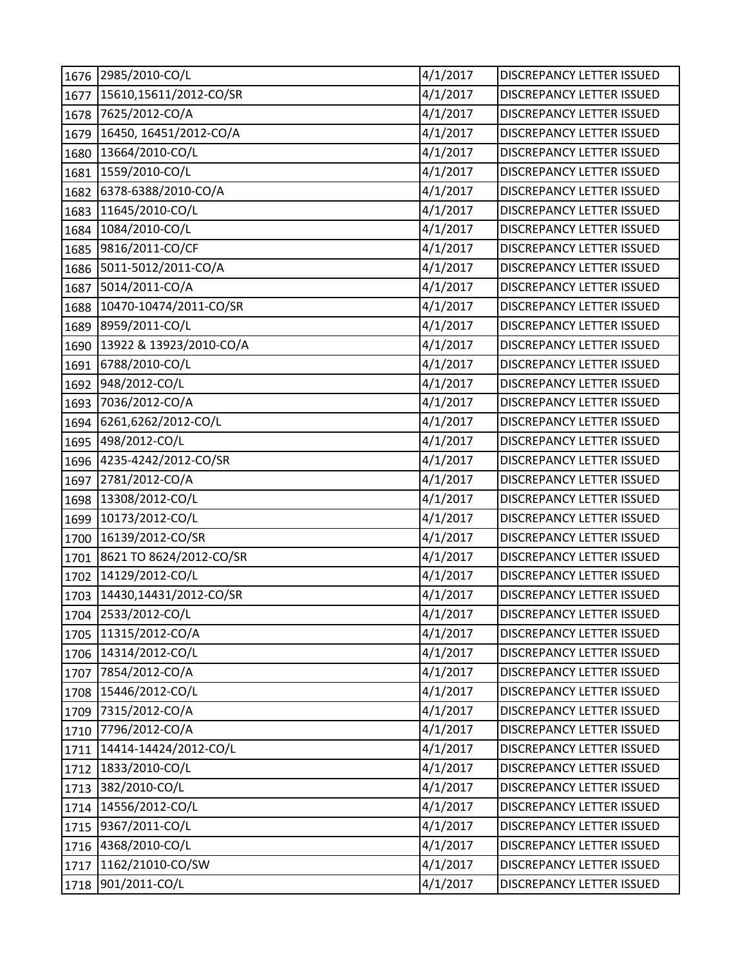| 1676 | 2985/2010-CO/L          | 4/1/2017 | DISCREPANCY LETTER ISSUED        |
|------|-------------------------|----------|----------------------------------|
| 1677 | 15610,15611/2012-CO/SR  | 4/1/2017 | DISCREPANCY LETTER ISSUED        |
| 1678 | 7625/2012-CO/A          | 4/1/2017 | DISCREPANCY LETTER ISSUED        |
| 1679 | 16450, 16451/2012-CO/A  | 4/1/2017 | DISCREPANCY LETTER ISSUED        |
| 1680 | 13664/2010-CO/L         | 4/1/2017 | DISCREPANCY LETTER ISSUED        |
| 1681 | 1559/2010-CO/L          | 4/1/2017 | DISCREPANCY LETTER ISSUED        |
| 1682 | 6378-6388/2010-CO/A     | 4/1/2017 | DISCREPANCY LETTER ISSUED        |
| 1683 | 11645/2010-CO/L         | 4/1/2017 | DISCREPANCY LETTER ISSUED        |
| 1684 | 1084/2010-CO/L          | 4/1/2017 | DISCREPANCY LETTER ISSUED        |
| 1685 | 9816/2011-CO/CF         | 4/1/2017 | DISCREPANCY LETTER ISSUED        |
| 1686 | 5011-5012/2011-CO/A     | 4/1/2017 | DISCREPANCY LETTER ISSUED        |
| 1687 | 5014/2011-CO/A          | 4/1/2017 | DISCREPANCY LETTER ISSUED        |
| 1688 | 10470-10474/2011-CO/SR  | 4/1/2017 | DISCREPANCY LETTER ISSUED        |
| 1689 | 8959/2011-CO/L          | 4/1/2017 | DISCREPANCY LETTER ISSUED        |
| 1690 | 13922 & 13923/2010-CO/A | 4/1/2017 | DISCREPANCY LETTER ISSUED        |
| 1691 | 6788/2010-CO/L          | 4/1/2017 | DISCREPANCY LETTER ISSUED        |
| 1692 | 948/2012-CO/L           | 4/1/2017 | DISCREPANCY LETTER ISSUED        |
| 1693 | 7036/2012-CO/A          | 4/1/2017 | DISCREPANCY LETTER ISSUED        |
| 1694 | 6261,6262/2012-CO/L     | 4/1/2017 | DISCREPANCY LETTER ISSUED        |
| 1695 | 498/2012-CO/L           | 4/1/2017 | DISCREPANCY LETTER ISSUED        |
| 1696 | 4235-4242/2012-CO/SR    | 4/1/2017 | DISCREPANCY LETTER ISSUED        |
| 1697 | 2781/2012-CO/A          | 4/1/2017 | DISCREPANCY LETTER ISSUED        |
| 1698 | 13308/2012-CO/L         | 4/1/2017 | DISCREPANCY LETTER ISSUED        |
| 1699 | 10173/2012-CO/L         | 4/1/2017 | DISCREPANCY LETTER ISSUED        |
| 1700 | 16139/2012-CO/SR        | 4/1/2017 | DISCREPANCY LETTER ISSUED        |
| 1701 | 8621 TO 8624/2012-CO/SR | 4/1/2017 | DISCREPANCY LETTER ISSUED        |
| 1702 | 14129/2012-CO/L         | 4/1/2017 | <b>DISCREPANCY LETTER ISSUED</b> |
| 1703 | 14430,14431/2012-CO/SR  | 4/1/2017 | DISCREPANCY LETTER ISSUED        |
|      | 1704 2533/2012-CO/L     | 4/1/2017 | DISCREPANCY LETTER ISSUED        |
| 1705 | 11315/2012-CO/A         | 4/1/2017 | DISCREPANCY LETTER ISSUED        |
| 1706 | 14314/2012-CO/L         | 4/1/2017 | DISCREPANCY LETTER ISSUED        |
| 1707 | 7854/2012-CO/A          | 4/1/2017 | <b>DISCREPANCY LETTER ISSUED</b> |
| 1708 | 15446/2012-CO/L         | 4/1/2017 | DISCREPANCY LETTER ISSUED        |
| 1709 | 7315/2012-CO/A          | 4/1/2017 | DISCREPANCY LETTER ISSUED        |
| 1710 | 7796/2012-CO/A          | 4/1/2017 | <b>DISCREPANCY LETTER ISSUED</b> |
| 1711 | 14414-14424/2012-CO/L   | 4/1/2017 | DISCREPANCY LETTER ISSUED        |
| 1712 | 1833/2010-CO/L          | 4/1/2017 | DISCREPANCY LETTER ISSUED        |
| 1713 | 382/2010-CO/L           | 4/1/2017 | DISCREPANCY LETTER ISSUED        |
| 1714 | 14556/2012-CO/L         | 4/1/2017 | DISCREPANCY LETTER ISSUED        |
| 1715 | 9367/2011-CO/L          | 4/1/2017 | DISCREPANCY LETTER ISSUED        |
| 1716 | 4368/2010-CO/L          | 4/1/2017 | DISCREPANCY LETTER ISSUED        |
| 1717 | 1162/21010-CO/SW        | 4/1/2017 | DISCREPANCY LETTER ISSUED        |
| 1718 | 901/2011-CO/L           | 4/1/2017 | DISCREPANCY LETTER ISSUED        |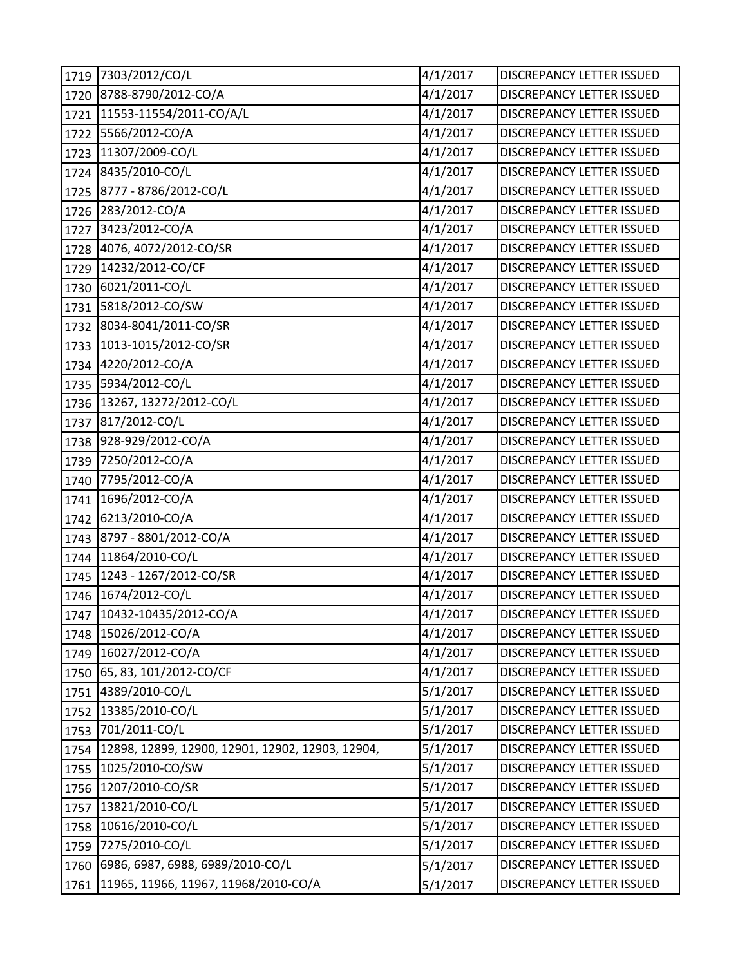| 1719 | 7303/2012/CO/L                                   | 4/1/2017 | DISCREPANCY LETTER ISSUED        |
|------|--------------------------------------------------|----------|----------------------------------|
| 1720 | 8788-8790/2012-CO/A                              | 4/1/2017 | DISCREPANCY LETTER ISSUED        |
| 1721 | 11553-11554/2011-CO/A/L                          | 4/1/2017 | DISCREPANCY LETTER ISSUED        |
| 1722 | 5566/2012-CO/A                                   | 4/1/2017 | <b>DISCREPANCY LETTER ISSUED</b> |
| 1723 | 11307/2009-CO/L                                  | 4/1/2017 | DISCREPANCY LETTER ISSUED        |
| 1724 | 8435/2010-CO/L                                   | 4/1/2017 | DISCREPANCY LETTER ISSUED        |
| 1725 | 8777 - 8786/2012-CO/L                            | 4/1/2017 | DISCREPANCY LETTER ISSUED        |
| 1726 | 283/2012-CO/A                                    | 4/1/2017 | <b>DISCREPANCY LETTER ISSUED</b> |
| 1727 | 3423/2012-CO/A                                   | 4/1/2017 | DISCREPANCY LETTER ISSUED        |
| 1728 | 4076, 4072/2012-CO/SR                            | 4/1/2017 | DISCREPANCY LETTER ISSUED        |
| 1729 | 14232/2012-CO/CF                                 | 4/1/2017 | DISCREPANCY LETTER ISSUED        |
| 1730 | 6021/2011-CO/L                                   | 4/1/2017 | DISCREPANCY LETTER ISSUED        |
| 1731 | 5818/2012-CO/SW                                  | 4/1/2017 | DISCREPANCY LETTER ISSUED        |
| 1732 | 8034-8041/2011-CO/SR                             | 4/1/2017 | <b>DISCREPANCY LETTER ISSUED</b> |
| 1733 | 1013-1015/2012-CO/SR                             | 4/1/2017 | <b>DISCREPANCY LETTER ISSUED</b> |
| 1734 | 4220/2012-CO/A                                   | 4/1/2017 | DISCREPANCY LETTER ISSUED        |
| 1735 | 5934/2012-CO/L                                   | 4/1/2017 | DISCREPANCY LETTER ISSUED        |
|      | 1736 13267, 13272/2012-CO/L                      | 4/1/2017 | <b>DISCREPANCY LETTER ISSUED</b> |
| 1737 | 817/2012-CO/L                                    | 4/1/2017 | <b>DISCREPANCY LETTER ISSUED</b> |
| 1738 | 928-929/2012-CO/A                                | 4/1/2017 | DISCREPANCY LETTER ISSUED        |
| 1739 | 7250/2012-CO/A                                   | 4/1/2017 | DISCREPANCY LETTER ISSUED        |
| 1740 | 7795/2012-CO/A                                   | 4/1/2017 | DISCREPANCY LETTER ISSUED        |
| 1741 | 1696/2012-CO/A                                   | 4/1/2017 | DISCREPANCY LETTER ISSUED        |
| 1742 | 6213/2010-CO/A                                   | 4/1/2017 | DISCREPANCY LETTER ISSUED        |
| 1743 | 8797 - 8801/2012-CO/A                            | 4/1/2017 | DISCREPANCY LETTER ISSUED        |
| 1744 | 11864/2010-CO/L                                  | 4/1/2017 | DISCREPANCY LETTER ISSUED        |
| 1745 | 1243 - 1267/2012-CO/SR                           | 4/1/2017 | DISCREPANCY LETTER ISSUED        |
| 1746 | 1674/2012-CO/L                                   | 4/1/2017 | DISCREPANCY LETTER ISSUED        |
|      | 1747 10432-10435/2012-CO/A                       | 4/1/2017 | DISCREPANCY LETTER ISSUED        |
| 1748 | 15026/2012-CO/A                                  | 4/1/2017 | DISCREPANCY LETTER ISSUED        |
| 1749 | 16027/2012-CO/A                                  | 4/1/2017 | DISCREPANCY LETTER ISSUED        |
| 1750 | 65, 83, 101/2012-CO/CF                           | 4/1/2017 | DISCREPANCY LETTER ISSUED        |
| 1751 | 4389/2010-CO/L                                   | 5/1/2017 | DISCREPANCY LETTER ISSUED        |
| 1752 | 13385/2010-CO/L                                  | 5/1/2017 | <b>DISCREPANCY LETTER ISSUED</b> |
| 1753 | 701/2011-CO/L                                    | 5/1/2017 | DISCREPANCY LETTER ISSUED        |
| 1754 | 12898, 12899, 12900, 12901, 12902, 12903, 12904, | 5/1/2017 | DISCREPANCY LETTER ISSUED        |
| 1755 | 1025/2010-CO/SW                                  | 5/1/2017 | <b>DISCREPANCY LETTER ISSUED</b> |
| 1756 | 1207/2010-CO/SR                                  | 5/1/2017 | DISCREPANCY LETTER ISSUED        |
| 1757 | 13821/2010-CO/L                                  | 5/1/2017 | DISCREPANCY LETTER ISSUED        |
| 1758 | 10616/2010-CO/L                                  | 5/1/2017 | DISCREPANCY LETTER ISSUED        |
| 1759 | 7275/2010-CO/L                                   | 5/1/2017 | DISCREPANCY LETTER ISSUED        |
| 1760 | 6986, 6987, 6988, 6989/2010-CO/L                 | 5/1/2017 | DISCREPANCY LETTER ISSUED        |
| 1761 | 11965, 11966, 11967, 11968/2010-CO/A             | 5/1/2017 | DISCREPANCY LETTER ISSUED        |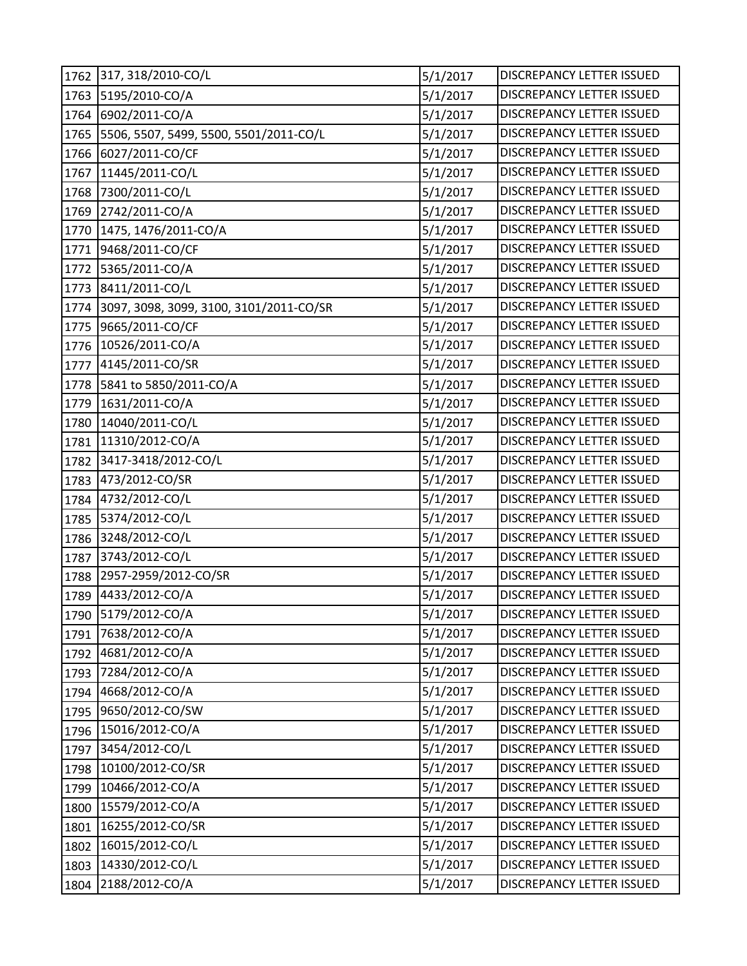| 1762 | 317, 318/2010-CO/L                      | 5/1/2017 | DISCREPANCY LETTER ISSUED |
|------|-----------------------------------------|----------|---------------------------|
| 1763 | 5195/2010-CO/A                          | 5/1/2017 | DISCREPANCY LETTER ISSUED |
| 1764 | 6902/2011-CO/A                          | 5/1/2017 | DISCREPANCY LETTER ISSUED |
| 1765 | 5506, 5507, 5499, 5500, 5501/2011-CO/L  | 5/1/2017 | DISCREPANCY LETTER ISSUED |
| 1766 | 6027/2011-CO/CF                         | 5/1/2017 | DISCREPANCY LETTER ISSUED |
| 1767 | 11445/2011-CO/L                         | 5/1/2017 | DISCREPANCY LETTER ISSUED |
| 1768 | 7300/2011-CO/L                          | 5/1/2017 | DISCREPANCY LETTER ISSUED |
| 1769 | 2742/2011-CO/A                          | 5/1/2017 | DISCREPANCY LETTER ISSUED |
| 1770 | 1475, 1476/2011-CO/A                    | 5/1/2017 | DISCREPANCY LETTER ISSUED |
| 1771 | 9468/2011-CO/CF                         | 5/1/2017 | DISCREPANCY LETTER ISSUED |
| 1772 | 5365/2011-CO/A                          | 5/1/2017 | DISCREPANCY LETTER ISSUED |
| 1773 | 8411/2011-CO/L                          | 5/1/2017 | DISCREPANCY LETTER ISSUED |
| 1774 | 3097, 3098, 3099, 3100, 3101/2011-CO/SR | 5/1/2017 | DISCREPANCY LETTER ISSUED |
| 1775 | 9665/2011-CO/CF                         | 5/1/2017 | DISCREPANCY LETTER ISSUED |
| 1776 | 10526/2011-CO/A                         | 5/1/2017 | DISCREPANCY LETTER ISSUED |
| 1777 | 4145/2011-CO/SR                         | 5/1/2017 | DISCREPANCY LETTER ISSUED |
| 1778 | 5841 to 5850/2011-CO/A                  | 5/1/2017 | DISCREPANCY LETTER ISSUED |
| 1779 | 1631/2011-CO/A                          | 5/1/2017 | DISCREPANCY LETTER ISSUED |
| 1780 | 14040/2011-CO/L                         | 5/1/2017 | DISCREPANCY LETTER ISSUED |
| 1781 | 11310/2012-CO/A                         | 5/1/2017 | DISCREPANCY LETTER ISSUED |
| 1782 | 3417-3418/2012-CO/L                     | 5/1/2017 | DISCREPANCY LETTER ISSUED |
| 1783 | 473/2012-CO/SR                          | 5/1/2017 | DISCREPANCY LETTER ISSUED |
| 1784 | 4732/2012-CO/L                          | 5/1/2017 | DISCREPANCY LETTER ISSUED |
| 1785 | 5374/2012-CO/L                          | 5/1/2017 | DISCREPANCY LETTER ISSUED |
| 1786 | 3248/2012-CO/L                          | 5/1/2017 | DISCREPANCY LETTER ISSUED |
| 1787 | 3743/2012-CO/L                          | 5/1/2017 | DISCREPANCY LETTER ISSUED |
| 1788 | 2957-2959/2012-CO/SR                    | 5/1/2017 | DISCREPANCY LETTER ISSUED |
| 1789 | 4433/2012-CO/A                          | 5/1/2017 | DISCREPANCY LETTER ISSUED |
|      | 1790 5179/2012-CO/A                     | 5/1/2017 | DISCREPANCY LETTER ISSUED |
| 1791 | 7638/2012-CO/A                          | 5/1/2017 | DISCREPANCY LETTER ISSUED |
| 1792 | 4681/2012-CO/A                          | 5/1/2017 | DISCREPANCY LETTER ISSUED |
| 1793 | 7284/2012-CO/A                          | 5/1/2017 | DISCREPANCY LETTER ISSUED |
| 1794 | 4668/2012-CO/A                          | 5/1/2017 | DISCREPANCY LETTER ISSUED |
| 1795 | 9650/2012-CO/SW                         | 5/1/2017 | DISCREPANCY LETTER ISSUED |
| 1796 | 15016/2012-CO/A                         | 5/1/2017 | DISCREPANCY LETTER ISSUED |
| 1797 | 3454/2012-CO/L                          | 5/1/2017 | DISCREPANCY LETTER ISSUED |
| 1798 | 10100/2012-CO/SR                        | 5/1/2017 | DISCREPANCY LETTER ISSUED |
| 1799 | 10466/2012-CO/A                         | 5/1/2017 | DISCREPANCY LETTER ISSUED |
| 1800 | 15579/2012-CO/A                         | 5/1/2017 | DISCREPANCY LETTER ISSUED |
| 1801 | 16255/2012-CO/SR                        | 5/1/2017 | DISCREPANCY LETTER ISSUED |
| 1802 | 16015/2012-CO/L                         | 5/1/2017 | DISCREPANCY LETTER ISSUED |
| 1803 | 14330/2012-CO/L                         | 5/1/2017 | DISCREPANCY LETTER ISSUED |
| 1804 | 2188/2012-CO/A                          | 5/1/2017 | DISCREPANCY LETTER ISSUED |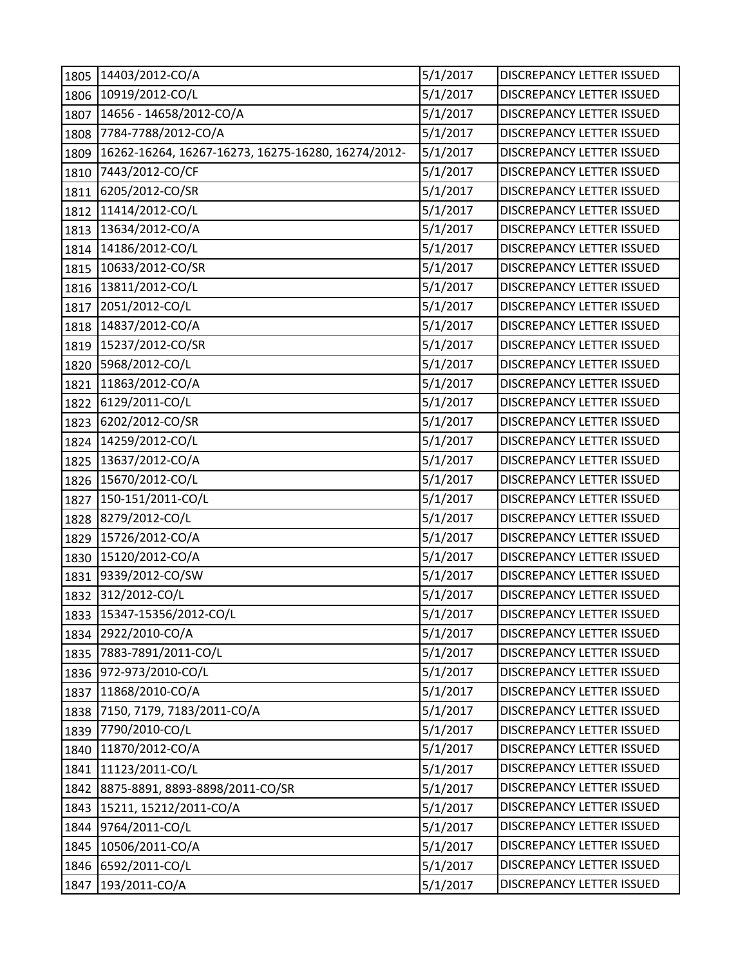| 1805 | 14403/2012-CO/A                                    | 5/1/2017 | <b>DISCREPANCY LETTER ISSUED</b> |
|------|----------------------------------------------------|----------|----------------------------------|
| 1806 | 10919/2012-CO/L                                    | 5/1/2017 | DISCREPANCY LETTER ISSUED        |
| 1807 | 14656 - 14658/2012-CO/A                            | 5/1/2017 | DISCREPANCY LETTER ISSUED        |
| 1808 | 7784-7788/2012-CO/A                                | 5/1/2017 | DISCREPANCY LETTER ISSUED        |
| 1809 | 16262-16264, 16267-16273, 16275-16280, 16274/2012- | 5/1/2017 | DISCREPANCY LETTER ISSUED        |
| 1810 | 7443/2012-CO/CF                                    | 5/1/2017 | DISCREPANCY LETTER ISSUED        |
| 1811 | 6205/2012-CO/SR                                    | 5/1/2017 | DISCREPANCY LETTER ISSUED        |
| 1812 | 11414/2012-CO/L                                    | 5/1/2017 | DISCREPANCY LETTER ISSUED        |
| 1813 | 13634/2012-CO/A                                    | 5/1/2017 | DISCREPANCY LETTER ISSUED        |
| 1814 | 14186/2012-CO/L                                    | 5/1/2017 | DISCREPANCY LETTER ISSUED        |
| 1815 | 10633/2012-CO/SR                                   | 5/1/2017 | <b>DISCREPANCY LETTER ISSUED</b> |
| 1816 | 13811/2012-CO/L                                    | 5/1/2017 | DISCREPANCY LETTER ISSUED        |
| 1817 | 2051/2012-CO/L                                     | 5/1/2017 | DISCREPANCY LETTER ISSUED        |
| 1818 | 14837/2012-CO/A                                    | 5/1/2017 | DISCREPANCY LETTER ISSUED        |
| 1819 | 15237/2012-CO/SR                                   | 5/1/2017 | DISCREPANCY LETTER ISSUED        |
| 1820 | 5968/2012-CO/L                                     | 5/1/2017 | DISCREPANCY LETTER ISSUED        |
| 1821 | 11863/2012-CO/A                                    | 5/1/2017 | DISCREPANCY LETTER ISSUED        |
| 1822 | 6129/2011-CO/L                                     | 5/1/2017 | DISCREPANCY LETTER ISSUED        |
| 1823 | 6202/2012-CO/SR                                    | 5/1/2017 | DISCREPANCY LETTER ISSUED        |
| 1824 | 14259/2012-CO/L                                    | 5/1/2017 | DISCREPANCY LETTER ISSUED        |
| 1825 | 13637/2012-CO/A                                    | 5/1/2017 | DISCREPANCY LETTER ISSUED        |
| 1826 | 15670/2012-CO/L                                    | 5/1/2017 | DISCREPANCY LETTER ISSUED        |
| 1827 | 150-151/2011-CO/L                                  | 5/1/2017 | <b>DISCREPANCY LETTER ISSUED</b> |
| 1828 | 8279/2012-CO/L                                     | 5/1/2017 | DISCREPANCY LETTER ISSUED        |
| 1829 | 15726/2012-CO/A                                    | 5/1/2017 | DISCREPANCY LETTER ISSUED        |
| 1830 | 15120/2012-CO/A                                    | 5/1/2017 | DISCREPANCY LETTER ISSUED        |
| 1831 | 9339/2012-CO/SW                                    | 5/1/2017 | DISCREPANCY LETTER ISSUED        |
| 1832 | 312/2012-CO/L                                      | 5/1/2017 | DISCREPANCY LETTER ISSUED        |
|      | 1833 15347-15356/2012-CO/L                         | 5/1/2017 | DISCREPANCY LETTER ISSUED        |
| 1834 | 2922/2010-CO/A                                     | 5/1/2017 | DISCREPANCY LETTER ISSUED        |
| 1835 | 7883-7891/2011-CO/L                                | 5/1/2017 | DISCREPANCY LETTER ISSUED        |
| 1836 | 972-973/2010-CO/L                                  | 5/1/2017 | <b>DISCREPANCY LETTER ISSUED</b> |
| 1837 | 11868/2010-CO/A                                    | 5/1/2017 | <b>DISCREPANCY LETTER ISSUED</b> |
| 1838 | 7150, 7179, 7183/2011-CO/A                         | 5/1/2017 | DISCREPANCY LETTER ISSUED        |
| 1839 | 7790/2010-CO/L                                     | 5/1/2017 | DISCREPANCY LETTER ISSUED        |
| 1840 | 11870/2012-CO/A                                    | 5/1/2017 | DISCREPANCY LETTER ISSUED        |
| 1841 | 11123/2011-CO/L                                    | 5/1/2017 | DISCREPANCY LETTER ISSUED        |
| 1842 | 8875-8891, 8893-8898/2011-CO/SR                    | 5/1/2017 | DISCREPANCY LETTER ISSUED        |
| 1843 | 15211, 15212/2011-CO/A                             | 5/1/2017 | DISCREPANCY LETTER ISSUED        |
| 1844 | 9764/2011-CO/L                                     | 5/1/2017 | DISCREPANCY LETTER ISSUED        |
| 1845 | 10506/2011-CO/A                                    | 5/1/2017 | DISCREPANCY LETTER ISSUED        |
| 1846 | 6592/2011-CO/L                                     | 5/1/2017 | DISCREPANCY LETTER ISSUED        |
| 1847 | 193/2011-CO/A                                      | 5/1/2017 | DISCREPANCY LETTER ISSUED        |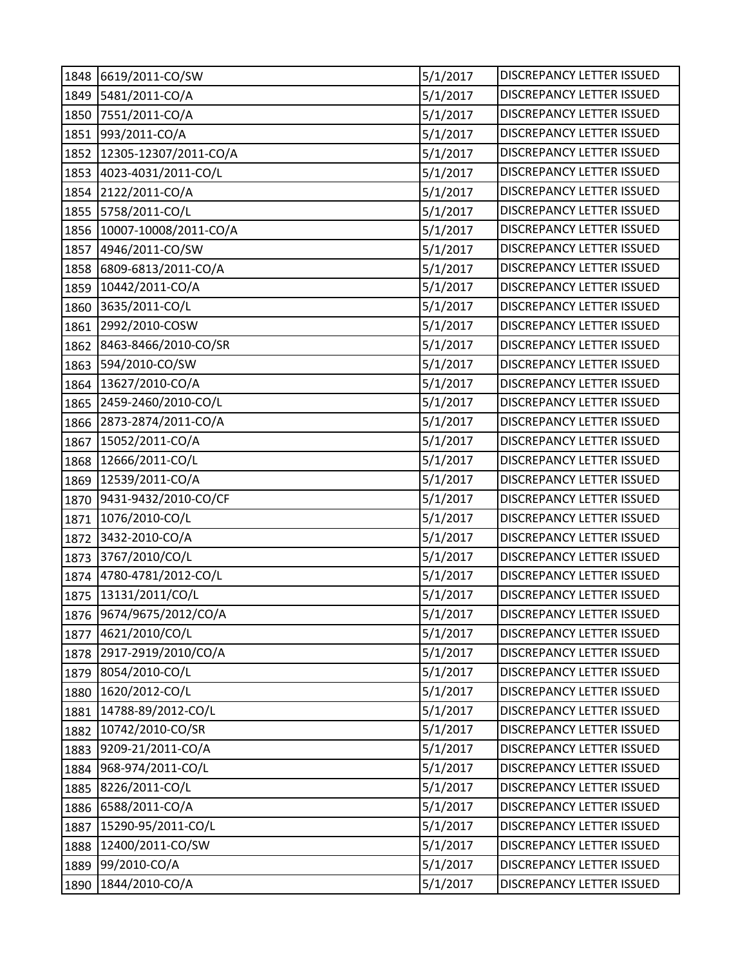| 1848 | 6619/2011-CO/SW          | 5/1/2017 | DISCREPANCY LETTER ISSUED        |
|------|--------------------------|----------|----------------------------------|
| 1849 | 5481/2011-CO/A           | 5/1/2017 | DISCREPANCY LETTER ISSUED        |
| 1850 | 7551/2011-CO/A           | 5/1/2017 | DISCREPANCY LETTER ISSUED        |
| 1851 | 993/2011-CO/A            | 5/1/2017 | DISCREPANCY LETTER ISSUED        |
| 1852 | 12305-12307/2011-CO/A    | 5/1/2017 | DISCREPANCY LETTER ISSUED        |
| 1853 | 4023-4031/2011-CO/L      | 5/1/2017 | DISCREPANCY LETTER ISSUED        |
| 1854 | 2122/2011-CO/A           | 5/1/2017 | DISCREPANCY LETTER ISSUED        |
| 1855 | 5758/2011-CO/L           | 5/1/2017 | DISCREPANCY LETTER ISSUED        |
| 1856 | 10007-10008/2011-CO/A    | 5/1/2017 | DISCREPANCY LETTER ISSUED        |
| 1857 | 4946/2011-CO/SW          | 5/1/2017 | DISCREPANCY LETTER ISSUED        |
| 1858 | 6809-6813/2011-CO/A      | 5/1/2017 | DISCREPANCY LETTER ISSUED        |
| 1859 | 10442/2011-CO/A          | 5/1/2017 | DISCREPANCY LETTER ISSUED        |
| 1860 | 3635/2011-CO/L           | 5/1/2017 | DISCREPANCY LETTER ISSUED        |
| 1861 | 2992/2010-COSW           | 5/1/2017 | DISCREPANCY LETTER ISSUED        |
| 1862 | 8463-8466/2010-CO/SR     | 5/1/2017 | DISCREPANCY LETTER ISSUED        |
| 1863 | 594/2010-CO/SW           | 5/1/2017 | DISCREPANCY LETTER ISSUED        |
| 1864 | 13627/2010-CO/A          | 5/1/2017 | DISCREPANCY LETTER ISSUED        |
| 1865 | 2459-2460/2010-CO/L      | 5/1/2017 | DISCREPANCY LETTER ISSUED        |
| 1866 | 2873-2874/2011-CO/A      | 5/1/2017 | DISCREPANCY LETTER ISSUED        |
| 1867 | 15052/2011-CO/A          | 5/1/2017 | DISCREPANCY LETTER ISSUED        |
| 1868 | 12666/2011-CO/L          | 5/1/2017 | DISCREPANCY LETTER ISSUED        |
| 1869 | 12539/2011-CO/A          | 5/1/2017 | DISCREPANCY LETTER ISSUED        |
| 1870 | 9431-9432/2010-CO/CF     | 5/1/2017 | DISCREPANCY LETTER ISSUED        |
| 1871 | 1076/2010-CO/L           | 5/1/2017 | DISCREPANCY LETTER ISSUED        |
| 1872 | 3432-2010-CO/A           | 5/1/2017 | DISCREPANCY LETTER ISSUED        |
| 1873 | 3767/2010/CO/L           | 5/1/2017 | DISCREPANCY LETTER ISSUED        |
| 1874 | 4780-4781/2012-CO/L      | 5/1/2017 | DISCREPANCY LETTER ISSUED        |
| 1875 | 13131/2011/CO/L          | 5/1/2017 | DISCREPANCY LETTER ISSUED        |
|      | 1876 9674/9675/2012/CO/A | 5/1/2017 | DISCREPANCY LETTER ISSUED        |
| 1877 | 4621/2010/CO/L           | 5/1/2017 | DISCREPANCY LETTER ISSUED        |
| 1878 | 2917-2919/2010/CO/A      | 5/1/2017 | DISCREPANCY LETTER ISSUED        |
| 1879 | 8054/2010-CO/L           | 5/1/2017 | DISCREPANCY LETTER ISSUED        |
| 1880 | 1620/2012-CO/L           | 5/1/2017 | <b>DISCREPANCY LETTER ISSUED</b> |
| 1881 | 14788-89/2012-CO/L       | 5/1/2017 | DISCREPANCY LETTER ISSUED        |
| 1882 | 10742/2010-CO/SR         | 5/1/2017 | <b>DISCREPANCY LETTER ISSUED</b> |
| 1883 | 9209-21/2011-CO/A        | 5/1/2017 | DISCREPANCY LETTER ISSUED        |
| 1884 | 968-974/2011-CO/L        | 5/1/2017 | DISCREPANCY LETTER ISSUED        |
| 1885 | 8226/2011-CO/L           | 5/1/2017 | DISCREPANCY LETTER ISSUED        |
| 1886 | 6588/2011-CO/A           | 5/1/2017 | DISCREPANCY LETTER ISSUED        |
| 1887 | 15290-95/2011-CO/L       | 5/1/2017 | DISCREPANCY LETTER ISSUED        |
| 1888 | 12400/2011-CO/SW         | 5/1/2017 | DISCREPANCY LETTER ISSUED        |
| 1889 | 99/2010-CO/A             | 5/1/2017 | DISCREPANCY LETTER ISSUED        |
| 1890 | 1844/2010-CO/A           | 5/1/2017 | DISCREPANCY LETTER ISSUED        |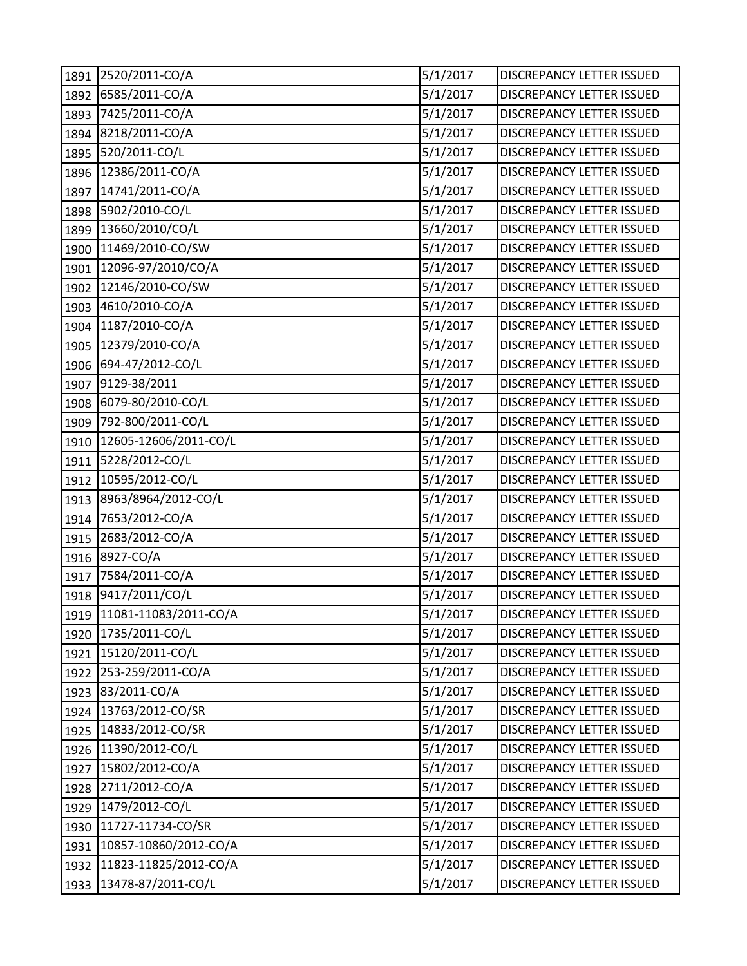| 1891 | 2520/2011-CO/A             | 5/1/2017 | DISCREPANCY LETTER ISSUED        |
|------|----------------------------|----------|----------------------------------|
| 1892 | 6585/2011-CO/A             | 5/1/2017 | DISCREPANCY LETTER ISSUED        |
| 1893 | 7425/2011-CO/A             | 5/1/2017 | DISCREPANCY LETTER ISSUED        |
| 1894 | 8218/2011-CO/A             | 5/1/2017 | DISCREPANCY LETTER ISSUED        |
| 1895 | 520/2011-CO/L              | 5/1/2017 | <b>DISCREPANCY LETTER ISSUED</b> |
| 1896 | 12386/2011-CO/A            | 5/1/2017 | DISCREPANCY LETTER ISSUED        |
| 1897 | 14741/2011-CO/A            | 5/1/2017 | DISCREPANCY LETTER ISSUED        |
| 1898 | 5902/2010-CO/L             | 5/1/2017 | DISCREPANCY LETTER ISSUED        |
| 1899 | 13660/2010/CO/L            | 5/1/2017 | DISCREPANCY LETTER ISSUED        |
| 1900 | 11469/2010-CO/SW           | 5/1/2017 | DISCREPANCY LETTER ISSUED        |
| 1901 | 12096-97/2010/CO/A         | 5/1/2017 | <b>DISCREPANCY LETTER ISSUED</b> |
| 1902 | 12146/2010-CO/SW           | 5/1/2017 | DISCREPANCY LETTER ISSUED        |
| 1903 | 4610/2010-CO/A             | 5/1/2017 | <b>DISCREPANCY LETTER ISSUED</b> |
| 1904 | 1187/2010-CO/A             | 5/1/2017 | DISCREPANCY LETTER ISSUED        |
| 1905 | 12379/2010-CO/A            | 5/1/2017 | DISCREPANCY LETTER ISSUED        |
| 1906 | 694-47/2012-CO/L           | 5/1/2017 | DISCREPANCY LETTER ISSUED        |
| 1907 | 9129-38/2011               | 5/1/2017 | <b>DISCREPANCY LETTER ISSUED</b> |
| 1908 | 6079-80/2010-CO/L          | 5/1/2017 | <b>DISCREPANCY LETTER ISSUED</b> |
| 1909 | 792-800/2011-CO/L          | 5/1/2017 | DISCREPANCY LETTER ISSUED        |
| 1910 | 12605-12606/2011-CO/L      | 5/1/2017 | DISCREPANCY LETTER ISSUED        |
| 1911 | 5228/2012-CO/L             | 5/1/2017 | DISCREPANCY LETTER ISSUED        |
| 1912 | 10595/2012-CO/L            | 5/1/2017 | DISCREPANCY LETTER ISSUED        |
| 1913 | 8963/8964/2012-CO/L        | 5/1/2017 | DISCREPANCY LETTER ISSUED        |
| 1914 | 7653/2012-CO/A             | 5/1/2017 | <b>DISCREPANCY LETTER ISSUED</b> |
| 1915 | 2683/2012-CO/A             | 5/1/2017 | <b>DISCREPANCY LETTER ISSUED</b> |
| 1916 | 8927-CO/A                  | 5/1/2017 | DISCREPANCY LETTER ISSUED        |
| 1917 | 7584/2011-CO/A             | 5/1/2017 | DISCREPANCY LETTER ISSUED        |
| 1918 | 9417/2011/CO/L             | 5/1/2017 | DISCREPANCY LETTER ISSUED        |
|      | 1919 11081-11083/2011-CO/A | 5/1/2017 | DISCREPANCY LETTER ISSUED        |
| 1920 | 1735/2011-CO/L             | 5/1/2017 | DISCREPANCY LETTER ISSUED        |
| 1921 | 15120/2011-CO/L            | 5/1/2017 | DISCREPANCY LETTER ISSUED        |
| 1922 | 253-259/2011-CO/A          | 5/1/2017 | DISCREPANCY LETTER ISSUED        |
| 1923 | 83/2011-CO/A               | 5/1/2017 | <b>DISCREPANCY LETTER ISSUED</b> |
| 1924 | 13763/2012-CO/SR           | 5/1/2017 | DISCREPANCY LETTER ISSUED        |
| 1925 | 14833/2012-CO/SR           | 5/1/2017 | DISCREPANCY LETTER ISSUED        |
| 1926 | 11390/2012-CO/L            | 5/1/2017 | <b>DISCREPANCY LETTER ISSUED</b> |
| 1927 | 15802/2012-CO/A            | 5/1/2017 | DISCREPANCY LETTER ISSUED        |
| 1928 | 2711/2012-CO/A             | 5/1/2017 | DISCREPANCY LETTER ISSUED        |
| 1929 | 1479/2012-CO/L             | 5/1/2017 | DISCREPANCY LETTER ISSUED        |
| 1930 | 11727-11734-CO/SR          | 5/1/2017 | DISCREPANCY LETTER ISSUED        |
| 1931 | 10857-10860/2012-CO/A      | 5/1/2017 | DISCREPANCY LETTER ISSUED        |
| 1932 | 11823-11825/2012-CO/A      | 5/1/2017 | DISCREPANCY LETTER ISSUED        |
| 1933 | 13478-87/2011-CO/L         | 5/1/2017 | DISCREPANCY LETTER ISSUED        |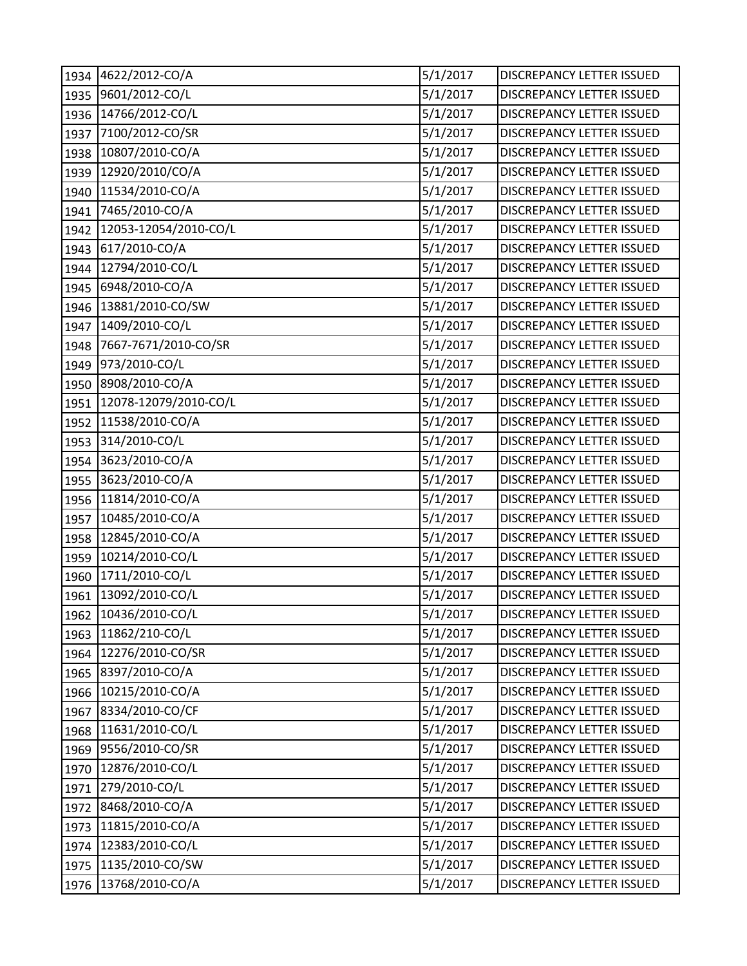| 1934 | 4622/2012-CO/A        | 5/1/2017 | DISCREPANCY LETTER ISSUED        |
|------|-----------------------|----------|----------------------------------|
| 1935 | 9601/2012-CO/L        | 5/1/2017 | DISCREPANCY LETTER ISSUED        |
| 1936 | 14766/2012-CO/L       | 5/1/2017 | DISCREPANCY LETTER ISSUED        |
| 1937 | 7100/2012-CO/SR       | 5/1/2017 | DISCREPANCY LETTER ISSUED        |
| 1938 | 10807/2010-CO/A       | 5/1/2017 | <b>DISCREPANCY LETTER ISSUED</b> |
| 1939 | 12920/2010/CO/A       | 5/1/2017 | <b>DISCREPANCY LETTER ISSUED</b> |
| 1940 | 11534/2010-CO/A       | 5/1/2017 | DISCREPANCY LETTER ISSUED        |
| 1941 | 7465/2010-CO/A        | 5/1/2017 | DISCREPANCY LETTER ISSUED        |
| 1942 | 12053-12054/2010-CO/L | 5/1/2017 | DISCREPANCY LETTER ISSUED        |
| 1943 | 617/2010-CO/A         | 5/1/2017 | <b>DISCREPANCY LETTER ISSUED</b> |
| 1944 | 12794/2010-CO/L       | 5/1/2017 | DISCREPANCY LETTER ISSUED        |
| 1945 | 6948/2010-CO/A        | 5/1/2017 | DISCREPANCY LETTER ISSUED        |
| 1946 | 13881/2010-CO/SW      | 5/1/2017 | DISCREPANCY LETTER ISSUED        |
| 1947 | 1409/2010-CO/L        | 5/1/2017 | DISCREPANCY LETTER ISSUED        |
| 1948 | 7667-7671/2010-CO/SR  | 5/1/2017 | DISCREPANCY LETTER ISSUED        |
| 1949 | 973/2010-CO/L         | 5/1/2017 | DISCREPANCY LETTER ISSUED        |
| 1950 | 8908/2010-CO/A        | 5/1/2017 | <b>DISCREPANCY LETTER ISSUED</b> |
| 1951 | 12078-12079/2010-CO/L | 5/1/2017 | DISCREPANCY LETTER ISSUED        |
| 1952 | 11538/2010-CO/A       | 5/1/2017 | DISCREPANCY LETTER ISSUED        |
| 1953 | 314/2010-CO/L         | 5/1/2017 | DISCREPANCY LETTER ISSUED        |
| 1954 | 3623/2010-CO/A        | 5/1/2017 | DISCREPANCY LETTER ISSUED        |
| 1955 | 3623/2010-CO/A        | 5/1/2017 | DISCREPANCY LETTER ISSUED        |
| 1956 | 11814/2010-CO/A       | 5/1/2017 | DISCREPANCY LETTER ISSUED        |
| 1957 | 10485/2010-CO/A       | 5/1/2017 | <b>DISCREPANCY LETTER ISSUED</b> |
| 1958 | 12845/2010-CO/A       | 5/1/2017 | <b>DISCREPANCY LETTER ISSUED</b> |
| 1959 | 10214/2010-CO/L       | 5/1/2017 | DISCREPANCY LETTER ISSUED        |
| 1960 | 1711/2010-CO/L        | 5/1/2017 | DISCREPANCY LETTER ISSUED        |
| 1961 | 13092/2010-CO/L       | 5/1/2017 | DISCREPANCY LETTER ISSUED        |
|      | 1962 10436/2010-CO/L  | 5/1/2017 | DISCREPANCY LETTER ISSUED        |
| 1963 | 11862/210-CO/L        | 5/1/2017 | DISCREPANCY LETTER ISSUED        |
| 1964 | 12276/2010-CO/SR      | 5/1/2017 | DISCREPANCY LETTER ISSUED        |
| 1965 | 8397/2010-CO/A        | 5/1/2017 | DISCREPANCY LETTER ISSUED        |
| 1966 | 10215/2010-CO/A       | 5/1/2017 | DISCREPANCY LETTER ISSUED        |
| 1967 | 8334/2010-CO/CF       | 5/1/2017 | DISCREPANCY LETTER ISSUED        |
| 1968 | 11631/2010-CO/L       | 5/1/2017 | <b>DISCREPANCY LETTER ISSUED</b> |
| 1969 | 9556/2010-CO/SR       | 5/1/2017 | DISCREPANCY LETTER ISSUED        |
| 1970 | 12876/2010-CO/L       | 5/1/2017 | DISCREPANCY LETTER ISSUED        |
| 1971 | 279/2010-CO/L         | 5/1/2017 | DISCREPANCY LETTER ISSUED        |
| 1972 | 8468/2010-CO/A        | 5/1/2017 | DISCREPANCY LETTER ISSUED        |
| 1973 | 11815/2010-CO/A       | 5/1/2017 | DISCREPANCY LETTER ISSUED        |
| 1974 | 12383/2010-CO/L       | 5/1/2017 | DISCREPANCY LETTER ISSUED        |
| 1975 | 1135/2010-CO/SW       | 5/1/2017 | DISCREPANCY LETTER ISSUED        |
| 1976 | 13768/2010-CO/A       | 5/1/2017 | DISCREPANCY LETTER ISSUED        |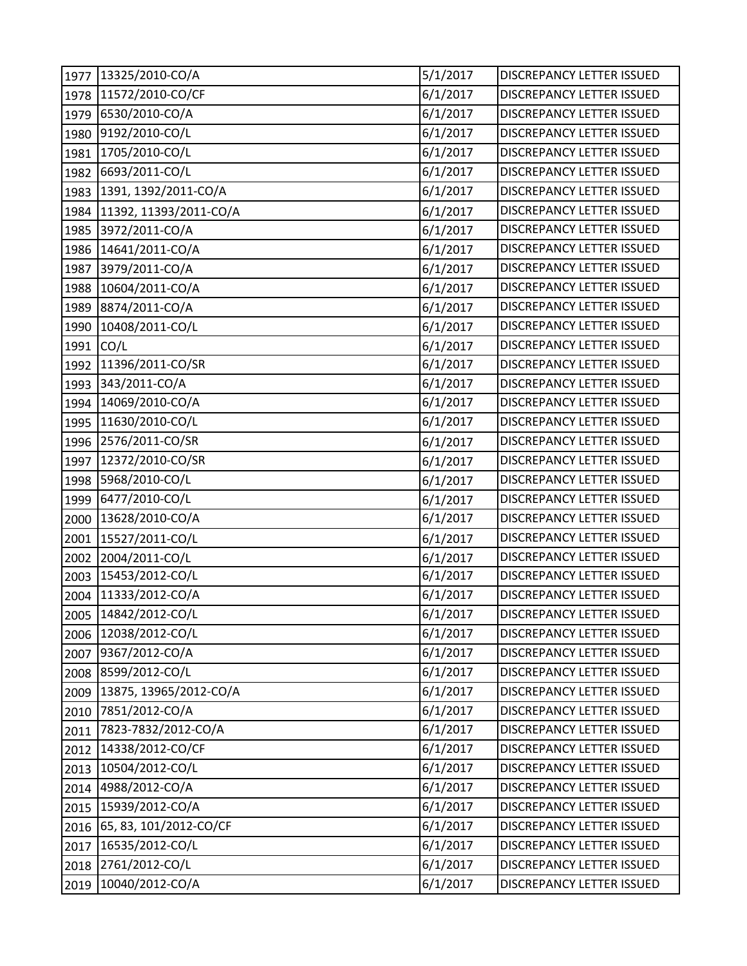| 1977 | 13325/2010-CO/A        | 5/1/2017 | DISCREPANCY LETTER ISSUED        |
|------|------------------------|----------|----------------------------------|
| 1978 | 11572/2010-CO/CF       | 6/1/2017 | <b>DISCREPANCY LETTER ISSUED</b> |
| 1979 | 6530/2010-CO/A         | 6/1/2017 | DISCREPANCY LETTER ISSUED        |
| 1980 | 9192/2010-CO/L         | 6/1/2017 | DISCREPANCY LETTER ISSUED        |
| 1981 | 1705/2010-CO/L         | 6/1/2017 | DISCREPANCY LETTER ISSUED        |
| 1982 | 6693/2011-CO/L         | 6/1/2017 | DISCREPANCY LETTER ISSUED        |
| 1983 | 1391, 1392/2011-CO/A   | 6/1/2017 | DISCREPANCY LETTER ISSUED        |
| 1984 | 11392, 11393/2011-CO/A | 6/1/2017 | DISCREPANCY LETTER ISSUED        |
| 1985 | 3972/2011-CO/A         | 6/1/2017 | DISCREPANCY LETTER ISSUED        |
| 1986 | 14641/2011-CO/A        | 6/1/2017 | DISCREPANCY LETTER ISSUED        |
| 1987 | 3979/2011-CO/A         | 6/1/2017 | DISCREPANCY LETTER ISSUED        |
| 1988 | 10604/2011-CO/A        | 6/1/2017 | DISCREPANCY LETTER ISSUED        |
| 1989 | 8874/2011-CO/A         | 6/1/2017 | DISCREPANCY LETTER ISSUED        |
| 1990 | 10408/2011-CO/L        | 6/1/2017 | DISCREPANCY LETTER ISSUED        |
| 1991 | CO/L                   | 6/1/2017 | DISCREPANCY LETTER ISSUED        |
| 1992 | 11396/2011-CO/SR       | 6/1/2017 | DISCREPANCY LETTER ISSUED        |
| 1993 | 343/2011-CO/A          | 6/1/2017 | DISCREPANCY LETTER ISSUED        |
| 1994 | 14069/2010-CO/A        | 6/1/2017 | <b>DISCREPANCY LETTER ISSUED</b> |
| 1995 | 11630/2010-CO/L        | 6/1/2017 | DISCREPANCY LETTER ISSUED        |
| 1996 | 2576/2011-CO/SR        | 6/1/2017 | DISCREPANCY LETTER ISSUED        |
| 1997 | 12372/2010-CO/SR       | 6/1/2017 | DISCREPANCY LETTER ISSUED        |
| 1998 | 5968/2010-CO/L         | 6/1/2017 | DISCREPANCY LETTER ISSUED        |
| 1999 | 6477/2010-CO/L         | 6/1/2017 | DISCREPANCY LETTER ISSUED        |
| 2000 | 13628/2010-CO/A        | 6/1/2017 | DISCREPANCY LETTER ISSUED        |
| 2001 | 15527/2011-CO/L        | 6/1/2017 | DISCREPANCY LETTER ISSUED        |
| 2002 | 2004/2011-CO/L         | 6/1/2017 | <b>DISCREPANCY LETTER ISSUED</b> |
| 2003 | 15453/2012-CO/L        | 6/1/2017 | DISCREPANCY LETTER ISSUED        |
| 2004 | 11333/2012-CO/A        | 6/1/2017 | DISCREPANCY LETTER ISSUED        |
|      | 2005 14842/2012-CO/L   | 6/1/2017 | DISCREPANCY LETTER ISSUED        |
| 2006 | 12038/2012-CO/L        | 6/1/2017 | DISCREPANCY LETTER ISSUED        |
| 2007 | 9367/2012-CO/A         | 6/1/2017 | DISCREPANCY LETTER ISSUED        |
| 2008 | 8599/2012-CO/L         | 6/1/2017 | DISCREPANCY LETTER ISSUED        |
| 2009 | 13875, 13965/2012-CO/A | 6/1/2017 | DISCREPANCY LETTER ISSUED        |
| 2010 | 7851/2012-CO/A         | 6/1/2017 | DISCREPANCY LETTER ISSUED        |
| 2011 | 7823-7832/2012-CO/A    | 6/1/2017 | <b>DISCREPANCY LETTER ISSUED</b> |
| 2012 | 14338/2012-CO/CF       | 6/1/2017 | DISCREPANCY LETTER ISSUED        |
| 2013 | 10504/2012-CO/L        | 6/1/2017 | DISCREPANCY LETTER ISSUED        |
| 2014 | 4988/2012-CO/A         | 6/1/2017 | DISCREPANCY LETTER ISSUED        |
| 2015 | 15939/2012-CO/A        | 6/1/2017 | DISCREPANCY LETTER ISSUED        |
| 2016 | 65, 83, 101/2012-CO/CF | 6/1/2017 | DISCREPANCY LETTER ISSUED        |
| 2017 | 16535/2012-CO/L        | 6/1/2017 | DISCREPANCY LETTER ISSUED        |
| 2018 | 2761/2012-CO/L         | 6/1/2017 | DISCREPANCY LETTER ISSUED        |
| 2019 | 10040/2012-CO/A        | 6/1/2017 | DISCREPANCY LETTER ISSUED        |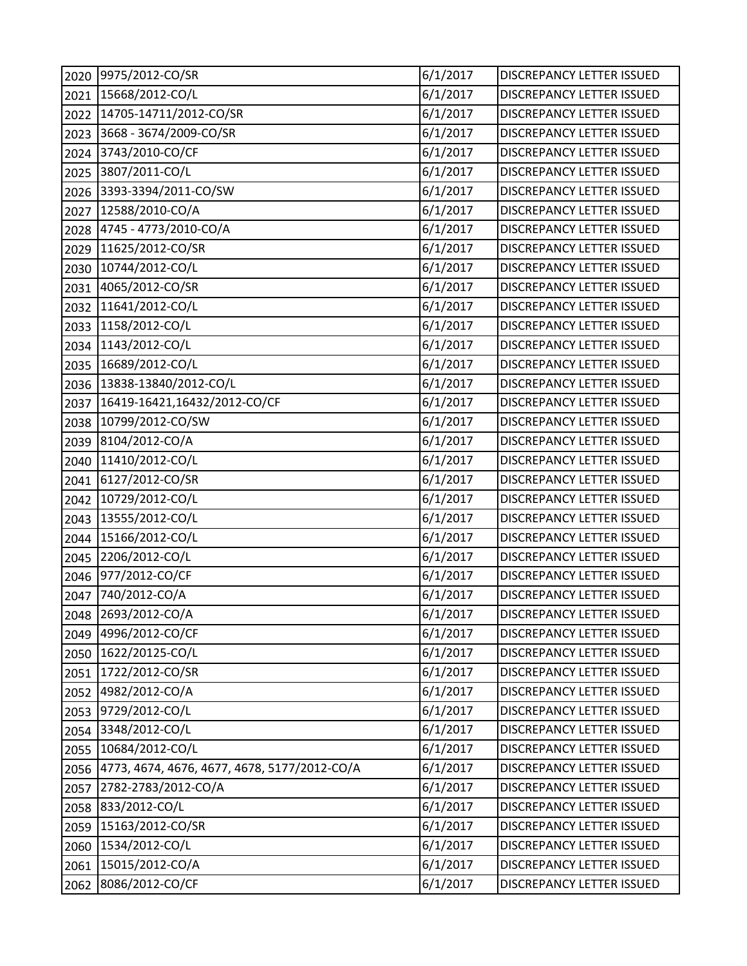| 2020 | 9975/2012-CO/SR                              | 6/1/2017 | DISCREPANCY LETTER ISSUED        |
|------|----------------------------------------------|----------|----------------------------------|
| 2021 | 15668/2012-CO/L                              | 6/1/2017 | <b>DISCREPANCY LETTER ISSUED</b> |
| 2022 | 14705-14711/2012-CO/SR                       | 6/1/2017 | DISCREPANCY LETTER ISSUED        |
| 2023 | 3668 - 3674/2009-CO/SR                       | 6/1/2017 | DISCREPANCY LETTER ISSUED        |
| 2024 | 3743/2010-CO/CF                              | 6/1/2017 | DISCREPANCY LETTER ISSUED        |
| 2025 | 3807/2011-CO/L                               | 6/1/2017 | DISCREPANCY LETTER ISSUED        |
| 2026 | 3393-3394/2011-CO/SW                         | 6/1/2017 | DISCREPANCY LETTER ISSUED        |
| 2027 | 12588/2010-CO/A                              | 6/1/2017 | DISCREPANCY LETTER ISSUED        |
| 2028 | 4745 - 4773/2010-CO/A                        | 6/1/2017 | DISCREPANCY LETTER ISSUED        |
| 2029 | 11625/2012-CO/SR                             | 6/1/2017 | DISCREPANCY LETTER ISSUED        |
| 2030 | 10744/2012-CO/L                              | 6/1/2017 | DISCREPANCY LETTER ISSUED        |
| 2031 | 4065/2012-CO/SR                              | 6/1/2017 | DISCREPANCY LETTER ISSUED        |
| 2032 | 11641/2012-CO/L                              | 6/1/2017 | DISCREPANCY LETTER ISSUED        |
| 2033 | 1158/2012-CO/L                               | 6/1/2017 | DISCREPANCY LETTER ISSUED        |
| 2034 | 1143/2012-CO/L                               | 6/1/2017 | <b>DISCREPANCY LETTER ISSUED</b> |
| 2035 | 16689/2012-CO/L                              | 6/1/2017 | DISCREPANCY LETTER ISSUED        |
| 2036 | 13838-13840/2012-CO/L                        | 6/1/2017 | DISCREPANCY LETTER ISSUED        |
| 2037 | 16419-16421,16432/2012-CO/CF                 | 6/1/2017 | <b>DISCREPANCY LETTER ISSUED</b> |
| 2038 | 10799/2012-CO/SW                             | 6/1/2017 | DISCREPANCY LETTER ISSUED        |
| 2039 | 8104/2012-CO/A                               | 6/1/2017 | DISCREPANCY LETTER ISSUED        |
| 2040 | 11410/2012-CO/L                              | 6/1/2017 | DISCREPANCY LETTER ISSUED        |
| 2041 | 6127/2012-CO/SR                              | 6/1/2017 | DISCREPANCY LETTER ISSUED        |
| 2042 | 10729/2012-CO/L                              | 6/1/2017 | DISCREPANCY LETTER ISSUED        |
| 2043 | 13555/2012-CO/L                              | 6/1/2017 | DISCREPANCY LETTER ISSUED        |
| 2044 | 15166/2012-CO/L                              | 6/1/2017 | DISCREPANCY LETTER ISSUED        |
| 2045 | 2206/2012-CO/L                               | 6/1/2017 | DISCREPANCY LETTER ISSUED        |
| 2046 | 977/2012-CO/CF                               | 6/1/2017 | DISCREPANCY LETTER ISSUED        |
| 2047 | 740/2012-CO/A                                | 6/1/2017 | DISCREPANCY LETTER ISSUED        |
|      | 2048 2693/2012-CO/A                          | 6/1/2017 | DISCREPANCY LETTER ISSUED        |
| 2049 | 4996/2012-CO/CF                              | 6/1/2017 | DISCREPANCY LETTER ISSUED        |
| 2050 | 1622/20125-CO/L                              | 6/1/2017 | DISCREPANCY LETTER ISSUED        |
| 2051 | 1722/2012-CO/SR                              | 6/1/2017 | DISCREPANCY LETTER ISSUED        |
| 2052 | 4982/2012-CO/A                               | 6/1/2017 | DISCREPANCY LETTER ISSUED        |
| 2053 | 9729/2012-CO/L                               | 6/1/2017 | <b>DISCREPANCY LETTER ISSUED</b> |
| 2054 | 3348/2012-CO/L                               | 6/1/2017 | DISCREPANCY LETTER ISSUED        |
| 2055 | 10684/2012-CO/L                              | 6/1/2017 | DISCREPANCY LETTER ISSUED        |
| 2056 | 4773, 4674, 4676, 4677, 4678, 5177/2012-CO/A | 6/1/2017 | DISCREPANCY LETTER ISSUED        |
| 2057 | 2782-2783/2012-CO/A                          | 6/1/2017 | DISCREPANCY LETTER ISSUED        |
| 2058 | 833/2012-CO/L                                | 6/1/2017 | DISCREPANCY LETTER ISSUED        |
| 2059 | 15163/2012-CO/SR                             | 6/1/2017 | DISCREPANCY LETTER ISSUED        |
| 2060 | 1534/2012-CO/L                               | 6/1/2017 | DISCREPANCY LETTER ISSUED        |
| 2061 | 15015/2012-CO/A                              | 6/1/2017 | DISCREPANCY LETTER ISSUED        |
| 2062 | 8086/2012-CO/CF                              | 6/1/2017 | DISCREPANCY LETTER ISSUED        |